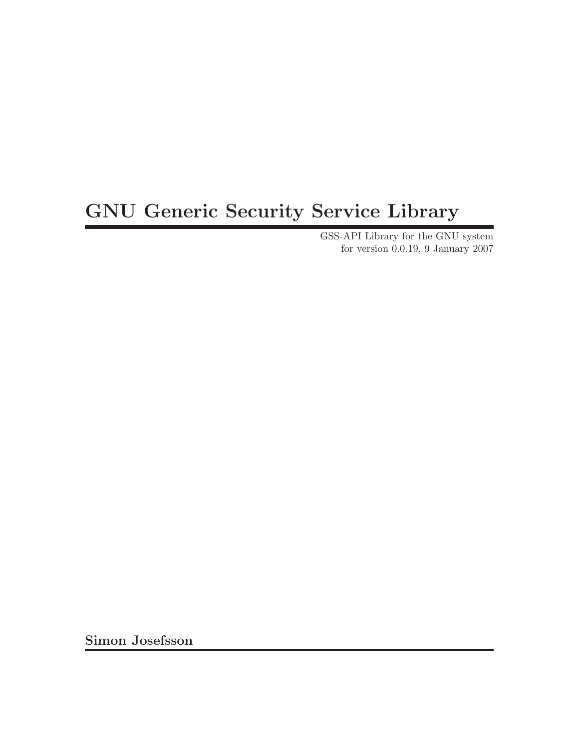# GNU Generic Security Service Library

GSS-API Library for the GNU system for version 0.0.19, 9 January 2007

Simon Josefsson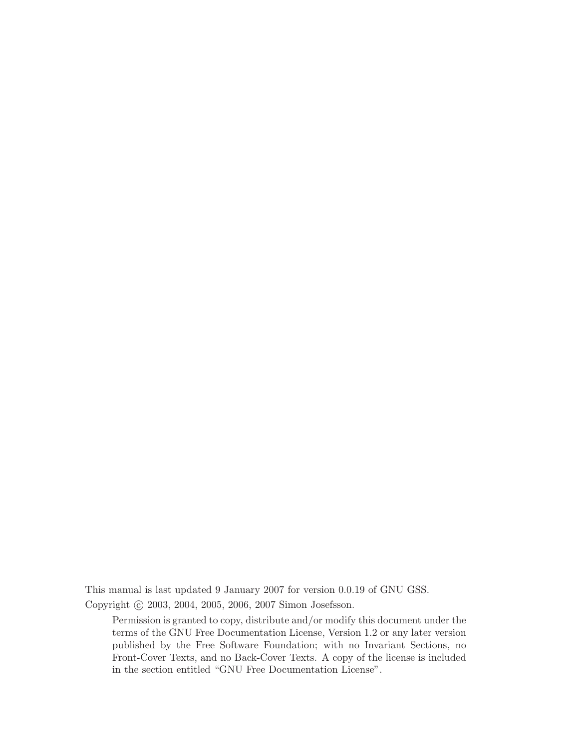This manual is last updated 9 January 2007 for version 0.0.19 of GNU GSS. Copyright © 2003, 2004, 2005, 2006, 2007 Simon Josefsson.

Permission is granted to copy, distribute and/or modify this document under the terms of the GNU Free Documentation License, Version 1.2 or any later version published by the Free Software Foundation; with no Invariant Sections, no Front-Cover Texts, and no Back-Cover Texts. A copy of the license is included in the section entitled "GNU Free Documentation License".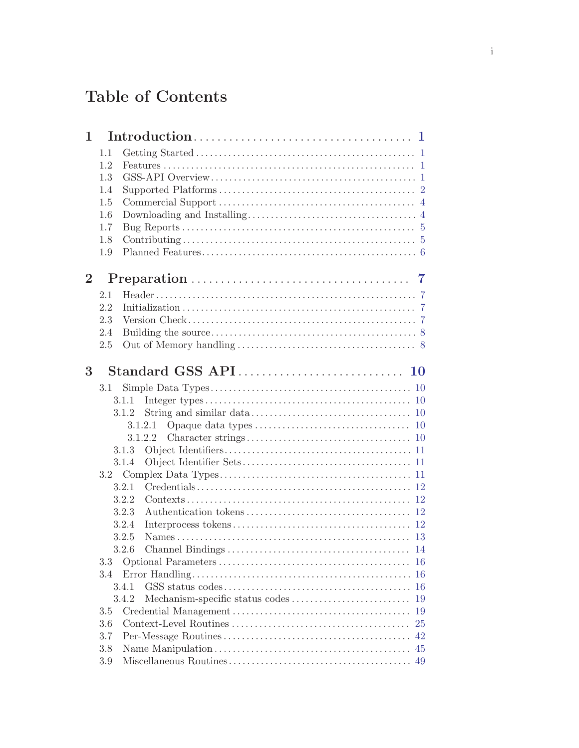# Table of Contents

| $\mathbf{1}$   |     |                                                                                                                                                                                                                                                                                                                                                                                                                   |  |
|----------------|-----|-------------------------------------------------------------------------------------------------------------------------------------------------------------------------------------------------------------------------------------------------------------------------------------------------------------------------------------------------------------------------------------------------------------------|--|
|                | 1.1 |                                                                                                                                                                                                                                                                                                                                                                                                                   |  |
|                | 1.2 |                                                                                                                                                                                                                                                                                                                                                                                                                   |  |
|                | 1.3 |                                                                                                                                                                                                                                                                                                                                                                                                                   |  |
|                | 1.4 |                                                                                                                                                                                                                                                                                                                                                                                                                   |  |
|                | 1.5 |                                                                                                                                                                                                                                                                                                                                                                                                                   |  |
|                | 1.6 |                                                                                                                                                                                                                                                                                                                                                                                                                   |  |
|                | 1.7 |                                                                                                                                                                                                                                                                                                                                                                                                                   |  |
|                | 1.8 |                                                                                                                                                                                                                                                                                                                                                                                                                   |  |
|                | 1.9 |                                                                                                                                                                                                                                                                                                                                                                                                                   |  |
| $\overline{2}$ |     |                                                                                                                                                                                                                                                                                                                                                                                                                   |  |
|                | 2.1 |                                                                                                                                                                                                                                                                                                                                                                                                                   |  |
|                | 2.2 |                                                                                                                                                                                                                                                                                                                                                                                                                   |  |
|                | 2.3 |                                                                                                                                                                                                                                                                                                                                                                                                                   |  |
|                | 2.4 |                                                                                                                                                                                                                                                                                                                                                                                                                   |  |
|                | 2.5 |                                                                                                                                                                                                                                                                                                                                                                                                                   |  |
|                |     |                                                                                                                                                                                                                                                                                                                                                                                                                   |  |
| 3              |     |                                                                                                                                                                                                                                                                                                                                                                                                                   |  |
|                | 3.1 |                                                                                                                                                                                                                                                                                                                                                                                                                   |  |
|                |     | 3.1.1                                                                                                                                                                                                                                                                                                                                                                                                             |  |
|                |     | 3.1.2                                                                                                                                                                                                                                                                                                                                                                                                             |  |
|                |     | 3.1.2.1                                                                                                                                                                                                                                                                                                                                                                                                           |  |
|                |     | 3.1.2.2                                                                                                                                                                                                                                                                                                                                                                                                           |  |
|                |     | 3.1.3                                                                                                                                                                                                                                                                                                                                                                                                             |  |
| 3.1.4          |     |                                                                                                                                                                                                                                                                                                                                                                                                                   |  |
|                | 3.2 |                                                                                                                                                                                                                                                                                                                                                                                                                   |  |
|                |     | 3.2.1                                                                                                                                                                                                                                                                                                                                                                                                             |  |
|                |     | 3.2.2                                                                                                                                                                                                                                                                                                                                                                                                             |  |
|                |     | 3.2.3                                                                                                                                                                                                                                                                                                                                                                                                             |  |
|                |     | 3.2.4                                                                                                                                                                                                                                                                                                                                                                                                             |  |
|                |     | 3.2.5                                                                                                                                                                                                                                                                                                                                                                                                             |  |
|                |     | 3.2.6                                                                                                                                                                                                                                                                                                                                                                                                             |  |
|                | 3.3 | <sup>16</sup>                                                                                                                                                                                                                                                                                                                                                                                                     |  |
|                | 3.4 |                                                                                                                                                                                                                                                                                                                                                                                                                   |  |
|                |     | 3.4.1<br>-16                                                                                                                                                                                                                                                                                                                                                                                                      |  |
|                |     | 3.4.2<br>19                                                                                                                                                                                                                                                                                                                                                                                                       |  |
|                | 3.5 | 19                                                                                                                                                                                                                                                                                                                                                                                                                |  |
|                | 3.6 | 25                                                                                                                                                                                                                                                                                                                                                                                                                |  |
|                | 3.7 | 42                                                                                                                                                                                                                                                                                                                                                                                                                |  |
|                | 3.8 | 45                                                                                                                                                                                                                                                                                                                                                                                                                |  |
|                | 3.9 | $\textbf{Miscellaneous~Routines}.\textcolor{red}{\textbf{1:}\hspace{1.5em} \textbf{1:}\hspace{1.5em} \textbf{2:}} \textbf{1:} \textbf{2:} \textbf{3:} \textbf{4:} \textbf{4:} \textbf{5:} \textbf{5:} \textbf{6:} \textbf{6:} \textbf{7:} \textbf{1:} \textbf{1:} \textbf{2:} \textbf{5:} \textbf{5:} \textbf{6:} \textbf{6:} \textbf{7:} \textbf{1:} \textbf{1:} \textbf{1:} \textbf{1:} \textbf{1:} \textbf{1:$ |  |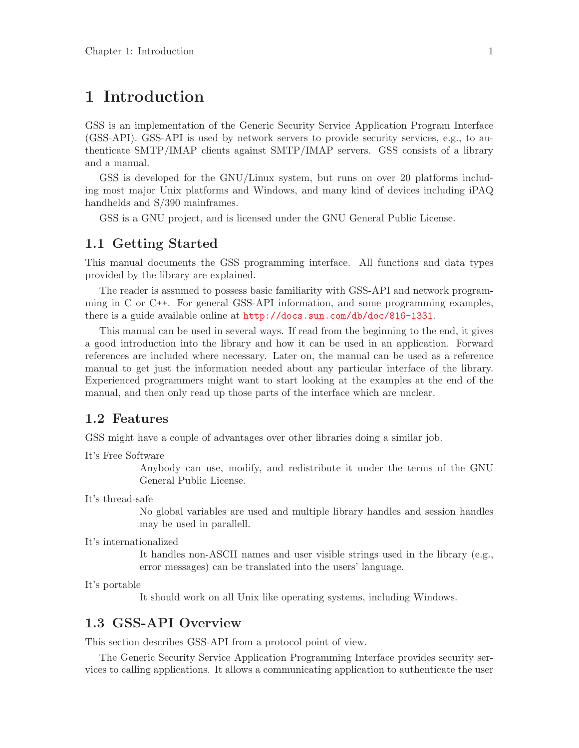# <span id="page-4-0"></span>1 Introduction

GSS is an implementation of the Generic Security Service Application Program Interface (GSS-API). GSS-API is used by network servers to provide security services, e.g., to authenticate SMTP/IMAP clients against SMTP/IMAP servers. GSS consists of a library and a manual.

GSS is developed for the GNU/Linux system, but runs on over 20 platforms including most major Unix platforms and Windows, and many kind of devices including iPAQ handhelds and S/390 mainframes.

GSS is a GNU project, and is licensed under the GNU General Public License.

# 1.1 Getting Started

This manual documents the GSS programming interface. All functions and data types provided by the library are explained.

The reader is assumed to possess basic familiarity with GSS-API and network programming in C or C++. For general GSS-API information, and some programming examples, there is a guide available online at <http://docs.sun.com/db/doc/816-1331>.

This manual can be used in several ways. If read from the beginning to the end, it gives a good introduction into the library and how it can be used in an application. Forward references are included where necessary. Later on, the manual can be used as a reference manual to get just the information needed about any particular interface of the library. Experienced programmers might want to start looking at the examples at the end of the manual, and then only read up those parts of the interface which are unclear.

#### 1.2 Features

GSS might have a couple of advantages over other libraries doing a similar job.

It's Free Software

Anybody can use, modify, and redistribute it under the terms of the GNU General Public License.

It's thread-safe

No global variables are used and multiple library handles and session handles may be used in parallell.

It's internationalized

It handles non-ASCII names and user visible strings used in the library (e.g., error messages) can be translated into the users' language.

It's portable

It should work on all Unix like operating systems, including Windows.

# 1.3 GSS-API Overview

This section describes GSS-API from a protocol point of view.

The Generic Security Service Application Programming Interface provides security services to calling applications. It allows a communicating application to authenticate the user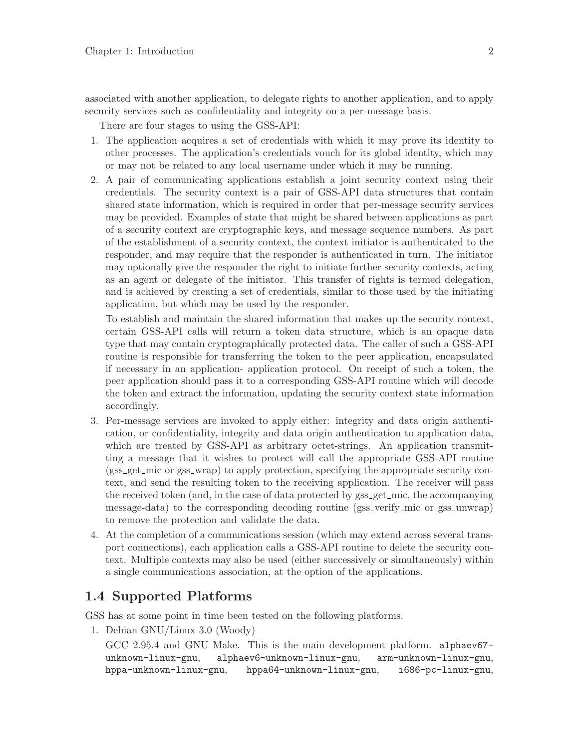<span id="page-5-0"></span>associated with another application, to delegate rights to another application, and to apply security services such as confidentiality and integrity on a per-message basis.

There are four stages to using the GSS-API:

- 1. The application acquires a set of credentials with which it may prove its identity to other processes. The application's credentials vouch for its global identity, which may or may not be related to any local username under which it may be running.
- 2. A pair of communicating applications establish a joint security context using their credentials. The security context is a pair of GSS-API data structures that contain shared state information, which is required in order that per-message security services may be provided. Examples of state that might be shared between applications as part of a security context are cryptographic keys, and message sequence numbers. As part of the establishment of a security context, the context initiator is authenticated to the responder, and may require that the responder is authenticated in turn. The initiator may optionally give the responder the right to initiate further security contexts, acting as an agent or delegate of the initiator. This transfer of rights is termed delegation, and is achieved by creating a set of credentials, similar to those used by the initiating application, but which may be used by the responder.

To establish and maintain the shared information that makes up the security context, certain GSS-API calls will return a token data structure, which is an opaque data type that may contain cryptographically protected data. The caller of such a GSS-API routine is responsible for transferring the token to the peer application, encapsulated if necessary in an application- application protocol. On receipt of such a token, the peer application should pass it to a corresponding GSS-API routine which will decode the token and extract the information, updating the security context state information accordingly.

- 3. Per-message services are invoked to apply either: integrity and data origin authentication, or confidentiality, integrity and data origin authentication to application data, which are treated by GSS-API as arbitrary octet-strings. An application transmitting a message that it wishes to protect will call the appropriate GSS-API routine (gss get mic or gss wrap) to apply protection, specifying the appropriate security context, and send the resulting token to the receiving application. The receiver will pass the received token (and, in the case of data protected by gss<sub>-get-</sub>mic, the accompanying message-data) to the corresponding decoding routine (gss\_verify\_mic or gss\_unwrap) to remove the protection and validate the data.
- 4. At the completion of a communications session (which may extend across several transport connections), each application calls a GSS-API routine to delete the security context. Multiple contexts may also be used (either successively or simultaneously) within a single communications association, at the option of the applications.

# 1.4 Supported Platforms

GSS has at some point in time been tested on the following platforms.

1. Debian GNU/Linux 3.0 (Woody)

GCC 2.95.4 and GNU Make. This is the main development platform. alphaev67 unknown-linux-gnu, alphaev6-unknown-linux-gnu, arm-unknown-linux-gnu, hppa-unknown-linux-gnu, hppa64-unknown-linux-gnu, i686-pc-linux-gnu,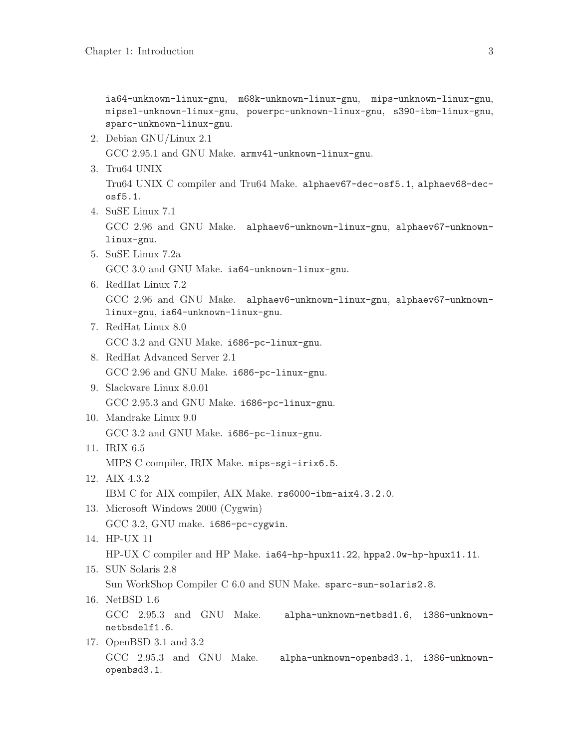ia64-unknown-linux-gnu, m68k-unknown-linux-gnu, mips-unknown-linux-gnu, mipsel-unknown-linux-gnu, powerpc-unknown-linux-gnu, s390-ibm-linux-gnu, sparc-unknown-linux-gnu.

2. Debian GNU/Linux 2.1

GCC 2.95.1 and GNU Make. armv4l-unknown-linux-gnu.

- 3. Tru64 UNIX Tru64 UNIX C compiler and Tru64 Make. alphaev67-dec-osf5.1, alphaev68-decosf5.1.
- 4. SuSE Linux 7.1

GCC 2.96 and GNU Make. alphaev6-unknown-linux-gnu, alphaev67-unknownlinux-gnu.

- 5. SuSE Linux 7.2a GCC 3.0 and GNU Make. ia64-unknown-linux-gnu.
- 6. RedHat Linux 7.2 GCC 2.96 and GNU Make. alphaev6-unknown-linux-gnu, alphaev67-unknownlinux-gnu, ia64-unknown-linux-gnu.
- 7. RedHat Linux 8.0 GCC 3.2 and GNU Make. i686-pc-linux-gnu.
- 8. RedHat Advanced Server 2.1 GCC 2.96 and GNU Make. i686-pc-linux-gnu.
- 9. Slackware Linux 8.0.01 GCC 2.95.3 and GNU Make. i686-pc-linux-gnu.
- 10. Mandrake Linux 9.0 GCC 3.2 and GNU Make. i686-pc-linux-gnu.
- 11. IRIX 6.5 MIPS C compiler, IRIX Make. mips-sgi-irix6.5.
- 12. AIX 4.3.2 IBM C for AIX compiler, AIX Make. rs6000-ibm-aix4.3.2.0.
- 13. Microsoft Windows 2000 (Cygwin) GCC 3.2, GNU make. i686-pc-cygwin.
- 14. HP-UX 11 HP-UX C compiler and HP Make. ia64-hp-hpux11.22, hppa2.0w-hp-hpux11.11.
- 15. SUN Solaris 2.8

Sun WorkShop Compiler C 6.0 and SUN Make. sparc-sun-solaris2.8.

# 16. NetBSD 1.6 GCC 2.95.3 and GNU Make. alpha-unknown-netbsd1.6, i386-unknownnetbsdelf1.6.

17. OpenBSD 3.1 and 3.2 GCC 2.95.3 and GNU Make. alpha-unknown-openbsd3.1, i386-unknownopenbsd3.1.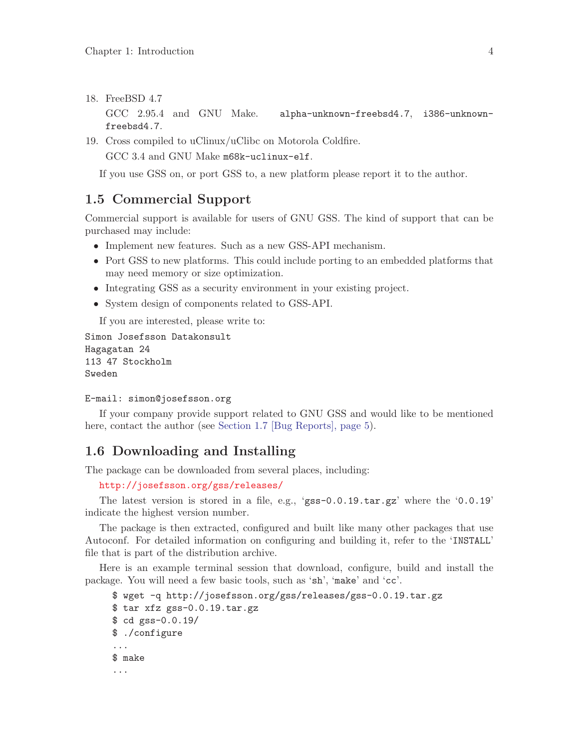<span id="page-7-0"></span>18. FreeBSD 4.7

GCC 2.95.4 and GNU Make. alpha-unknown-freebsd4.7, i386-unknownfreebsd4.7.

19. Cross compiled to uClinux/uClibc on Motorola Coldfire.

GCC 3.4 and GNU Make m68k-uclinux-elf.

If you use GSS on, or port GSS to, a new platform please report it to the author.

# 1.5 Commercial Support

Commercial support is available for users of GNU GSS. The kind of support that can be purchased may include:

- Implement new features. Such as a new GSS-API mechanism.
- Port GSS to new platforms. This could include porting to an embedded platforms that may need memory or size optimization.
- Integrating GSS as a security environment in your existing project.
- System design of components related to GSS-API.

If you are interested, please write to:

```
Simon Josefsson Datakonsult
Hagagatan 24
113 47 Stockholm
Sweden
```

```
E-mail: simon@josefsson.org
```
If your company provide support related to GNU GSS and would like to be mentioned here, contact the author (see [Section 1.7 \[Bug Reports\], page 5\)](#page-8-1).

# 1.6 Downloading and Installing

The package can be downloaded from several places, including:

```
http://josefsson.org/gss/releases/
```
The latest version is stored in a file, e.g., 'gss-0.0.19.tar.gz' where the '0.0.19' indicate the highest version number.

The package is then extracted, configured and built like many other packages that use Autoconf. For detailed information on configuring and building it, refer to the 'INSTALL' file that is part of the distribution archive.

Here is an example terminal session that download, configure, build and install the package. You will need a few basic tools, such as 'sh', 'make' and 'cc'.

```
$ wget -q http://josefsson.org/gss/releases/gss-0.0.19.tar.gz
$ tar xfz gss-0.0.19.tar.gz
$ cd gss-0.0.19/
$ ./configure
...
$ make
...
```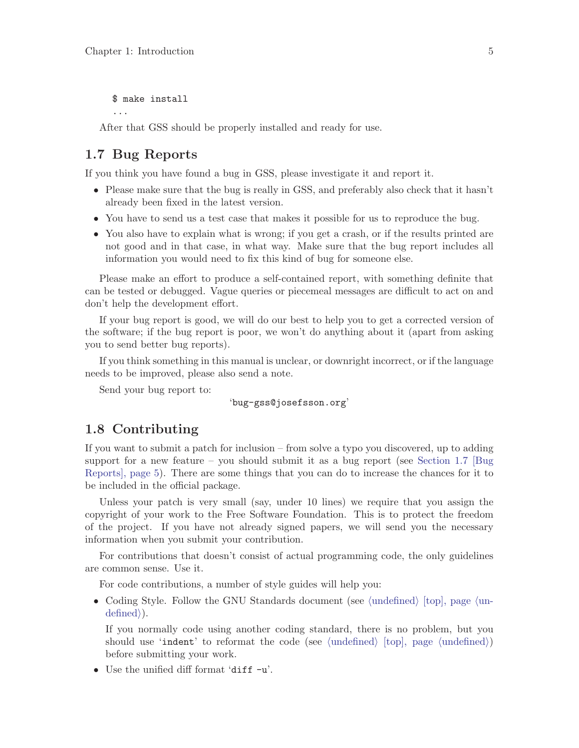<span id="page-8-0"></span>\$ make install

...

After that GSS should be properly installed and ready for use.

# <span id="page-8-1"></span>1.7 Bug Reports

If you think you have found a bug in GSS, please investigate it and report it.

- Please make sure that the bug is really in GSS, and preferably also check that it hasn't already been fixed in the latest version.
- You have to send us a test case that makes it possible for us to reproduce the bug.
- You also have to explain what is wrong; if you get a crash, or if the results printed are not good and in that case, in what way. Make sure that the bug report includes all information you would need to fix this kind of bug for someone else.

Please make an effort to produce a self-contained report, with something definite that can be tested or debugged. Vague queries or piecemeal messages are difficult to act on and don't help the development effort.

If your bug report is good, we will do our best to help you to get a corrected version of the software; if the bug report is poor, we won't do anything about it (apart from asking you to send better bug reports).

If you think something in this manual is unclear, or downright incorrect, or if the language needs to be improved, please also send a note.

Send your bug report to:

'bug-gss@josefsson.org'

# 1.8 Contributing

If you want to submit a patch for inclusion – from solve a typo you discovered, up to adding support for a new feature – you should submit it as a bug report (see [Section 1.7 \[Bug](#page-8-1) [Reports\], page 5](#page-8-1)). There are some things that you can do to increase the chances for it to be included in the official package.

Unless your patch is very small (say, under 10 lines) we require that you assign the copyright of your work to the Free Software Foundation. This is to protect the freedom of the project. If you have not already signed papers, we will send you the necessary information when you submit your contribution.

For contributions that doesn't consist of actual programming code, the only guidelines are common sense. Use it.

For code contributions, a number of style guides will help you:

• Coding Style. Follow the GNU Standards document (see  $\langle$ undefined $\rangle$  [top], page  $\langle$ un- $\langle \text{defined} \rangle$ .

If you normally code using another coding standard, there is no problem, but you should use 'indent' to reformat the code (see  $\langle$ undefined $\rangle$  [top], page  $\langle$ undefined $\rangle$ ) before submitting your work.

• Use the unified diff format 'diff -u'.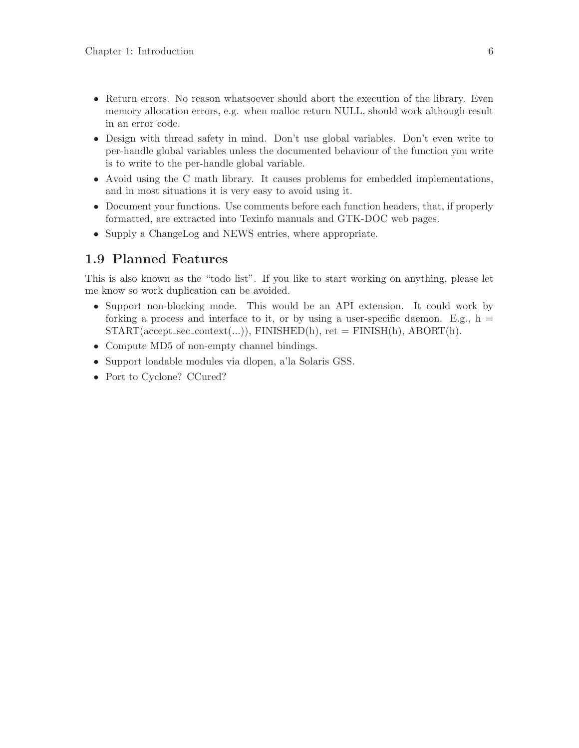- <span id="page-9-0"></span>• Return errors. No reason whatsoever should abort the execution of the library. Even memory allocation errors, e.g. when malloc return NULL, should work although result in an error code.
- Design with thread safety in mind. Don't use global variables. Don't even write to per-handle global variables unless the documented behaviour of the function you write is to write to the per-handle global variable.
- Avoid using the C math library. It causes problems for embedded implementations, and in most situations it is very easy to avoid using it.
- Document your functions. Use comments before each function headers, that, if properly formatted, are extracted into Texinfo manuals and GTK-DOC web pages.
- Supply a ChangeLog and NEWS entries, where appropriate.

# 1.9 Planned Features

This is also known as the "todo list". If you like to start working on anything, please let me know so work duplication can be avoided.

- Support non-blocking mode. This would be an API extension. It could work by forking a process and interface to it, or by using a user-specific daemon. E.g.,  $h =$  $STAT(accept\_sec\_context(...))$ , FINISHED(h), ret = FINISH(h), ABORT(h).
- Compute MD5 of non-empty channel bindings.
- Support loadable modules via dlopen, a'la Solaris GSS.
- Port to Cyclone? CCured?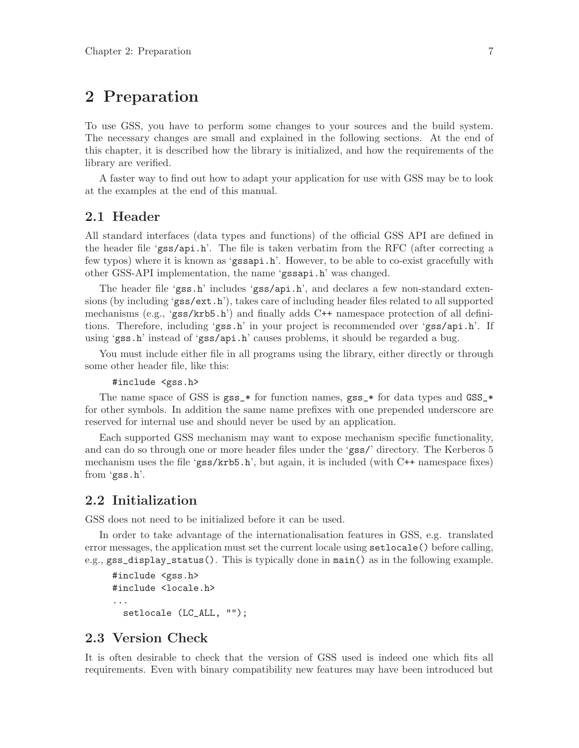# <span id="page-10-0"></span>2 Preparation

To use GSS, you have to perform some changes to your sources and the build system. The necessary changes are small and explained in the following sections. At the end of this chapter, it is described how the library is initialized, and how the requirements of the library are verified.

A faster way to find out how to adapt your application for use with GSS may be to look at the examples at the end of this manual.

# 2.1 Header

All standard interfaces (data types and functions) of the official GSS API are defined in the header file 'gss/api.h'. The file is taken verbatim from the RFC (after correcting a few typos) where it is known as 'gssapi.h'. However, to be able to co-exist gracefully with other GSS-API implementation, the name 'gssapi.h' was changed.

The header file 'gss.h' includes 'gss/api.h', and declares a few non-standard extensions (by including 'gss/ext.h'), takes care of including header files related to all supported mechanisms (e.g., ' $gss/krb5.h$ ') and finally adds  $C++$  namespace protection of all definitions. Therefore, including 'gss.h' in your project is recommended over 'gss/api.h'. If using 'gss.h' instead of 'gss/api.h' causes problems, it should be regarded a bug.

You must include either file in all programs using the library, either directly or through some other header file, like this:

#include <gss.h>

The name space of GSS is  $gss-*$  for function names,  $gss-*$  for data types and  $GSS-*$ for other symbols. In addition the same name prefixes with one prepended underscore are reserved for internal use and should never be used by an application.

Each supported GSS mechanism may want to expose mechanism specific functionality, and can do so through one or more header files under the 'gss/' directory. The Kerberos 5 mechanism uses the file 'gss/krb5.h', but again, it is included (with C++ namespace fixes) from 'gss.h'.

# 2.2 Initialization

GSS does not need to be initialized before it can be used.

In order to take advantage of the internationalisation features in GSS, e.g. translated error messages, the application must set the current locale using setlocale() before calling, e.g., gss\_display\_status(). This is typically done in main() as in the following example.

```
#include <gss.h>
#include <locale.h>
...
  setlocale (LC_ALL, "");
```
# 2.3 Version Check

It is often desirable to check that the version of GSS used is indeed one which fits all requirements. Even with binary compatibility new features may have been introduced but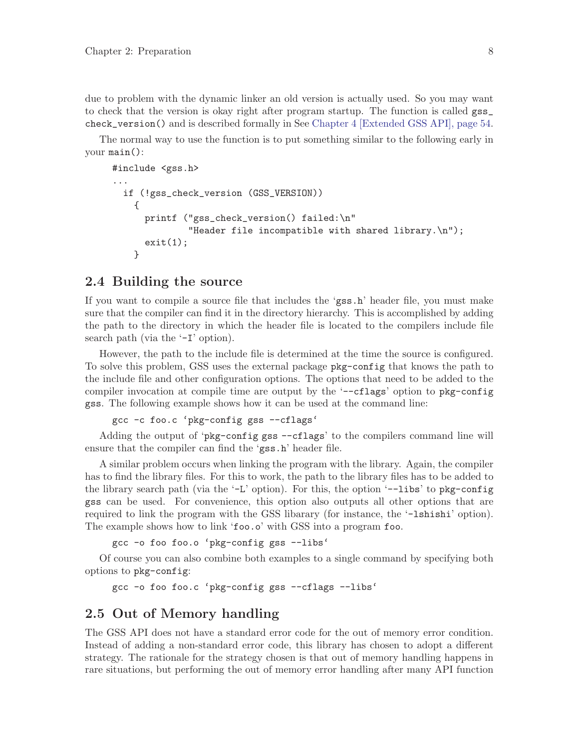<span id="page-11-0"></span>due to problem with the dynamic linker an old version is actually used. So you may want to check that the version is okay right after program startup. The function is called gss\_ check\_version() and is described formally in See [Chapter 4 \[Extended GSS API\], page 54.](#page-57-0)

The normal way to use the function is to put something similar to the following early in your main():

```
#include <gss.h>
...
  if (!gss_check_version (GSS_VERSION))
    {
      printf ("gss_check_version() failed:\n"
              "Header file incompatible with shared library.\n");
      exit(1);}
```
#### 2.4 Building the source

If you want to compile a source file that includes the 'gss.h' header file, you must make sure that the compiler can find it in the directory hierarchy. This is accomplished by adding the path to the directory in which the header file is located to the compilers include file search path (via the  $-1$  option).

However, the path to the include file is determined at the time the source is configured. To solve this problem, GSS uses the external package pkg-config that knows the path to the include file and other configuration options. The options that need to be added to the compiler invocation at compile time are output by the '--cflags' option to pkg-config gss. The following example shows how it can be used at the command line:

```
gcc -c foo.c 'pkg-config gss --cflags'
```
Adding the output of 'pkg-config gss --cflags' to the compilers command line will ensure that the compiler can find the 'gss.h' header file.

A similar problem occurs when linking the program with the library. Again, the compiler has to find the library files. For this to work, the path to the library files has to be added to the library search path (via the  $-L'$  option). For this, the option  $-$ -libs' to pkg-config gss can be used. For convenience, this option also outputs all other options that are required to link the program with the GSS libarary (for instance, the '-lshishi' option). The example shows how to link 'foo.o' with GSS into a program foo.

gcc -o foo foo.o 'pkg-config gss --libs'

Of course you can also combine both examples to a single command by specifying both options to pkg-config:

gcc -o foo foo.c 'pkg-config gss --cflags --libs'

# 2.5 Out of Memory handling

The GSS API does not have a standard error code for the out of memory error condition. Instead of adding a non-standard error code, this library has chosen to adopt a different strategy. The rationale for the strategy chosen is that out of memory handling happens in rare situations, but performing the out of memory error handling after many API function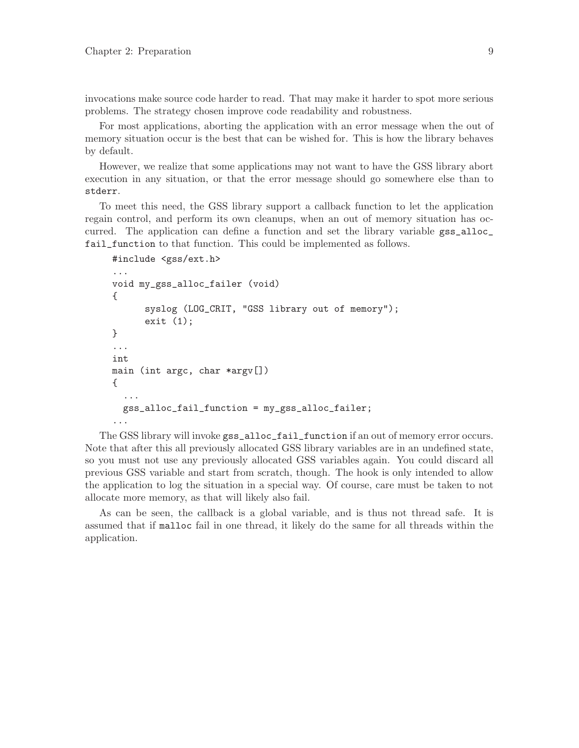invocations make source code harder to read. That may make it harder to spot more serious problems. The strategy chosen improve code readability and robustness.

For most applications, aborting the application with an error message when the out of memory situation occur is the best that can be wished for. This is how the library behaves by default.

However, we realize that some applications may not want to have the GSS library abort execution in any situation, or that the error message should go somewhere else than to stderr.

To meet this need, the GSS library support a callback function to let the application regain control, and perform its own cleanups, when an out of memory situation has occurred. The application can define a function and set the library variable gss\_alloc\_ fail\_function to that function. This could be implemented as follows.

```
#include <gss/ext.h>
```

```
...
void my_gss_alloc_failer (void)
{
      syslog (LOG_CRIT, "GSS library out of memory");
      exit (1);
}
...
int
main (int argc, char *argv[])
{
  ...
  gss_alloc_fail_function = my_gss_alloc_failer;
...
```
The GSS library will invoke gss\_alloc\_fail\_function if an out of memory error occurs. Note that after this all previously allocated GSS library variables are in an undefined state, so you must not use any previously allocated GSS variables again. You could discard all previous GSS variable and start from scratch, though. The hook is only intended to allow the application to log the situation in a special way. Of course, care must be taken to not allocate more memory, as that will likely also fail.

As can be seen, the callback is a global variable, and is thus not thread safe. It is assumed that if malloc fail in one thread, it likely do the same for all threads within the application.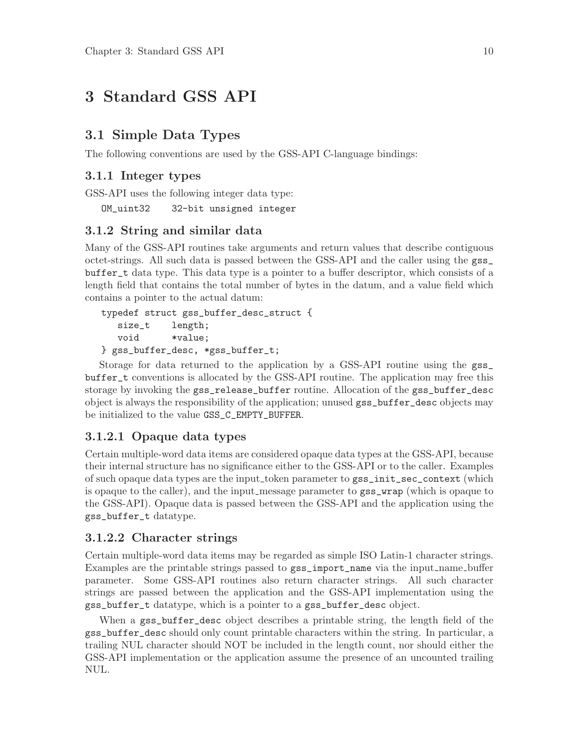# <span id="page-13-0"></span>3 Standard GSS API

# 3.1 Simple Data Types

The following conventions are used by the GSS-API C-language bindings:

# 3.1.1 Integer types

GSS-API uses the following integer data type:

OM\_uint32 32-bit unsigned integer

# 3.1.2 String and similar data

Many of the GSS-API routines take arguments and return values that describe contiguous octet-strings. All such data is passed between the GSS-API and the caller using the gss\_ buffer\_t data type. This data type is a pointer to a buffer descriptor, which consists of a length field that contains the total number of bytes in the datum, and a value field which contains a pointer to the actual datum:

```
typedef struct gss_buffer_desc_struct {
  size_t length;
   void *value;
} gss_buffer_desc, *gss_buffer_t;
```
Storage for data returned to the application by a GSS-API routine using the gss\_ buffer\_t conventions is allocated by the GSS-API routine. The application may free this storage by invoking the gss\_release\_buffer routine. Allocation of the gss\_buffer\_desc object is always the responsibility of the application; unused gss\_buffer\_desc objects may be initialized to the value GSS\_C\_EMPTY\_BUFFER.

# 3.1.2.1 Opaque data types

Certain multiple-word data items are considered opaque data types at the GSS-API, because their internal structure has no significance either to the GSS-API or to the caller. Examples of such opaque data types are the input token parameter to gss\_init\_sec\_context (which is opaque to the caller), and the input message parameter to  $\text{gss\_wrap}$  (which is opaque to the GSS-API). Opaque data is passed between the GSS-API and the application using the gss\_buffer\_t datatype.

#### 3.1.2.2 Character strings

Certain multiple-word data items may be regarded as simple ISO Latin-1 character strings. Examples are the printable strings passed to  $\text{gss}_\text{u}$  import name via the input name buffer parameter. Some GSS-API routines also return character strings. All such character strings are passed between the application and the GSS-API implementation using the gss\_buffer\_t datatype, which is a pointer to a gss\_buffer\_desc object.

When a gss\_buffer\_desc object describes a printable string, the length field of the gss\_buffer\_desc should only count printable characters within the string. In particular, a trailing NUL character should NOT be included in the length count, nor should either the GSS-API implementation or the application assume the presence of an uncounted trailing NUL.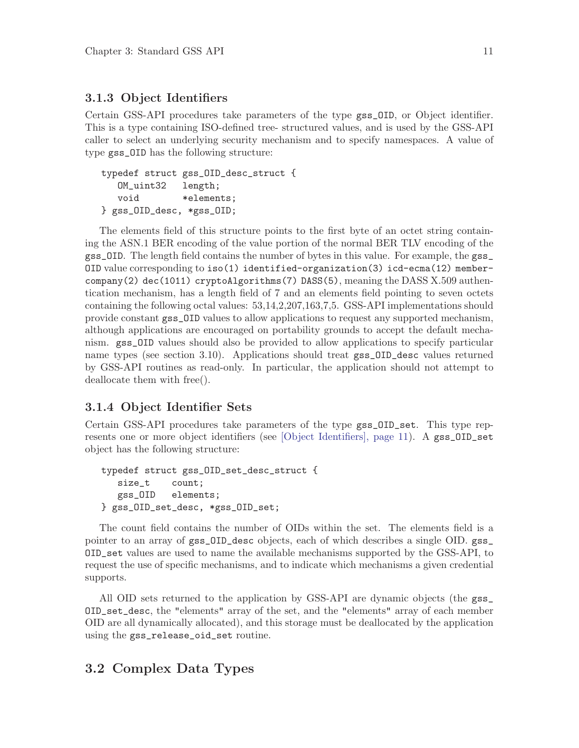#### <span id="page-14-1"></span><span id="page-14-0"></span>3.1.3 Object Identifiers

Certain GSS-API procedures take parameters of the type gss\_OID, or Object identifier. This is a type containing ISO-defined tree- structured values, and is used by the GSS-API caller to select an underlying security mechanism and to specify namespaces. A value of type gss\_OID has the following structure:

```
typedef struct gss_OID_desc_struct {
  OM_uint32 length;
   void *elements;
} gss_OID_desc, *gss_OID;
```
The elements field of this structure points to the first byte of an octet string containing the ASN.1 BER encoding of the value portion of the normal BER TLV encoding of the gss\_OID. The length field contains the number of bytes in this value. For example, the gss\_ OID value corresponding to  $iso(1)$  identified-organization(3) icd-ecma(12) membercompany(2) dec(1011) cryptoAlgorithms(7) DASS(5), meaning the DASS X.509 authentication mechanism, has a length field of 7 and an elements field pointing to seven octets containing the following octal values: 53,14,2,207,163,7,5. GSS-API implementations should provide constant gss\_OID values to allow applications to request any supported mechanism, although applications are encouraged on portability grounds to accept the default mechanism. gss\_OID values should also be provided to allow applications to specify particular name types (see section 3.10). Applications should treat gss\_OID\_desc values returned by GSS-API routines as read-only. In particular, the application should not attempt to deallocate them with free().

# 3.1.4 Object Identifier Sets

Certain GSS-API procedures take parameters of the type gss\_OID\_set. This type represents one or more object identifiers (see [\[Object Identifiers\], page 11](#page-14-1)). A gss\_OID\_set object has the following structure:

```
typedef struct gss_OID_set_desc_struct {
  size_t count;
  gss_OID elements;
} gss_OID_set_desc, *gss_OID_set;
```
The count field contains the number of OIDs within the set. The elements field is a pointer to an array of gss\_OID\_desc objects, each of which describes a single OID. gss\_ OID\_set values are used to name the available mechanisms supported by the GSS-API, to request the use of specific mechanisms, and to indicate which mechanisms a given credential supports.

All OID sets returned to the application by GSS-API are dynamic objects (the gss\_ OID\_set\_desc, the "elements" array of the set, and the "elements" array of each member OID are all dynamically allocated), and this storage must be deallocated by the application using the gss\_release\_oid\_set routine.

# 3.2 Complex Data Types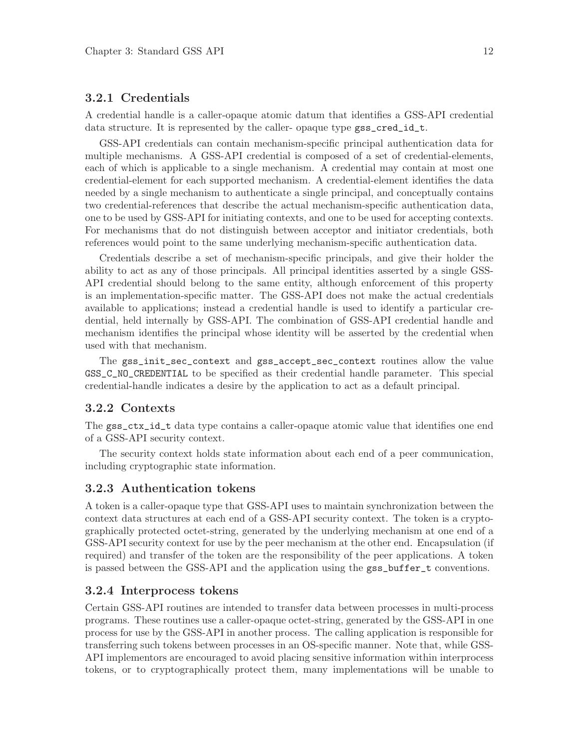#### <span id="page-15-0"></span>3.2.1 Credentials

A credential handle is a caller-opaque atomic datum that identifies a GSS-API credential data structure. It is represented by the caller- opaque type gss\_cred\_id\_t.

GSS-API credentials can contain mechanism-specific principal authentication data for multiple mechanisms. A GSS-API credential is composed of a set of credential-elements, each of which is applicable to a single mechanism. A credential may contain at most one credential-element for each supported mechanism. A credential-element identifies the data needed by a single mechanism to authenticate a single principal, and conceptually contains two credential-references that describe the actual mechanism-specific authentication data, one to be used by GSS-API for initiating contexts, and one to be used for accepting contexts. For mechanisms that do not distinguish between acceptor and initiator credentials, both references would point to the same underlying mechanism-specific authentication data.

Credentials describe a set of mechanism-specific principals, and give their holder the ability to act as any of those principals. All principal identities asserted by a single GSS-API credential should belong to the same entity, although enforcement of this property is an implementation-specific matter. The GSS-API does not make the actual credentials available to applications; instead a credential handle is used to identify a particular credential, held internally by GSS-API. The combination of GSS-API credential handle and mechanism identifies the principal whose identity will be asserted by the credential when used with that mechanism.

The gss\_init\_sec\_context and gss\_accept\_sec\_context routines allow the value GSS\_C\_NO\_CREDENTIAL to be specified as their credential handle parameter. This special credential-handle indicates a desire by the application to act as a default principal.

#### 3.2.2 Contexts

The gss\_ctx\_id\_t data type contains a caller-opaque atomic value that identifies one end of a GSS-API security context.

The security context holds state information about each end of a peer communication, including cryptographic state information.

#### 3.2.3 Authentication tokens

A token is a caller-opaque type that GSS-API uses to maintain synchronization between the context data structures at each end of a GSS-API security context. The token is a cryptographically protected octet-string, generated by the underlying mechanism at one end of a GSS-API security context for use by the peer mechanism at the other end. Encapsulation (if required) and transfer of the token are the responsibility of the peer applications. A token is passed between the GSS-API and the application using the gss\_buffer\_t conventions.

#### 3.2.4 Interprocess tokens

Certain GSS-API routines are intended to transfer data between processes in multi-process programs. These routines use a caller-opaque octet-string, generated by the GSS-API in one process for use by the GSS-API in another process. The calling application is responsible for transferring such tokens between processes in an OS-specific manner. Note that, while GSS-API implementors are encouraged to avoid placing sensitive information within interprocess tokens, or to cryptographically protect them, many implementations will be unable to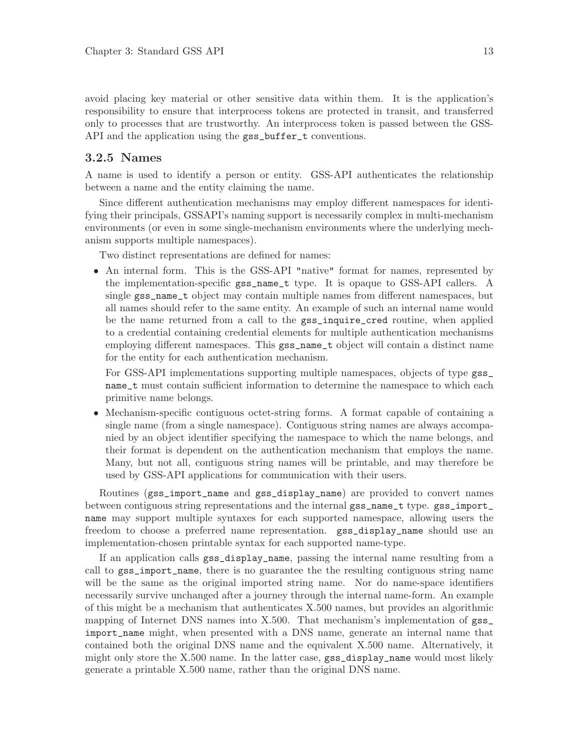<span id="page-16-0"></span>avoid placing key material or other sensitive data within them. It is the application's responsibility to ensure that interprocess tokens are protected in transit, and transferred only to processes that are trustworthy. An interprocess token is passed between the GSS-API and the application using the  $\texttt{gss\_buffer\_t}$  conventions.

#### 3.2.5 Names

A name is used to identify a person or entity. GSS-API authenticates the relationship between a name and the entity claiming the name.

Since different authentication mechanisms may employ different namespaces for identifying their principals, GSSAPI's naming support is necessarily complex in multi-mechanism environments (or even in some single-mechanism environments where the underlying mechanism supports multiple namespaces).

Two distinct representations are defined for names:

• An internal form. This is the GSS-API "native" format for names, represented by the implementation-specific gss\_name\_t type. It is opaque to GSS-API callers. A single gss\_name\_t object may contain multiple names from different namespaces, but all names should refer to the same entity. An example of such an internal name would be the name returned from a call to the gss\_inquire\_cred routine, when applied to a credential containing credential elements for multiple authentication mechanisms employing different namespaces. This gss\_name\_t object will contain a distinct name for the entity for each authentication mechanism.

For GSS-API implementations supporting multiple namespaces, objects of type gss\_ name\_t must contain sufficient information to determine the namespace to which each primitive name belongs.

• Mechanism-specific contiguous octet-string forms. A format capable of containing a single name (from a single namespace). Contiguous string names are always accompanied by an object identifier specifying the namespace to which the name belongs, and their format is dependent on the authentication mechanism that employs the name. Many, but not all, contiguous string names will be printable, and may therefore be used by GSS-API applications for communication with their users.

Routines (gss\_import\_name and gss\_display\_name) are provided to convert names between contiguous string representations and the internal gss\_name\_t type. gss\_import\_ name may support multiple syntaxes for each supported namespace, allowing users the freedom to choose a preferred name representation. gss\_display\_name should use an implementation-chosen printable syntax for each supported name-type.

If an application calls gss\_display\_name, passing the internal name resulting from a call to gss\_import\_name, there is no guarantee the the resulting contiguous string name will be the same as the original imported string name. Nor do name-space identifiers necessarily survive unchanged after a journey through the internal name-form. An example of this might be a mechanism that authenticates X.500 names, but provides an algorithmic mapping of Internet DNS names into X.500. That mechanism's implementation of gss\_ import\_name might, when presented with a DNS name, generate an internal name that contained both the original DNS name and the equivalent X.500 name. Alternatively, it might only store the X.500 name. In the latter case, gss\_display\_name would most likely generate a printable X.500 name, rather than the original DNS name.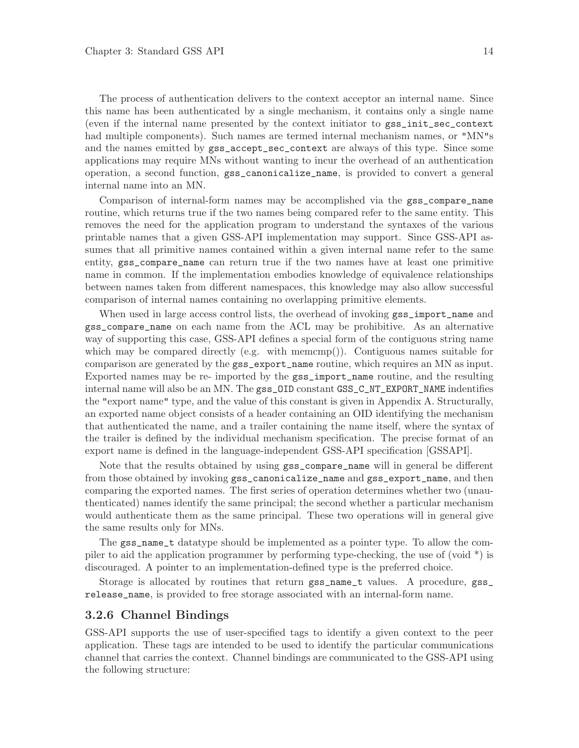<span id="page-17-0"></span>The process of authentication delivers to the context acceptor an internal name. Since this name has been authenticated by a single mechanism, it contains only a single name (even if the internal name presented by the context initiator to gss\_init\_sec\_context had multiple components). Such names are termed internal mechanism names, or "MN"s and the names emitted by gss\_accept\_sec\_context are always of this type. Since some applications may require MNs without wanting to incur the overhead of an authentication operation, a second function, gss\_canonicalize\_name, is provided to convert a general internal name into an MN.

Comparison of internal-form names may be accomplished via the gss\_compare\_name routine, which returns true if the two names being compared refer to the same entity. This removes the need for the application program to understand the syntaxes of the various printable names that a given GSS-API implementation may support. Since GSS-API assumes that all primitive names contained within a given internal name refer to the same entity, gss\_compare\_name can return true if the two names have at least one primitive name in common. If the implementation embodies knowledge of equivalence relationships between names taken from different namespaces, this knowledge may also allow successful comparison of internal names containing no overlapping primitive elements.

When used in large access control lists, the overhead of invoking  $\texttt{gss}_i$  import name and gss\_compare\_name on each name from the ACL may be prohibitive. As an alternative way of supporting this case, GSS-API defines a special form of the contiguous string name which may be compared directly (e.g. with memcmp()). Contiguous names suitable for comparison are generated by the gss\_export\_name routine, which requires an MN as input. Exported names may be re- imported by the gss\_import\_name routine, and the resulting internal name will also be an MN. The gss\_OID constant GSS\_C\_NT\_EXPORT\_NAME indentifies the "export name" type, and the value of this constant is given in Appendix A. Structurally, an exported name object consists of a header containing an OID identifying the mechanism that authenticated the name, and a trailer containing the name itself, where the syntax of the trailer is defined by the individual mechanism specification. The precise format of an export name is defined in the language-independent GSS-API specification [GSSAPI].

Note that the results obtained by using gss\_compare\_name will in general be different from those obtained by invoking gss\_canonicalize\_name and gss\_export\_name, and then comparing the exported names. The first series of operation determines whether two (unauthenticated) names identify the same principal; the second whether a particular mechanism would authenticate them as the same principal. These two operations will in general give the same results only for MNs.

The gss\_name\_t datatype should be implemented as a pointer type. To allow the compiler to aid the application programmer by performing type-checking, the use of (void \*) is discouraged. A pointer to an implementation-defined type is the preferred choice.

Storage is allocated by routines that return gss\_name\_t values. A procedure, gss\_ release\_name, is provided to free storage associated with an internal-form name.

#### 3.2.6 Channel Bindings

GSS-API supports the use of user-specified tags to identify a given context to the peer application. These tags are intended to be used to identify the particular communications channel that carries the context. Channel bindings are communicated to the GSS-API using the following structure: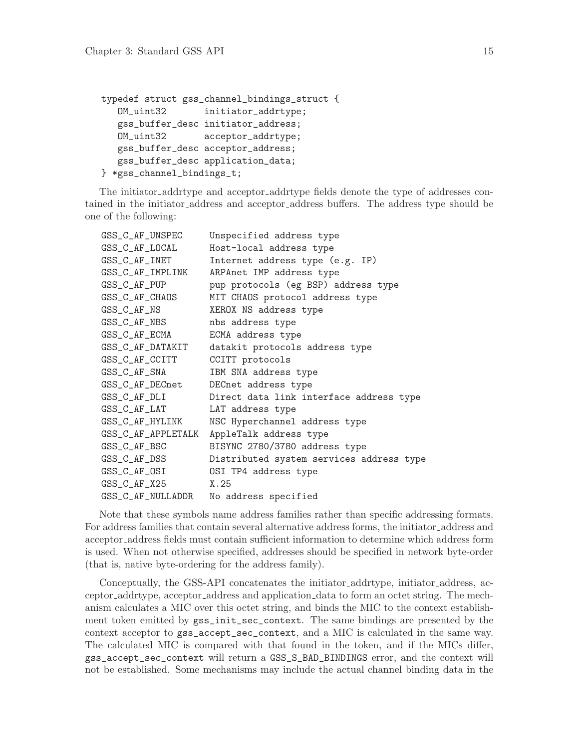```
typedef struct gss_channel_bindings_struct {
   OM_uint32 initiator_addrtype;
   gss_buffer_desc initiator_address;
   OM_uint32 acceptor_addrtype;
   gss_buffer_desc acceptor_address;
   gss_buffer_desc application_data;
} *gss_channel_bindings_t;
```
The initiator addrtype and acceptor addrtype fields denote the type of addresses contained in the initiator address and acceptor address buffers. The address type should be one of the following:

| GSS_C_AF_UNSPEC               | Unspecified address type                 |
|-------------------------------|------------------------------------------|
| GSS_C_AF_LOCAL                | Host-local address type                  |
| GSS_C_AF_INET                 | Internet address type (e.g. IP)          |
| GSS_C_AF_IMPLINK              | ARPAnet IMP address type                 |
| GSS_C_AF_PUP                  | pup protocols (eg BSP) address type      |
| GSS_C_AF_CHAOS                | MIT CHAOS protocol address type          |
| GSS_C_AF_NS                   | XEROX NS address type                    |
| GSS_C_AF_NBS                  | nbs address type                         |
| GSS_C_AF_ECMA                 | ECMA address type                        |
| GSS_C_AF_DATAKIT              | datakit protocols address type           |
| GSS_C_AF_CCITT                | CCITT protocols                          |
| GSS_C_AF_SNA                  | IBM SNA address type                     |
| $\texttt{GSS\_C\_AF\_DECnet}$ | DECnet address type                      |
| GSS_C_AF_DLI                  | Direct data link interface address type  |
| $\texttt{GSS\_C\_AF\_LAT}$    | LAT address type                         |
| GSS_C_AF_HYLINK               | NSC Hyperchannel address type            |
| GSS_C_AF_APPLETALK            | AppleTalk address type                   |
| GSS_C_AF_BSC                  | BISYNC 2780/3780 address type            |
| $\texttt{GSS\_C\_AF\_DSS}$    | Distributed system services address type |
|                               |                                          |
| GSS_C_AF_X25                  | X.25                                     |
| GSS_C_AF_NULLADDR             | No address specified                     |

Note that these symbols name address families rather than specific addressing formats. For address families that contain several alternative address forms, the initiator address and acceptor address fields must contain sufficient information to determine which address form is used. When not otherwise specified, addresses should be specified in network byte-order (that is, native byte-ordering for the address family).

Conceptually, the GSS-API concatenates the initiator addrtype, initiator address, acceptor addrtype, acceptor address and application data to form an octet string. The mechanism calculates a MIC over this octet string, and binds the MIC to the context establishment token emitted by gss\_init\_sec\_context. The same bindings are presented by the context acceptor to gss\_accept\_sec\_context, and a MIC is calculated in the same way. The calculated MIC is compared with that found in the token, and if the MICs differ, gss\_accept\_sec\_context will return a GSS\_S\_BAD\_BINDINGS error, and the context will not be established. Some mechanisms may include the actual channel binding data in the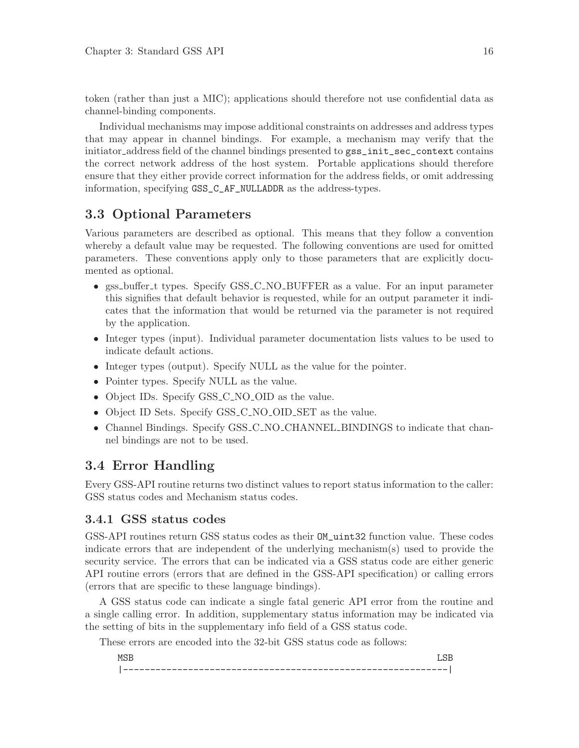<span id="page-19-0"></span>token (rather than just a MIC); applications should therefore not use confidential data as channel-binding components.

Individual mechanisms may impose additional constraints on addresses and address types that may appear in channel bindings. For example, a mechanism may verify that the initiator address field of the channel bindings presented to gss\_init\_sec\_context contains the correct network address of the host system. Portable applications should therefore ensure that they either provide correct information for the address fields, or omit addressing information, specifying GSS\_C\_AF\_NULLADDR as the address-types.

# 3.3 Optional Parameters

Various parameters are described as optional. This means that they follow a convention whereby a default value may be requested. The following conventions are used for omitted parameters. These conventions apply only to those parameters that are explicitly documented as optional.

- gss\_buffer\_t types. Specify GSS\_C\_NO\_BUFFER as a value. For an input parameter this signifies that default behavior is requested, while for an output parameter it indicates that the information that would be returned via the parameter is not required by the application.
- Integer types (input). Individual parameter documentation lists values to be used to indicate default actions.
- Integer types (output). Specify NULL as the value for the pointer.
- Pointer types. Specify NULL as the value.
- Object IDs. Specify GSS\_C\_NO\_OID as the value.
- Object ID Sets. Specify GSS\_C\_NO\_OID\_SET as the value.
- Channel Bindings. Specify GSS\_C\_NO\_CHANNEL\_BINDINGS to indicate that channel bindings are not to be used.

# 3.4 Error Handling

Every GSS-API routine returns two distinct values to report status information to the caller: GSS status codes and Mechanism status codes.

#### 3.4.1 GSS status codes

GSS-API routines return GSS status codes as their OM\_uint32 function value. These codes indicate errors that are independent of the underlying mechanism(s) used to provide the security service. The errors that can be indicated via a GSS status code are either generic API routine errors (errors that are defined in the GSS-API specification) or calling errors (errors that are specific to these language bindings).

A GSS status code can indicate a single fatal generic API error from the routine and a single calling error. In addition, supplementary status information may be indicated via the setting of bits in the supplementary info field of a GSS status code.

These errors are encoded into the 32-bit GSS status code as follows:

| м |  |
|---|--|
|   |  |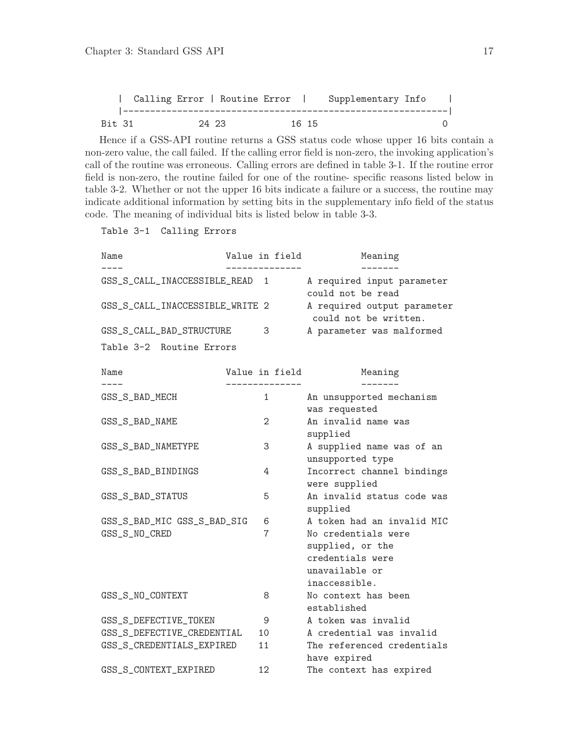|        | Calling Error   Routine Error |       |  |       | Supplementary Info |  |
|--------|-------------------------------|-------|--|-------|--------------------|--|
|        |                               |       |  |       |                    |  |
| Bit 31 |                               | 24 23 |  | 16 15 |                    |  |

Hence if a GSS-API routine returns a GSS status code whose upper 16 bits contain a non-zero value, the call failed. If the calling error field is non-zero, the invoking application's call of the routine was erroneous. Calling errors are defined in table 3-1. If the routine error field is non-zero, the routine failed for one of the routine- specific reasons listed below in table 3-2. Whether or not the upper 16 bits indicate a failure or a success, the routine may indicate additional information by setting bits in the supplementary info field of the status code. The meaning of individual bits is listed below in table 3-3.

Table 3-1 Calling Errors

| Name                                  |  |                | Value in field | Meaning                                                                                        |
|---------------------------------------|--|----------------|----------------|------------------------------------------------------------------------------------------------|
| $---$<br>GSS_S_CALL_INACCESSIBLE_READ |  | $\mathbf{1}$   |                | A required input parameter<br>could not be read                                                |
| GSS_S_CALL_INACCESSIBLE_WRITE 2       |  |                |                | A required output parameter<br>could not be written.                                           |
| GSS_S_CALL_BAD_STRUCTURE              |  | 3              |                | A parameter was malformed                                                                      |
| Table 3-2 Routine Errors              |  |                |                |                                                                                                |
| Name<br>$---$                         |  |                | Value in field | Meaning                                                                                        |
| GSS_S_BAD_MECH                        |  | 1              |                | An unsupported mechanism<br>was requested                                                      |
| GSS_S_BAD_NAME                        |  | $\overline{2}$ |                | An invalid name was<br>supplied                                                                |
| GSS_S_BAD_NAMETYPE                    |  | 3              |                | A supplied name was of an<br>unsupported type                                                  |
| GSS_S_BAD_BINDINGS                    |  | 4              |                | Incorrect channel bindings<br>were supplied                                                    |
| GSS_S_BAD_STATUS                      |  |                |                | An invalid status code was<br>supplied                                                         |
| GSS_S_BAD_MIC GSS_S_BAD_SIG           |  | 6              |                | A token had an invalid MIC                                                                     |
| GSS_S_NO_CRED                         |  | $\overline{7}$ |                | No credentials were<br>supplied, or the<br>credentials were<br>unavailable or<br>inaccessible. |
| GSS_S_NO_CONTEXT                      |  | 8              |                | No context has been<br>established                                                             |
| GSS_S_DEFECTIVE_TOKEN                 |  | 9              |                | A token was invalid                                                                            |
| GSS_S_DEFECTIVE_CREDENTIAL            |  | 10             |                | A credential was invalid                                                                       |
| GSS_S_CREDENTIALS_EXPIRED             |  |                |                | The referenced credentials<br>have expired                                                     |
| GSS_S_CONTEXT_EXPIRED                 |  |                |                | The context has expired                                                                        |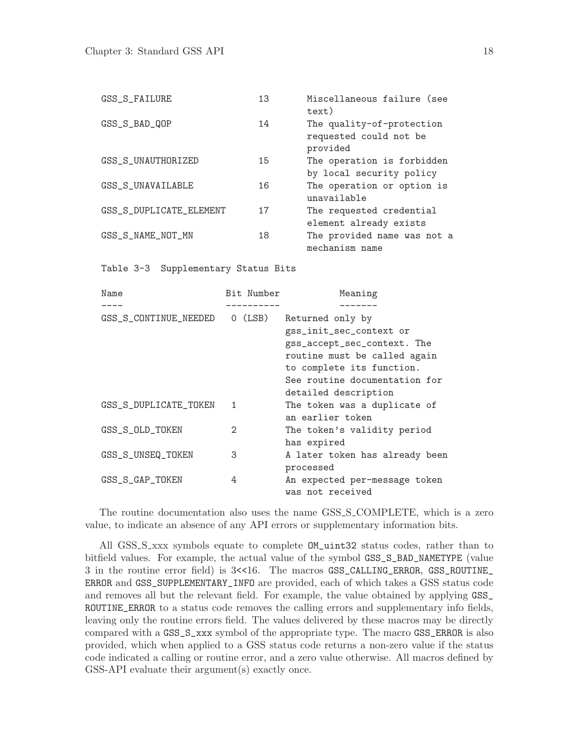| GSS_S_FAILURE           | 13 | Miscellaneous failure (see<br>text)                             |
|-------------------------|----|-----------------------------------------------------------------|
| GSS_S_BAD_QOP           | 14 | The quality-of-protection<br>requested could not be<br>provided |
| GSS_S_UNAUTHORIZED      | 15 | The operation is forbidden<br>by local security policy          |
| GSS_S_UNAVAILABLE       | 16 | The operation or option is<br>unavailable                       |
| GSS_S_DUPLICATE_ELEMENT | 17 | The requested credential<br>element already exists              |
| GSS_S_NAME_NOT_MN       | 18 | The provided name was not a<br>mechanism name                   |

Table 3-3 Supplementary Status Bits

| Name                  | Bit Number | Meaning                                                                                                                                                                                          |
|-----------------------|------------|--------------------------------------------------------------------------------------------------------------------------------------------------------------------------------------------------|
| GSS_S_CONTINUE_NEEDED | 0 (LSB)    | Returned only by<br>gss_init_sec_context or<br>gss_accept_sec_context. The<br>routine must be called again<br>to complete its function.<br>See routine documentation for<br>detailed description |
| GSS_S_DUPLICATE_TOKEN | 1          | The token was a duplicate of<br>an earlier token                                                                                                                                                 |
| GSS_S_OLD_TOKEN       | 2          | The token's validity period<br>has expired                                                                                                                                                       |
| GSS_S_UNSEQ_TOKEN     | 3          | A later token has already been<br>processed                                                                                                                                                      |
| GSS_S_GAP_TOKEN       | 4          | An expected per-message token<br>was not received                                                                                                                                                |

The routine documentation also uses the name GSS S COMPLETE, which is a zero value, to indicate an absence of any API errors or supplementary information bits.

All GSS\_S\_xxx symbols equate to complete  $OM\_uint32$  status codes, rather than to bitfield values. For example, the actual value of the symbol GSS\_S\_BAD\_NAMETYPE (value 3 in the routine error field) is 3<<16. The macros GSS\_CALLING\_ERROR, GSS\_ROUTINE\_ ERROR and GSS\_SUPPLEMENTARY\_INFO are provided, each of which takes a GSS status code and removes all but the relevant field. For example, the value obtained by applying GSS\_ ROUTINE\_ERROR to a status code removes the calling errors and supplementary info fields, leaving only the routine errors field. The values delivered by these macros may be directly compared with a GSS\_S\_xxx symbol of the appropriate type. The macro GSS\_ERROR is also provided, which when applied to a GSS status code returns a non-zero value if the status code indicated a calling or routine error, and a zero value otherwise. All macros defined by GSS-API evaluate their argument(s) exactly once.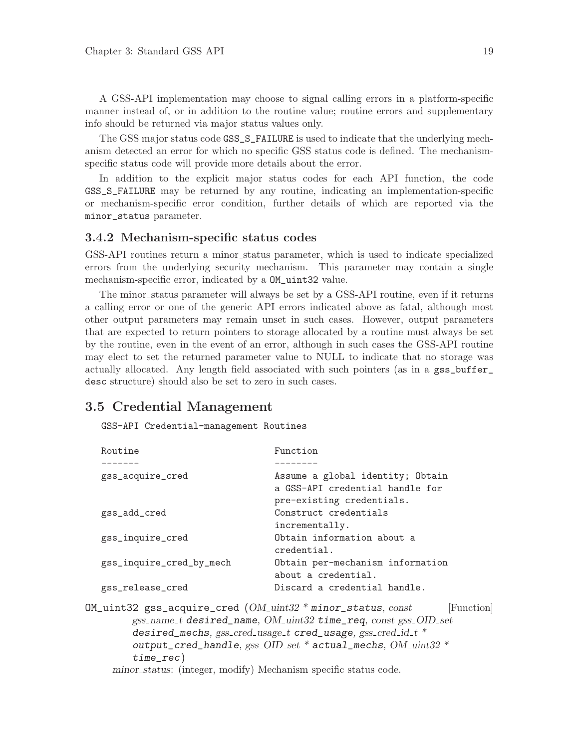<span id="page-22-0"></span>A GSS-API implementation may choose to signal calling errors in a platform-specific manner instead of, or in addition to the routine value; routine errors and supplementary info should be returned via major status values only.

The GSS major status code GSS\_S\_FAILURE is used to indicate that the underlying mechanism detected an error for which no specific GSS status code is defined. The mechanismspecific status code will provide more details about the error.

In addition to the explicit major status codes for each API function, the code GSS\_S\_FAILURE may be returned by any routine, indicating an implementation-specific or mechanism-specific error condition, further details of which are reported via the minor\_status parameter.

#### 3.4.2 Mechanism-specific status codes

GSS-API routines return a minor status parameter, which is used to indicate specialized errors from the underlying security mechanism. This parameter may contain a single mechanism-specific error, indicated by a OM\_uint32 value.

The minor status parameter will always be set by a GSS-API routine, even if it returns a calling error or one of the generic API errors indicated above as fatal, although most other output parameters may remain unset in such cases. However, output parameters that are expected to return pointers to storage allocated by a routine must always be set by the routine, even in the event of an error, although in such cases the GSS-API routine may elect to set the returned parameter value to NULL to indicate that no storage was actually allocated. Any length field associated with such pointers (as in a gss\_buffer\_ desc structure) should also be set to zero in such cases.

# 3.5 Credential Management

GSS-API Credential-management Routines

|                                                                                                                                                                                                                                                                                                 | Routine                  | Function                                                            |
|-------------------------------------------------------------------------------------------------------------------------------------------------------------------------------------------------------------------------------------------------------------------------------------------------|--------------------------|---------------------------------------------------------------------|
|                                                                                                                                                                                                                                                                                                 |                          |                                                                     |
|                                                                                                                                                                                                                                                                                                 | gss_acquire_cred         | Assume a global identity; Obtain<br>a GSS-API credential handle for |
|                                                                                                                                                                                                                                                                                                 | gss_add_cred             | pre-existing credentials.<br>Construct credentials                  |
|                                                                                                                                                                                                                                                                                                 | gss_inquire_cred         | incrementally.<br>Obtain information about a<br>credential.         |
|                                                                                                                                                                                                                                                                                                 | gss_inquire_cred_by_mech | Obtain per-mechanism information<br>about a credential.             |
|                                                                                                                                                                                                                                                                                                 | gss_release_cred         | Discard a credential handle.                                        |
| $OM\_uint32$ gss_acquire_cred $(OM\_uint32$ * minor_status, $const$<br>Function<br>$gss_name_t$ desired_name, $OM_$ uint $32$ time_req, const $gss_$ -OID_set<br>desired_mechs, gss_cred_usage_t cred_usage, gss_cred_id_t *<br>output_cred_handle, gss_OID_set $*$ actual_mechs, OM_uint32 $*$ |                          |                                                                     |

```
time_rec)
```
minor\_status: (integer, modify) Mechanism specific status code.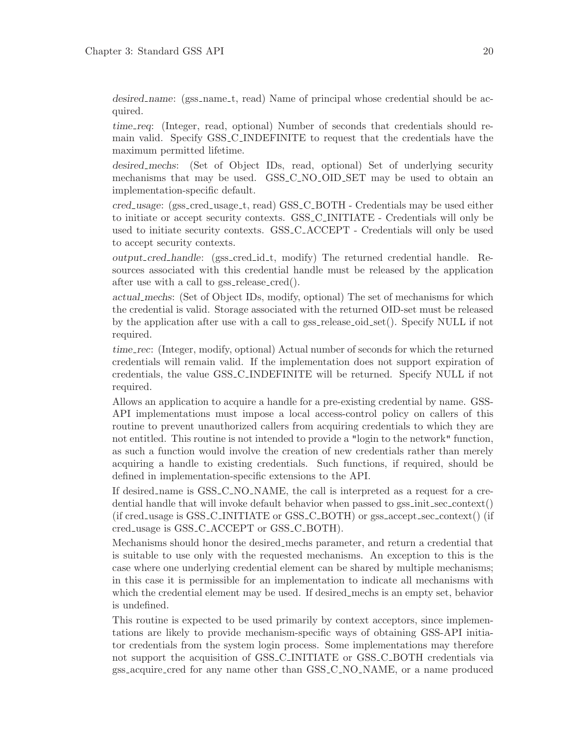desired name: (gss\_name\_t, read) Name of principal whose credential should be acquired.

time req: (Integer, read, optional) Number of seconds that credentials should remain valid. Specify GSS C INDEFINITE to request that the credentials have the maximum permitted lifetime.

desired mechs: (Set of Object IDs, read, optional) Set of underlying security mechanisms that may be used. GSS C NO OID SET may be used to obtain an implementation-specific default.

cred usage: (gss cred usage t, read) GSS C BOTH - Credentials may be used either to initiate or accept security contexts. GSS C INITIATE - Credentials will only be used to initiate security contexts. GSS C ACCEPT - Credentials will only be used to accept security contexts.

output cred handle: (gss cred id t, modify) The returned credential handle. Resources associated with this credential handle must be released by the application after use with a call to gss\_release\_cred().

actual mechs: (Set of Object IDs, modify, optional) The set of mechanisms for which the credential is valid. Storage associated with the returned OID-set must be released by the application after use with a call to gss release oid set(). Specify NULL if not required.

time rec: (Integer, modify, optional) Actual number of seconds for which the returned credentials will remain valid. If the implementation does not support expiration of credentials, the value GSS C INDEFINITE will be returned. Specify NULL if not required.

Allows an application to acquire a handle for a pre-existing credential by name. GSS-API implementations must impose a local access-control policy on callers of this routine to prevent unauthorized callers from acquiring credentials to which they are not entitled. This routine is not intended to provide a "login to the network" function, as such a function would involve the creation of new credentials rather than merely acquiring a handle to existing credentials. Such functions, if required, should be defined in implementation-specific extensions to the API.

If desired name is GSS C NO NAME, the call is interpreted as a request for a credential handle that will invoke default behavior when passed to gss\_init\_sec\_context() (if cred usage is GSS C INITIATE or GSS C BOTH) or gss accept sec context() (if cred usage is GSS C ACCEPT or GSS C BOTH).

Mechanisms should honor the desired mechs parameter, and return a credential that is suitable to use only with the requested mechanisms. An exception to this is the case where one underlying credential element can be shared by multiple mechanisms; in this case it is permissible for an implementation to indicate all mechanisms with which the credential element may be used. If desired mechs is an empty set, behavior is undefined.

This routine is expected to be used primarily by context acceptors, since implementations are likely to provide mechanism-specific ways of obtaining GSS-API initiator credentials from the system login process. Some implementations may therefore not support the acquisition of GSS\_C\_INITIATE or GSS\_C\_BOTH credentials via gss acquire cred for any name other than GSS C NO NAME, or a name produced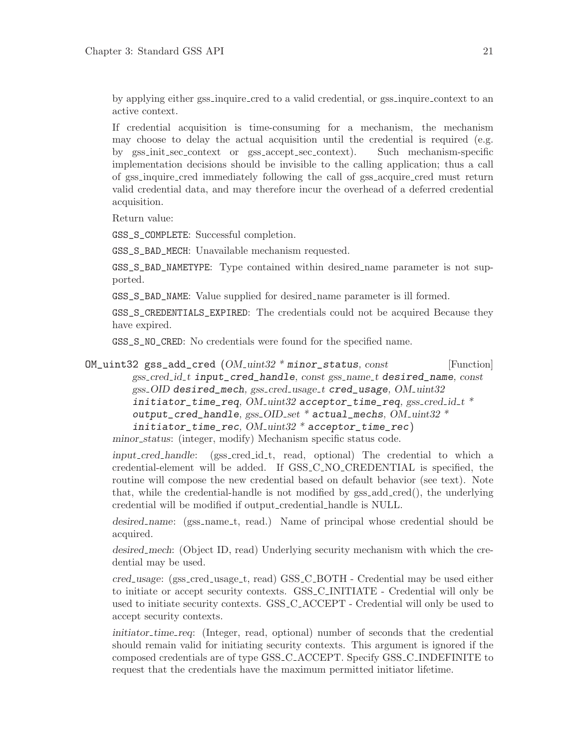by applying either gss inquire cred to a valid credential, or gss inquire context to an active context.

If credential acquisition is time-consuming for a mechanism, the mechanism may choose to delay the actual acquisition until the credential is required (e.g. by gss init sec context or gss accept sec context). Such mechanism-specific implementation decisions should be invisible to the calling application; thus a call of gss inquire cred immediately following the call of gss acquire cred must return valid credential data, and may therefore incur the overhead of a deferred credential acquisition.

Return value:

GSS\_S\_COMPLETE: Successful completion.

GSS\_S\_BAD\_MECH: Unavailable mechanism requested.

GSS\_S\_BAD\_NAMETYPE: Type contained within desired name parameter is not supported.

GSS\_S\_BAD\_NAME: Value supplied for desired name parameter is ill formed.

GSS\_S\_CREDENTIALS\_EXPIRED: The credentials could not be acquired Because they have expired.

GSS\_S\_NO\_CRED: No credentials were found for the specified name.

```
OM\_uint32 gss_add_cred (OM\_uint32 * minor\_status, const [Function]
         gss cred id t input_cred_handle, const gss name t desired_name, const
         gss_OID desired_mech, gss_cred_usage_t cred_usage, OM_uint32
         initiator\_time\_req, \tOM\_uint32 \tacceptor\_time\_req, \tgs\_cred\_id\_t \t *{\tt output\_cred\_handle}, {\tt gss_OID\_set} * {\tt actual\_mechs}, {\tt OM\_uint32} *initiator_time_rec, OM-unit32 * acceptor_time_rec)
```
minor status: (integer, modify) Mechanism specific status code.

input cred handle: (gss cred id t, read, optional) The credential to which a credential-element will be added. If GSS C NO CREDENTIAL is specified, the routine will compose the new credential based on default behavior (see text). Note that, while the credential-handle is not modified by gss add cred(), the underlying credential will be modified if output credential handle is NULL.

desired name: (gss\_name\_t, read.) Name of principal whose credential should be acquired.

desired mech: (Object ID, read) Underlying security mechanism with which the credential may be used.

cred usage: (gss cred usage t, read) GSS C BOTH - Credential may be used either to initiate or accept security contexts. GSS C INITIATE - Credential will only be used to initiate security contexts. GSS C ACCEPT - Credential will only be used to accept security contexts.

initiator time req: (Integer, read, optional) number of seconds that the credential should remain valid for initiating security contexts. This argument is ignored if the composed credentials are of type GSS C ACCEPT. Specify GSS C INDEFINITE to request that the credentials have the maximum permitted initiator lifetime.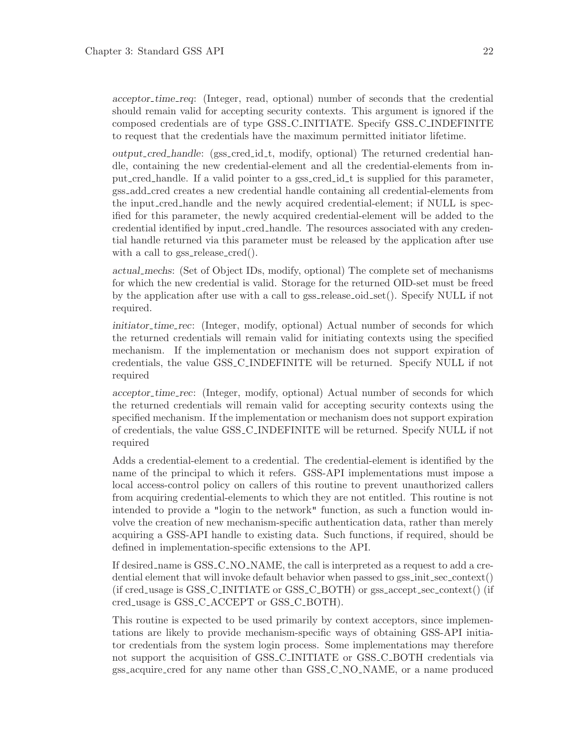acceptor time req: (Integer, read, optional) number of seconds that the credential should remain valid for accepting security contexts. This argument is ignored if the composed credentials are of type GSS C INITIATE. Specify GSS C INDEFINITE to request that the credentials have the maximum permitted initiator lifetime.

output cred handle: (gss cred id t, modify, optional) The returned credential handle, containing the new credential-element and all the credential-elements from input cred handle. If a valid pointer to a gss cred id t is supplied for this parameter, gss add cred creates a new credential handle containing all credential-elements from the input cred handle and the newly acquired credential-element; if NULL is specified for this parameter, the newly acquired credential-element will be added to the credential identified by input cred handle. The resources associated with any credential handle returned via this parameter must be released by the application after use with a call to gss\_release\_cred().

actual mechs: (Set of Object IDs, modify, optional) The complete set of mechanisms for which the new credential is valid. Storage for the returned OID-set must be freed by the application after use with a call to gss release oid set(). Specify NULL if not required.

initiator time rec: (Integer, modify, optional) Actual number of seconds for which the returned credentials will remain valid for initiating contexts using the specified mechanism. If the implementation or mechanism does not support expiration of credentials, the value GSS C INDEFINITE will be returned. Specify NULL if not required

acceptor time rec: (Integer, modify, optional) Actual number of seconds for which the returned credentials will remain valid for accepting security contexts using the specified mechanism. If the implementation or mechanism does not support expiration of credentials, the value GSS C INDEFINITE will be returned. Specify NULL if not required

Adds a credential-element to a credential. The credential-element is identified by the name of the principal to which it refers. GSS-API implementations must impose a local access-control policy on callers of this routine to prevent unauthorized callers from acquiring credential-elements to which they are not entitled. This routine is not intended to provide a "login to the network" function, as such a function would involve the creation of new mechanism-specific authentication data, rather than merely acquiring a GSS-API handle to existing data. Such functions, if required, should be defined in implementation-specific extensions to the API.

If desired name is GSS\_C\_NO\_NAME, the call is interpreted as a request to add a credential element that will invoke default behavior when passed to gss\_init\_sec\_context() (if cred usage is GSS C INITIATE or GSS C BOTH) or gss accept sec context() (if cred usage is GSS C ACCEPT or GSS C BOTH).

This routine is expected to be used primarily by context acceptors, since implementations are likely to provide mechanism-specific ways of obtaining GSS-API initiator credentials from the system login process. Some implementations may therefore not support the acquisition of GSS\_C\_INITIATE or GSS\_C\_BOTH credentials via gss acquire cred for any name other than GSS C NO NAME, or a name produced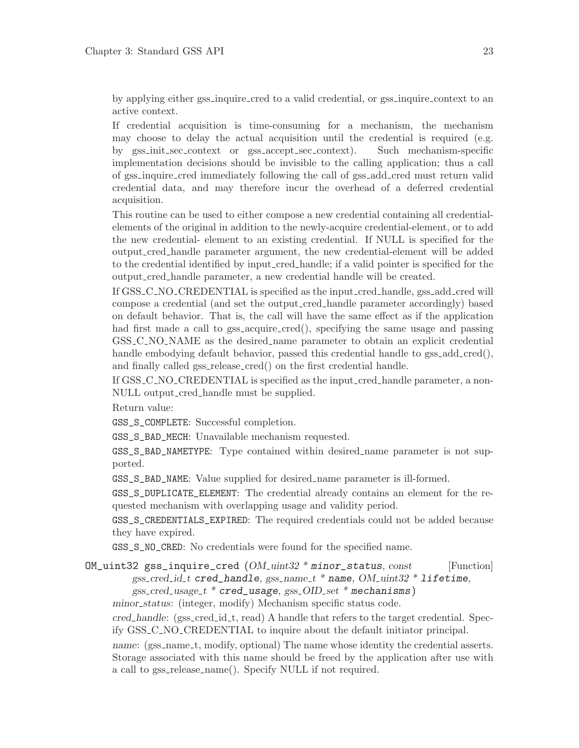by applying either gss inquire cred to a valid credential, or gss inquire context to an active context.

If credential acquisition is time-consuming for a mechanism, the mechanism may choose to delay the actual acquisition until the credential is required (e.g. by gss init sec context or gss accept sec context). Such mechanism-specific implementation decisions should be invisible to the calling application; thus a call of gss inquire cred immediately following the call of gss add cred must return valid credential data, and may therefore incur the overhead of a deferred credential acquisition.

This routine can be used to either compose a new credential containing all credentialelements of the original in addition to the newly-acquire credential-element, or to add the new credential- element to an existing credential. If NULL is specified for the output cred handle parameter argument, the new credential-element will be added to the credential identified by input cred handle; if a valid pointer is specified for the output cred handle parameter, a new credential handle will be created.

If GSS\_C\_NO\_CREDENTIAL is specified as the input\_cred\_handle, gss\_add\_cred will compose a credential (and set the output cred handle parameter accordingly) based on default behavior. That is, the call will have the same effect as if the application had first made a call to gss\_acquire\_cred(), specifying the same usage and passing GSS C NO NAME as the desired name parameter to obtain an explicit credential handle embodying default behavior, passed this credential handle to gss\_add\_cred(), and finally called gss release cred() on the first credential handle.

If GSS\_C\_NO\_CREDENTIAL is specified as the input cred handle parameter, a non-NULL output cred handle must be supplied.

Return value:

GSS\_S\_COMPLETE: Successful completion.

GSS\_S\_BAD\_MECH: Unavailable mechanism requested.

GSS\_S\_BAD\_NAMETYPE: Type contained within desired name parameter is not supported.

GSS\_S\_BAD\_NAME: Value supplied for desired name parameter is ill-formed.

GSS\_S\_DUPLICATE\_ELEMENT: The credential already contains an element for the requested mechanism with overlapping usage and validity period.

GSS\_S\_CREDENTIALS\_EXPIRED: The required credentials could not be added because they have expired.

GSS\_S\_NO\_CRED: No credentials were found for the specified name.

#### $OM\_uint32$  gss\_inquire\_cred  $(OM\_uint32 * minor\_status, const$  [Function]  $gss\_cred\_id\_t$  cred\_handle,  $gss\_name\_t$  \* name,  $OM\_uint32$  \* lifetime,  $gss\_cred\_usage_t * cred\_usage, gss\_OID\_set * mechanisms)$

minor\_status: (integer, modify) Mechanism specific status code.

cred handle: (gss cred id t, read) A handle that refers to the target credential. Specify GSS C NO CREDENTIAL to inquire about the default initiator principal.

name: (gss\_name\_t, modify, optional) The name whose identity the credential asserts. Storage associated with this name should be freed by the application after use with a call to gss release name(). Specify NULL if not required.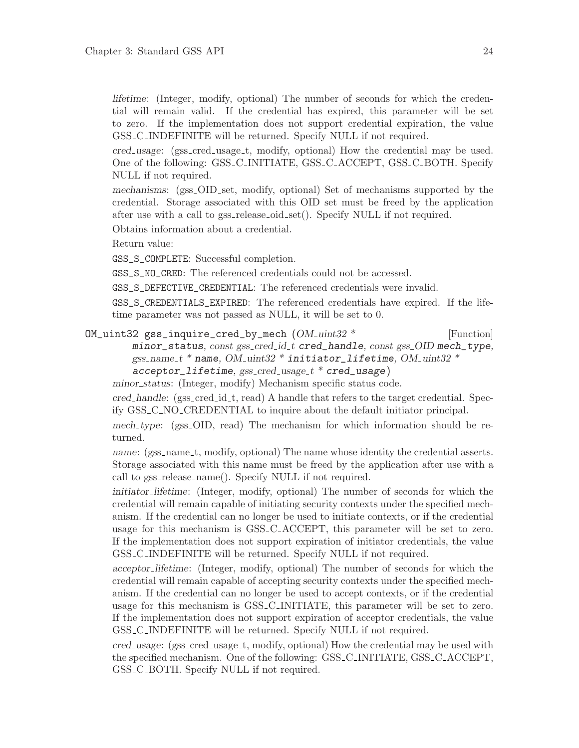lifetime: (Integer, modify, optional) The number of seconds for which the credential will remain valid. If the credential has expired, this parameter will be set to zero. If the implementation does not support credential expiration, the value GSS C INDEFINITE will be returned. Specify NULL if not required.

cred usage: (gss cred usage t, modify, optional) How the credential may be used. One of the following: GSS C INITIATE, GSS C ACCEPT, GSS C BOTH. Specify NULL if not required.

mechanisms: (gss OID set, modify, optional) Set of mechanisms supported by the credential. Storage associated with this OID set must be freed by the application after use with a call to gss release oid set(). Specify NULL if not required.

Obtains information about a credential.

Return value:

GSS\_S\_COMPLETE: Successful completion.

GSS\_S\_NO\_CRED: The referenced credentials could not be accessed.

GSS\_S\_DEFECTIVE\_CREDENTIAL: The referenced credentials were invalid.

GSS\_S\_CREDENTIALS\_EXPIRED: The referenced credentials have expired. If the lifetime parameter was not passed as NULL, it will be set to 0.

OM\_uint32 gss\_inquire\_cred\_by\_mech ( $OM\_uint32$  \* [Function] minor\_status, const gss cred id t cred\_handle, const gss OID mech\_type,  $gss_name_t * name, OM_uint32 * initiator_lifetime, OM_uint32 *$  $acceptor$ <sub>\_lifetime, gss\_cred\_usage\_t</sub>  $*$  cred\_usage)

minor status: (Integer, modify) Mechanism specific status code.

cred handle: (gss cred id t, read) A handle that refers to the target credential. Specify GSS C NO CREDENTIAL to inquire about the default initiator principal.

mech type: (gss OID, read) The mechanism for which information should be returned.

name: (gss\_name\_t, modify, optional) The name whose identity the credential asserts. Storage associated with this name must be freed by the application after use with a call to gss release name(). Specify NULL if not required.

initiator lifetime: (Integer, modify, optional) The number of seconds for which the credential will remain capable of initiating security contexts under the specified mechanism. If the credential can no longer be used to initiate contexts, or if the credential usage for this mechanism is GSS C ACCEPT, this parameter will be set to zero. If the implementation does not support expiration of initiator credentials, the value GSS C INDEFINITE will be returned. Specify NULL if not required.

acceptor lifetime: (Integer, modify, optional) The number of seconds for which the credential will remain capable of accepting security contexts under the specified mechanism. If the credential can no longer be used to accept contexts, or if the credential usage for this mechanism is GSS C INITIATE, this parameter will be set to zero. If the implementation does not support expiration of acceptor credentials, the value GSS C INDEFINITE will be returned. Specify NULL if not required.

cred usage: (gss cred usage t, modify, optional) How the credential may be used with the specified mechanism. One of the following: GSS C INITIATE, GSS C ACCEPT, GSS C BOTH. Specify NULL if not required.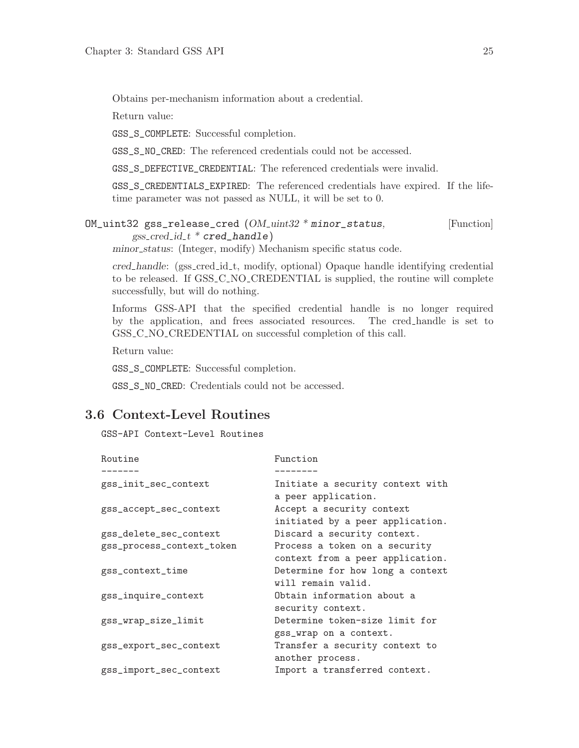<span id="page-28-0"></span>Obtains per-mechanism information about a credential.

Return value:

GSS\_S\_COMPLETE: Successful completion.

GSS\_S\_NO\_CRED: The referenced credentials could not be accessed.

GSS\_S\_DEFECTIVE\_CREDENTIAL: The referenced credentials were invalid.

GSS\_S\_CREDENTIALS\_EXPIRED: The referenced credentials have expired. If the lifetime parameter was not passed as NULL, it will be set to 0.

```
OM_uint32 gss_release_cred (OM_uint32 * minor_status, [Function]
       gss\_cred\_id_t * cred\_handle)
```
minor\_status: (Integer, modify) Mechanism specific status code.

cred handle: (gss cred id t, modify, optional) Opaque handle identifying credential to be released. If GSS C NO CREDENTIAL is supplied, the routine will complete successfully, but will do nothing.

Informs GSS-API that the specified credential handle is no longer required by the application, and frees associated resources. The cred handle is set to GSS C NO CREDENTIAL on successful completion of this call.

Return value:

GSS\_S\_COMPLETE: Successful completion.

GSS\_S\_NO\_CRED: Credentials could not be accessed.

# 3.6 Context-Level Routines

GSS-API Context-Level Routines

| Routine                   | Function                         |
|---------------------------|----------------------------------|
|                           |                                  |
| gss_init_sec_context      | Initiate a security context with |
|                           | a peer application.              |
| gss_accept_sec_context    | Accept a security context        |
|                           | initiated by a peer application. |
| gss_delete_sec_context    | Discard a security context.      |
| gss_process_context_token | Process a token on a security    |
|                           | context from a peer application. |
| gss_context_time          | Determine for how long a context |
|                           | will remain valid.               |
| gss_inquire_context       | Obtain information about a       |
|                           | security context.                |
| gss_wrap_size_limit       | Determine token-size limit for   |
|                           | gss_wrap on a context.           |
| gss_export_sec_context    | Transfer a security context to   |
|                           | another process.                 |
| gss_import_sec_context    | Import a transferred context.    |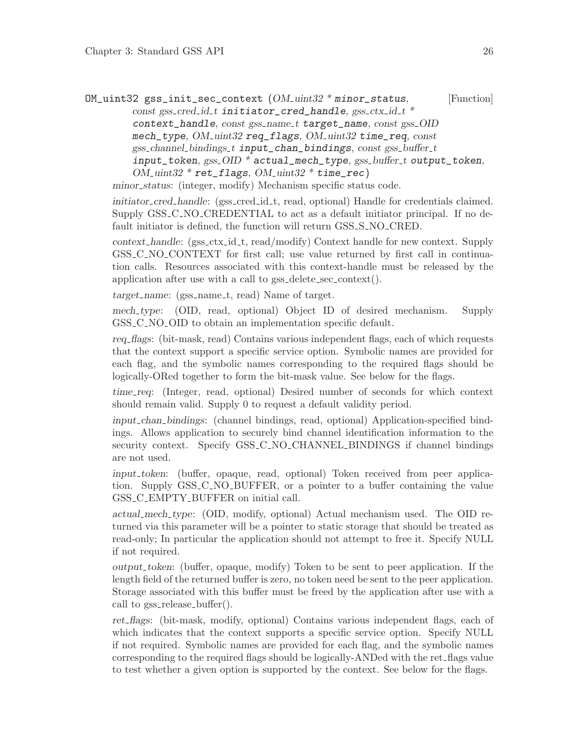$OM\_uint32$  gss\_init\_sec\_context  $(OM\_uint32 * minor\_status,$  [Function] const gss\_cred\_id\_t initiator\_cred\_handle, gss\_ctx\_id\_t  $*$ context\_handle, const gss\_name\_t target\_name, const gss\_OID mech\_type, OM\_uint32 req\_flags, OM\_uint32 time\_req, const gss channel bindings t input\_chan\_bindings, const gss buffer t input\_token,  $gss$ -OID  $*$  actual\_mech\_type,  $gss$ -buffer\_t output\_token,  $OM\_uint32 * ret\_flags$ ,  $OM\_uint32 * time\_rec$ )

minor\_status: (integer, modify) Mechanism specific status code.

initiator\_cred\_handle: (gss\_cred\_id\_t, read, optional) Handle for credentials claimed. Supply GSS C NO CREDENTIAL to act as a default initiator principal. If no default initiator is defined, the function will return GSS\_S\_NO\_CRED.

context handle: (gss\_ctx\_id\_t, read/modify) Context handle for new context. Supply GSS C NO CONTEXT for first call; use value returned by first call in continuation calls. Resources associated with this context-handle must be released by the application after use with a call to gss delete sec context().

target\_name: (gss\_name\_t, read) Name of target.

mech type: (OID, read, optional) Object ID of desired mechanism. Supply GSS C NO OID to obtain an implementation specific default.

req flags: (bit-mask, read) Contains various independent flags, each of which requests that the context support a specific service option. Symbolic names are provided for each flag, and the symbolic names corresponding to the required flags should be logically-ORed together to form the bit-mask value. See below for the flags.

time req: (Integer, read, optional) Desired number of seconds for which context should remain valid. Supply 0 to request a default validity period.

input chan bindings: (channel bindings, read, optional) Application-specified bindings. Allows application to securely bind channel identification information to the security context. Specify GSS\_C\_NO\_CHANNEL\_BINDINGS if channel bindings are not used.

input token: (buffer, opaque, read, optional) Token received from peer application. Supply GSS C NO BUFFER, or a pointer to a buffer containing the value GSS C EMPTY BUFFER on initial call.

actual mech type: (OID, modify, optional) Actual mechanism used. The OID returned via this parameter will be a pointer to static storage that should be treated as read-only; In particular the application should not attempt to free it. Specify NULL if not required.

output token: (buffer, opaque, modify) Token to be sent to peer application. If the length field of the returned buffer is zero, no token need be sent to the peer application. Storage associated with this buffer must be freed by the application after use with a call to gss\_release\_buffer().

ret flags: (bit-mask, modify, optional) Contains various independent flags, each of which indicates that the context supports a specific service option. Specify NULL if not required. Symbolic names are provided for each flag, and the symbolic names corresponding to the required flags should be logically-ANDed with the ret flags value to test whether a given option is supported by the context. See below for the flags.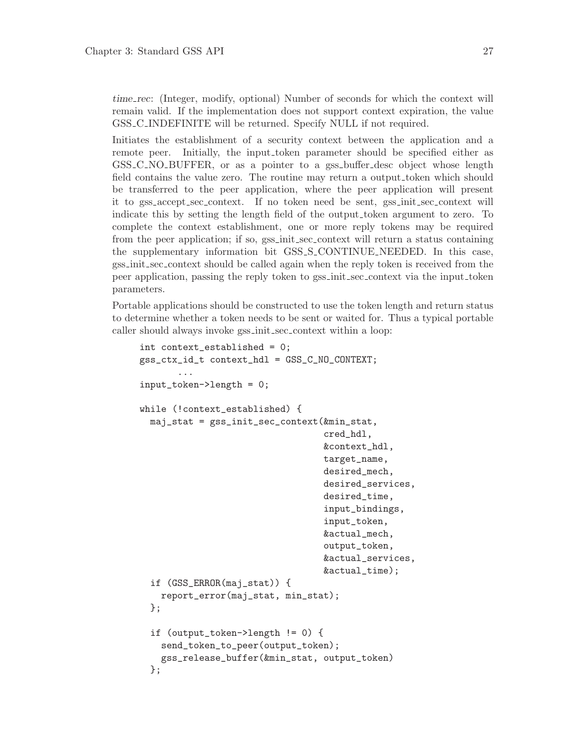time rec: (Integer, modify, optional) Number of seconds for which the context will remain valid. If the implementation does not support context expiration, the value GSS C INDEFINITE will be returned. Specify NULL if not required.

Initiates the establishment of a security context between the application and a remote peer. Initially, the input token parameter should be specified either as GSS C NO BUFFER, or as a pointer to a gss buffer desc object whose length field contains the value zero. The routine may return a output token which should be transferred to the peer application, where the peer application will present it to gss accept sec context. If no token need be sent, gss init sec context will indicate this by setting the length field of the output token argument to zero. To complete the context establishment, one or more reply tokens may be required from the peer application; if so, gss\_init\_sec\_context will return a status containing the supplementary information bit GSS S CONTINUE NEEDED. In this case, gss init sec context should be called again when the reply token is received from the peer application, passing the reply token to gss init sec context via the input token parameters.

Portable applications should be constructed to use the token length and return status to determine whether a token needs to be sent or waited for. Thus a typical portable caller should always invoke gss init sec context within a loop:

```
int context_established = 0;
gss_ctx_id_t context_hdl = GSS_C_NO_CONTEXT;
       ...
input_token->length = 0;
while (!context_established) {
  maj_stat = gss_init_sec_context(&min_stat,
                                   cred_hdl,
                                   &context_hdl,
                                   target_name,
                                   desired_mech,
                                   desired_services,
                                   desired_time,
                                   input_bindings,
                                   input_token,
                                   &actual_mech,
                                   output_token,
                                   &actual_services,
                                   &actual_time);
  if (GSS_ERROR(maj_stat)) {
    report_error(maj_stat, min_stat);
  };
  if (output_token->length != 0) {
    send_token_to_peer(output_token);
    gss_release_buffer(&min_stat, output_token)
  };
```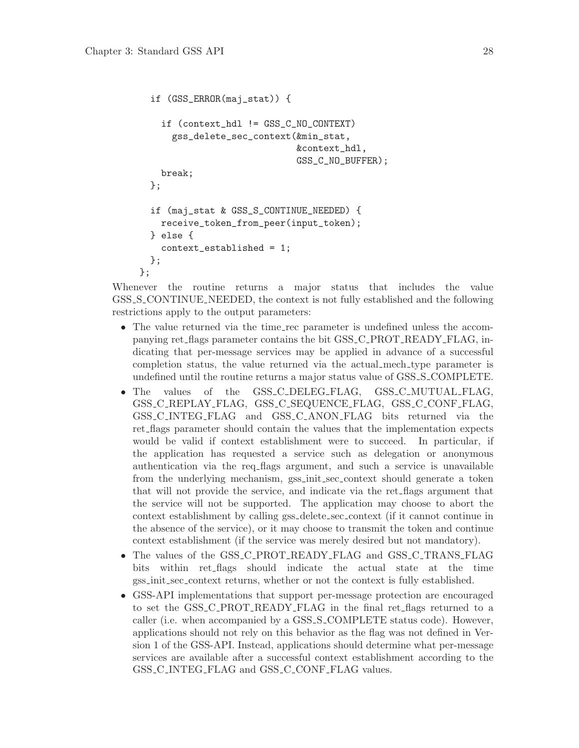```
if (GSS_ERROR(maj_stat)) {
    if (context_hdl != GSS_C_NO_CONTEXT)
      gss_delete_sec_context(&min_stat,
                              &context_hdl,
                              GSS_C_NO_BUFFER);
    break;
  };
  if (maj_stat & GSS_S_CONTINUE_NEEDED) {
    receive_token_from_peer(input_token);
  } else {
    context_established = 1;
  };
};
```
Whenever the routine returns a major status that includes the value GSS S CONTINUE NEEDED, the context is not fully established and the following restrictions apply to the output parameters:

- The value returned via the time rec parameter is undefined unless the accompanying ret flags parameter contains the bit GSS C PROT READY FLAG, indicating that per-message services may be applied in advance of a successful completion status, the value returned via the actual mech type parameter is undefined until the routine returns a major status value of GSS\_S\_COMPLETE.
- The values of the GSS\_C\_DELEG\_FLAG, GSS\_C\_MUTUAL\_FLAG, GSS C REPLAY FLAG, GSS C SEQUENCE FLAG, GSS C CONF FLAG, GSS C INTEG FLAG and GSS C ANON FLAG bits returned via the ret flags parameter should contain the values that the implementation expects would be valid if context establishment were to succeed. In particular, if the application has requested a service such as delegation or anonymous authentication via the req flags argument, and such a service is unavailable from the underlying mechanism, gss init sec context should generate a token that will not provide the service, and indicate via the ret flags argument that the service will not be supported. The application may choose to abort the context establishment by calling gss delete sec context (if it cannot continue in the absence of the service), or it may choose to transmit the token and continue context establishment (if the service was merely desired but not mandatory).
- The values of the GSS\_C\_PROT\_READY\_FLAG and GSS\_C\_TRANS\_FLAG bits within ret flags should indicate the actual state at the time gss init sec context returns, whether or not the context is fully established.
- GSS-API implementations that support per-message protection are encouraged to set the GSS C PROT READY FLAG in the final ret flags returned to a caller (i.e. when accompanied by a GSS S COMPLETE status code). However, applications should not rely on this behavior as the flag was not defined in Version 1 of the GSS-API. Instead, applications should determine what per-message services are available after a successful context establishment according to the GSS C INTEG FLAG and GSS C CONF FLAG values.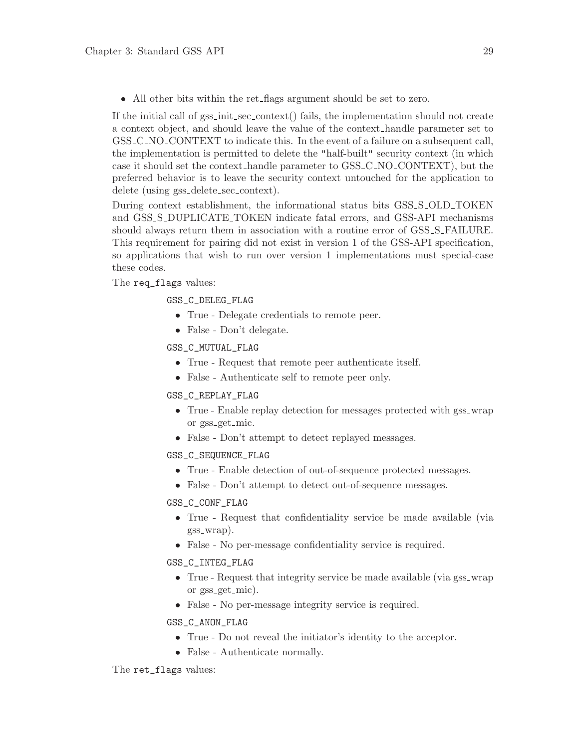• All other bits within the ret flags argument should be set to zero.

If the initial call of gss init sec context() fails, the implementation should not create a context object, and should leave the value of the context handle parameter set to GSS C NO CONTEXT to indicate this. In the event of a failure on a subsequent call, the implementation is permitted to delete the "half-built" security context (in which case it should set the context handle parameter to GSS C NO CONTEXT), but the preferred behavior is to leave the security context untouched for the application to delete (using gss\_delete\_sec\_context).

During context establishment, the informational status bits GSS\_S\_OLD\_TOKEN and GSS S DUPLICATE TOKEN indicate fatal errors, and GSS-API mechanisms should always return them in association with a routine error of GSS S FAILURE. This requirement for pairing did not exist in version 1 of the GSS-API specification, so applications that wish to run over version 1 implementations must special-case these codes.

#### The req\_flags values:

#### GSS\_C\_DELEG\_FLAG

- True Delegate credentials to remote peer.
- False Don't delegate.

#### GSS\_C\_MUTUAL\_FLAG

- True Request that remote peer authenticate itself.
- False Authenticate self to remote peer only.

#### GSS\_C\_REPLAY\_FLAG

- True Enable replay detection for messages protected with gss\_wrap or gss get mic.
- False Don't attempt to detect replayed messages.

#### GSS\_C\_SEQUENCE\_FLAG

- True Enable detection of out-of-sequence protected messages.
- False Don't attempt to detect out-of-sequence messages.

#### GSS\_C\_CONF\_FLAG

- True Request that confidentiality service be made available (via gss wrap).
- False No per-message confidentiality service is required.

#### GSS\_C\_INTEG\_FLAG

- True Request that integrity service be made available (via gss\_wrap or gss get mic).
- False No per-message integrity service is required.

#### GSS\_C\_ANON\_FLAG

- True Do not reveal the initiator's identity to the acceptor.
- False Authenticate normally.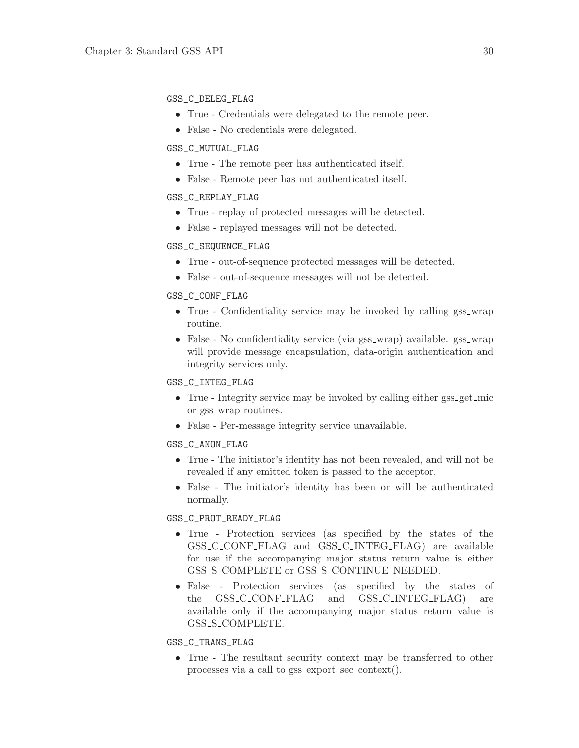#### GSS\_C\_DELEG\_FLAG

- True Credentials were delegated to the remote peer.
- False No credentials were delegated.

#### GSS\_C\_MUTUAL\_FLAG

- True The remote peer has authenticated itself.
- False Remote peer has not authenticated itself.

#### GSS\_C\_REPLAY\_FLAG

- True replay of protected messages will be detected.
- False replayed messages will not be detected.

#### GSS\_C\_SEQUENCE\_FLAG

- True out-of-sequence protected messages will be detected.
- False out-of-sequence messages will not be detected.

#### GSS\_C\_CONF\_FLAG

- True Confidentiality service may be invoked by calling gss\_wrap routine.
- False No confidentiality service (via  $\gamma$ gss\_wrap) available. gss\_wrap will provide message encapsulation, data-origin authentication and integrity services only.

#### GSS\_C\_INTEG\_FLAG

- True Integrity service may be invoked by calling either gss\_get\_mic or gss\_wrap routines.
- False Per-message integrity service unavailable.

#### GSS\_C\_ANON\_FLAG

- True The initiator's identity has not been revealed, and will not be revealed if any emitted token is passed to the acceptor.
- False The initiator's identity has been or will be authenticated normally.

#### GSS\_C\_PROT\_READY\_FLAG

- True Protection services (as specified by the states of the GSS C CONF FLAG and GSS C INTEG FLAG) are available for use if the accompanying major status return value is either GSS\_S\_COMPLETE or GSS\_S\_CONTINUE\_NEEDED.
- False Protection services (as specified by the states of the GSS C CONF FLAG and GSS C INTEG FLAG) are available only if the accompanying major status return value is GSS\_S\_COMPLETE.

#### GSS\_C\_TRANS\_FLAG

• True - The resultant security context may be transferred to other processes via a call to gss export sec context().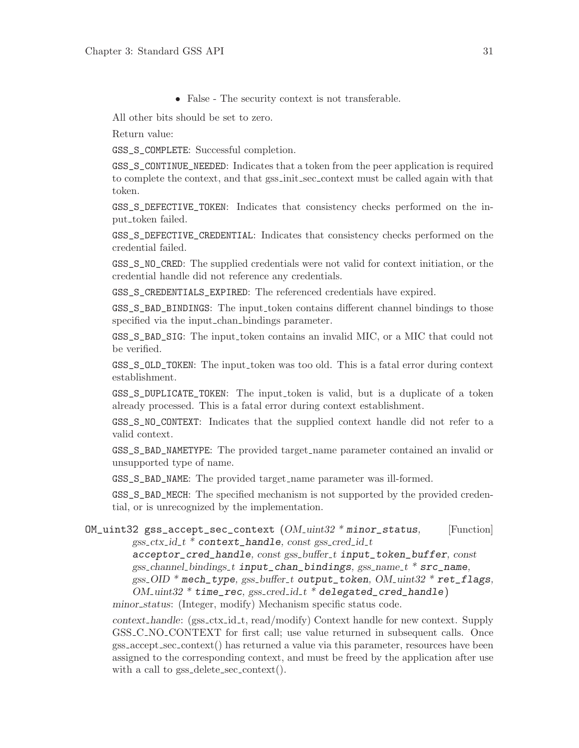• False - The security context is not transferable.

All other bits should be set to zero.

Return value:

GSS\_S\_COMPLETE: Successful completion.

GSS\_S\_CONTINUE\_NEEDED: Indicates that a token from the peer application is required to complete the context, and that gss init sec context must be called again with that token.

GSS\_S\_DEFECTIVE\_TOKEN: Indicates that consistency checks performed on the input token failed.

GSS\_S\_DEFECTIVE\_CREDENTIAL: Indicates that consistency checks performed on the credential failed.

GSS\_S\_NO\_CRED: The supplied credentials were not valid for context initiation, or the credential handle did not reference any credentials.

GSS\_S\_CREDENTIALS\_EXPIRED: The referenced credentials have expired.

GSS\_S\_BAD\_BINDINGS: The input token contains different channel bindings to those specified via the input\_chan\_bindings parameter.

GSS\_S\_BAD\_SIG: The input token contains an invalid MIC, or a MIC that could not be verified.

GSS\_S\_OLD\_TOKEN: The input token was too old. This is a fatal error during context establishment.

GSS\_S\_DUPLICATE\_TOKEN: The input token is valid, but is a duplicate of a token already processed. This is a fatal error during context establishment.

GSS\_S\_NO\_CONTEXT: Indicates that the supplied context handle did not refer to a valid context.

GSS\_S\_BAD\_NAMETYPE: The provided target name parameter contained an invalid or unsupported type of name.

GSS\_S\_BAD\_NAME: The provided target name parameter was ill-formed.

GSS\_S\_BAD\_MECH: The specified mechanism is not supported by the provided credential, or is unrecognized by the implementation.

#### $OM\_uint32$  gss\_accept\_sec\_context  $(OM\_uint32 * minor\_status,$  [Function]  $gss_{\text{c}}$  context\_handle, const gss\_cred\_id\_t

acceptor\_cred\_handle, const gss buffer t input\_token\_buffer, const  $gss$ -channel-bindings t input\_chan\_bindings,  $gss$ -name  $t * src$ -name,  $gss$  OID \* mech\_type, gss\_buffer\_t output\_token, OM\_uint32 \* ret\_flags,  $OM\_uint32$  \* time\_rec,  $gss\_cred\_id_t$  \* delegated\_cred\_handle) minor status: (Integer, modify) Mechanism specific status code.

context handle: (gss\_ctx\_id\_t, read/modify) Context handle for new context. Supply GSS C NO CONTEXT for first call; use value returned in subsequent calls. Once gss accept sec context() has returned a value via this parameter, resources have been assigned to the corresponding context, and must be freed by the application after use with a call to gss\_delete\_sec\_context().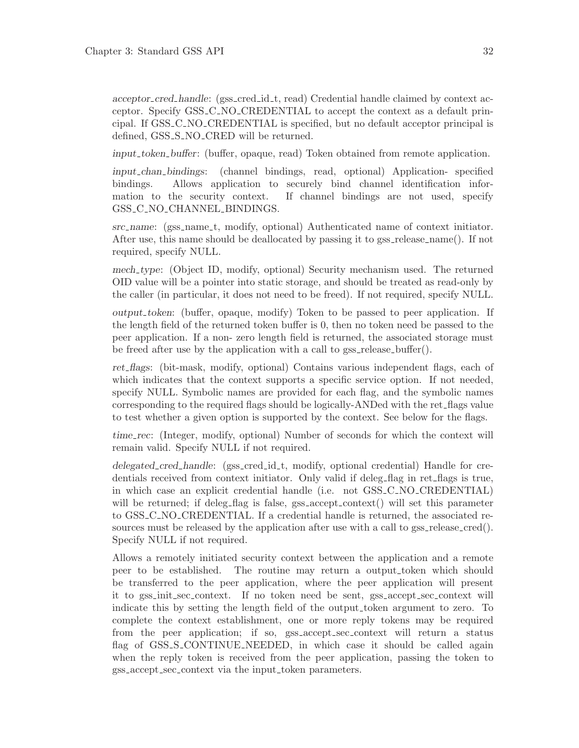acceptor\_cred\_handle: (gss\_cred\_id\_t, read) Credential handle claimed by context acceptor. Specify GSS C NO CREDENTIAL to accept the context as a default principal. If GSS C NO CREDENTIAL is specified, but no default acceptor principal is defined, GSS\_S\_NO\_CRED will be returned.

input token buffer: (buffer, opaque, read) Token obtained from remote application.

input chan bindings: (channel bindings, read, optional) Application- specified bindings. Allows application to securely bind channel identification information to the security context. If channel bindings are not used, specify GSS C NO CHANNEL BINDINGS.

src\_name: (gss\_name\_t, modify, optional) Authenticated name of context initiator. After use, this name should be deallocated by passing it to gss release name(). If not required, specify NULL.

mech type: (Object ID, modify, optional) Security mechanism used. The returned OID value will be a pointer into static storage, and should be treated as read-only by the caller (in particular, it does not need to be freed). If not required, specify NULL.

output token: (buffer, opaque, modify) Token to be passed to peer application. If the length field of the returned token buffer is 0, then no token need be passed to the peer application. If a non- zero length field is returned, the associated storage must be freed after use by the application with a call to gss release buffer().

ret flags: (bit-mask, modify, optional) Contains various independent flags, each of which indicates that the context supports a specific service option. If not needed, specify NULL. Symbolic names are provided for each flag, and the symbolic names corresponding to the required flags should be logically-ANDed with the ret flags value to test whether a given option is supported by the context. See below for the flags.

time\_rec: (Integer, modify, optional) Number of seconds for which the context will remain valid. Specify NULL if not required.

delegated cred handle: (gss cred id t, modify, optional credential) Handle for credentials received from context initiator. Only valid if deleg flag in ret flags is true, in which case an explicit credential handle (i.e. not GSS C NO CREDENTIAL) will be returned; if deleg\_flag is false, gss\_accept\_context() will set this parameter to GSS C NO CREDENTIAL. If a credential handle is returned, the associated resources must be released by the application after use with a call to gss\_release\_cred(). Specify NULL if not required.

Allows a remotely initiated security context between the application and a remote peer to be established. The routine may return a output token which should be transferred to the peer application, where the peer application will present it to gss init sec context. If no token need be sent, gss accept sec context will indicate this by setting the length field of the output token argument to zero. To complete the context establishment, one or more reply tokens may be required from the peer application; if so, gss\_accept\_sec\_context will return a status flag of GSS\_S\_CONTINUE\_NEEDED, in which case it should be called again when the reply token is received from the peer application, passing the token to gss accept sec context via the input token parameters.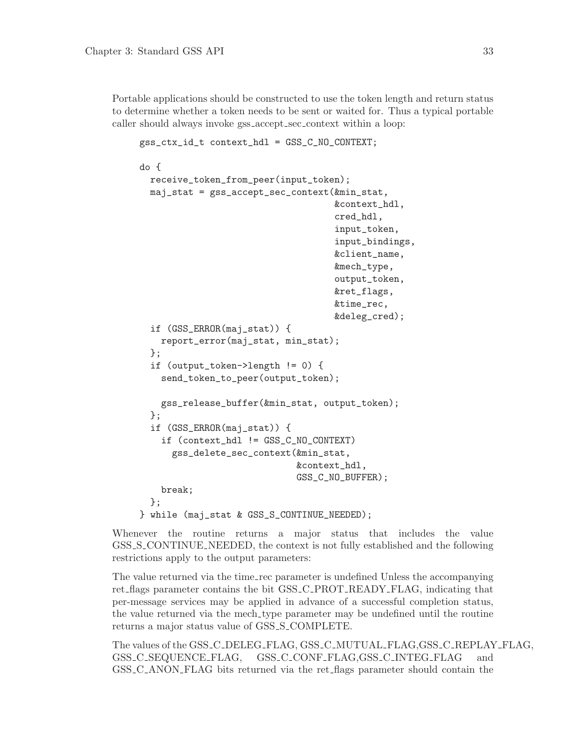Portable applications should be constructed to use the token length and return status to determine whether a token needs to be sent or waited for. Thus a typical portable caller should always invoke gss accept sec context within a loop:

```
gss_ctx_id_t context_hdl = GSS_C_NO_CONTEXT;
do {
  receive_token_from_peer(input_token);
  maj_stat = gss_accept_sec_context(&min_stat,
                                     &context_hdl,
                                     cred_hdl,
                                     input_token,
                                     input_bindings,
                                     &client_name,
                                     &mech_type,
                                     output_token,
                                     &ret_flags,
                                     &time_rec,
                                     &deleg_cred);
  if (GSS_ERROR(maj_stat)) {
    report_error(maj_stat, min_stat);
  };
  if (output_token->length != 0) {
    send_token_to_peer(output_token);
    gss_release_buffer(&min_stat, output_token);
  };
  if (GSS_ERROR(maj_stat)) {
    if (context_hdl != GSS_C_NO_CONTEXT)
      gss_delete_sec_context(&min_stat,
                             &context_hdl,
                             GSS_C_NO_BUFFER);
    break;
  };
} while (maj_stat & GSS_S_CONTINUE_NEEDED);
```
Whenever the routine returns a major status that includes the value GSS S CONTINUE NEEDED, the context is not fully established and the following restrictions apply to the output parameters:

The value returned via the time rec parameter is undefined Unless the accompanying ret flags parameter contains the bit GSS C PROT READY FLAG, indicating that per-message services may be applied in advance of a successful completion status, the value returned via the mech type parameter may be undefined until the routine returns a major status value of GSS S COMPLETE.

The values of the GSS C DELEG FLAG, GSS C MUTUAL FLAG,GSS C REPLAY FLAG, GSS\_C\_SEQUENCE\_FLAG, GSS\_C\_CONF\_FLAG,GSS\_C\_INTEG\_FLAG and GSS C ANON FLAG bits returned via the ret flags parameter should contain the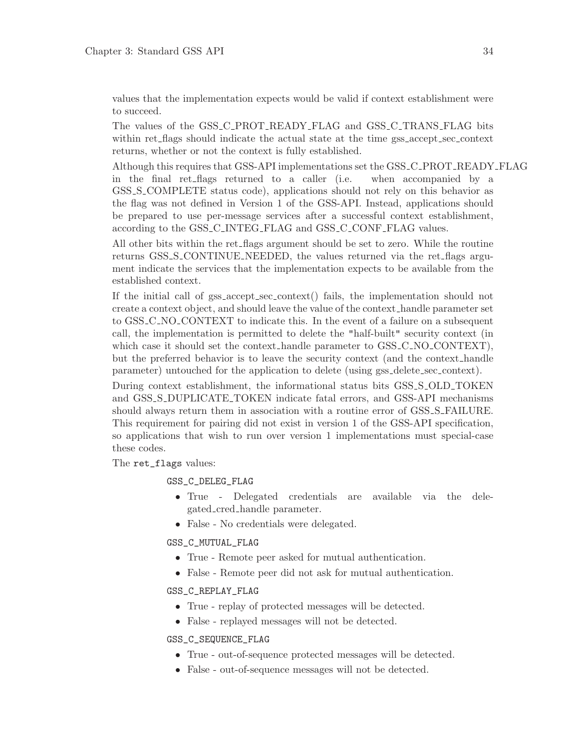values that the implementation expects would be valid if context establishment were to succeed.

The values of the GSS C PROT READY FLAG and GSS C TRANS FLAG bits within ret flags should indicate the actual state at the time gss accept sec context returns, whether or not the context is fully established.

Although this requires that GSS-API implementations set the GSS C PROT READY FLAG in the final ret flags returned to a caller (i.e. when accompanied by a GSS S COMPLETE status code), applications should not rely on this behavior as the flag was not defined in Version 1 of the GSS-API. Instead, applications should be prepared to use per-message services after a successful context establishment, according to the GSS C INTEG FLAG and GSS C CONF FLAG values.

All other bits within the ret flags argument should be set to zero. While the routine returns GSS\_S\_CONTINUE\_NEEDED, the values returned via the ret\_flags argument indicate the services that the implementation expects to be available from the established context.

If the initial call of gss accept sec context() fails, the implementation should not create a context object, and should leave the value of the context handle parameter set to GSS C NO CONTEXT to indicate this. In the event of a failure on a subsequent call, the implementation is permitted to delete the "half-built" security context (in which case it should set the context handle parameter to GSS\_C\_NO\_CONTEXT), but the preferred behavior is to leave the security context (and the context handle parameter) untouched for the application to delete (using gss delete sec context).

During context establishment, the informational status bits GSS S OLD TOKEN and GSS S DUPLICATE TOKEN indicate fatal errors, and GSS-API mechanisms should always return them in association with a routine error of GSS S FAILURE. This requirement for pairing did not exist in version 1 of the GSS-API specification, so applications that wish to run over version 1 implementations must special-case these codes.

The ret\_flags values:

GSS\_C\_DELEG\_FLAG

- True Delegated credentials are available via the delegated cred handle parameter.
- False No credentials were delegated.

GSS\_C\_MUTUAL\_FLAG

- True Remote peer asked for mutual authentication.
- False Remote peer did not ask for mutual authentication.

GSS\_C\_REPLAY\_FLAG

- True replay of protected messages will be detected.
- False replayed messages will not be detected.

### GSS\_C\_SEQUENCE\_FLAG

- True out-of-sequence protected messages will be detected.
- False out-of-sequence messages will not be detected.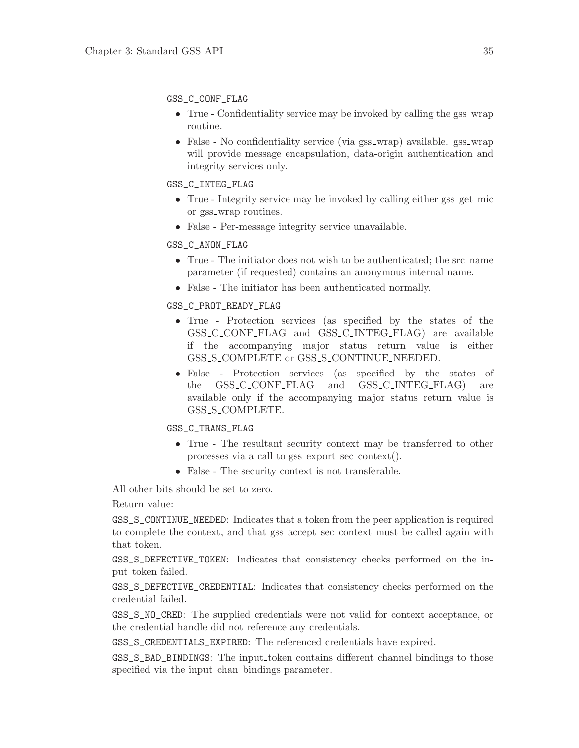### GSS\_C\_CONF\_FLAG

- True Confidentiality service may be invoked by calling the gss\_wrap routine.
- False No confidentiality service (via gss\_wrap) available. gss\_wrap will provide message encapsulation, data-origin authentication and integrity services only.

### GSS\_C\_INTEG\_FLAG

- True Integrity service may be invoked by calling either gss\_get\_mic or gss wrap routines.
- False Per-message integrity service unavailable.

### GSS\_C\_ANON\_FLAG

- True The initiator does not wish to be authenticated; the src\_name parameter (if requested) contains an anonymous internal name.
- False The initiator has been authenticated normally.

### GSS\_C\_PROT\_READY\_FLAG

- True Protection services (as specified by the states of the GSS C CONF FLAG and GSS C INTEG FLAG) are available if the accompanying major status return value is either GSS\_S\_COMPLETE or GSS\_S\_CONTINUE\_NEEDED.
- False Protection services (as specified by the states of the GSS C CONF FLAG and GSS C INTEG FLAG) are available only if the accompanying major status return value is GSS\_S\_COMPLETE.

### GSS\_C\_TRANS\_FLAG

- True The resultant security context may be transferred to other processes via a call to gss export sec context().
- False The security context is not transferable.

All other bits should be set to zero.

Return value:

GSS\_S\_CONTINUE\_NEEDED: Indicates that a token from the peer application is required to complete the context, and that gss accept sec context must be called again with that token.

GSS\_S\_DEFECTIVE\_TOKEN: Indicates that consistency checks performed on the input token failed.

GSS\_S\_DEFECTIVE\_CREDENTIAL: Indicates that consistency checks performed on the credential failed.

GSS\_S\_NO\_CRED: The supplied credentials were not valid for context acceptance, or the credential handle did not reference any credentials.

GSS\_S\_CREDENTIALS\_EXPIRED: The referenced credentials have expired.

GSS\_S\_BAD\_BINDINGS: The input token contains different channel bindings to those specified via the input<sub>-chan-bindings parameter.</sub>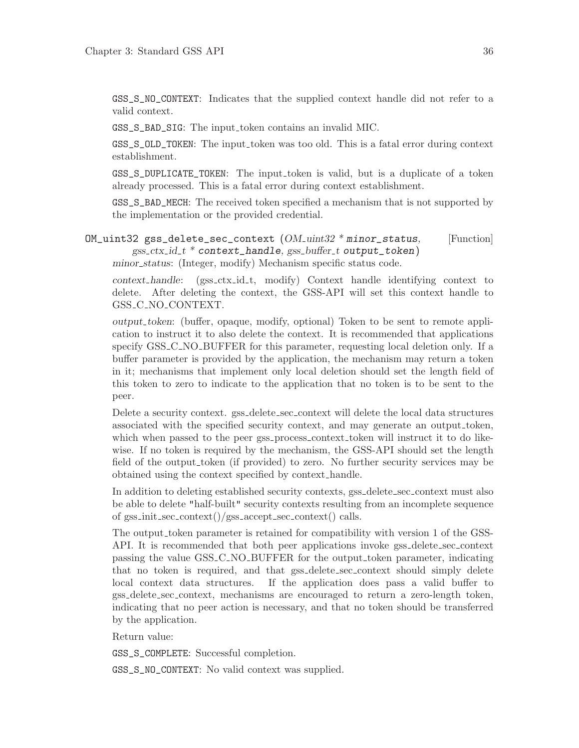GSS\_S\_NO\_CONTEXT: Indicates that the supplied context handle did not refer to a valid context.

GSS\_S\_BAD\_SIG: The input token contains an invalid MIC.

GSS\_S\_OLD\_TOKEN: The input token was too old. This is a fatal error during context establishment.

GSS\_S\_DUPLICATE\_TOKEN: The input token is valid, but is a duplicate of a token already processed. This is a fatal error during context establishment.

GSS\_S\_BAD\_MECH: The received token specified a mechanism that is not supported by the implementation or the provided credential.

```
OM\_uint32 gss_delete_sec_context (OM\_uint32 * minor\_status, [Function]
        gss_{\text{c}} context_handle, gss_buffer_t output_token)
```
minor\_status: (Integer, modify) Mechanism specific status code.

context handle: (gss ctx id t, modify) Context handle identifying context to delete. After deleting the context, the GSS-API will set this context handle to GSS C NO CONTEXT.

output token: (buffer, opaque, modify, optional) Token to be sent to remote application to instruct it to also delete the context. It is recommended that applications specify GSS\_C\_NO\_BUFFER for this parameter, requesting local deletion only. If a buffer parameter is provided by the application, the mechanism may return a token in it; mechanisms that implement only local deletion should set the length field of this token to zero to indicate to the application that no token is to be sent to the peer.

Delete a security context. gss delete sec context will delete the local data structures associated with the specified security context, and may generate an output token, which when passed to the peer gss\_process\_context\_token will instruct it to do likewise. If no token is required by the mechanism, the GSS-API should set the length field of the output token (if provided) to zero. No further security services may be obtained using the context specified by context handle.

In addition to deleting established security contexts, gss\_delete\_sec\_context must also be able to delete "half-built" security contexts resulting from an incomplete sequence of gss init sec context()/gss accept sec context() calls.

The output token parameter is retained for compatibility with version 1 of the GSS-API. It is recommended that both peer applications invoke gss\_delete\_sec\_context passing the value GSS C NO BUFFER for the output token parameter, indicating that no token is required, and that gss delete sec context should simply delete local context data structures. If the application does pass a valid buffer to gss delete sec context, mechanisms are encouraged to return a zero-length token, indicating that no peer action is necessary, and that no token should be transferred by the application.

Return value:

GSS\_S\_COMPLETE: Successful completion.

GSS\_S\_NO\_CONTEXT: No valid context was supplied.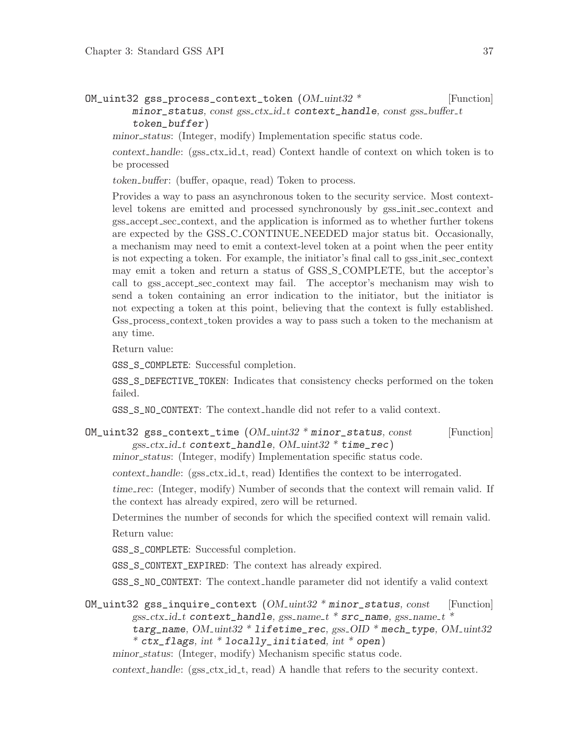```
OM_uint32 gss_process_context_token (OM\_uint32 * [Function]
        minor_status, const gss ctx id t context_handle, const gss buffer t
        token_buffer)
```
minor status: (Integer, modify) Implementation specific status code.

context handle: (gss\_ctx\_id\_t, read) Context handle of context on which token is to be processed

token buffer: (buffer, opaque, read) Token to process.

Provides a way to pass an asynchronous token to the security service. Most contextlevel tokens are emitted and processed synchronously by gss init sec context and gss accept sec context, and the application is informed as to whether further tokens are expected by the GSS C CONTINUE NEEDED major status bit. Occasionally, a mechanism may need to emit a context-level token at a point when the peer entity is not expecting a token. For example, the initiator's final call to gss init sec context may emit a token and return a status of GSS S COMPLETE, but the acceptor's call to gss accept sec context may fail. The acceptor's mechanism may wish to send a token containing an error indication to the initiator, but the initiator is not expecting a token at this point, believing that the context is fully established. Gss process context token provides a way to pass such a token to the mechanism at any time.

Return value:

GSS\_S\_COMPLETE: Successful completion.

GSS\_S\_DEFECTIVE\_TOKEN: Indicates that consistency checks performed on the token failed.

GSS\_S\_NO\_CONTEXT: The context handle did not refer to a valid context.

```
OM\_uint32 gss_context_time (OM\_uint32 * minor\_status, const [Function]
         gss_{\text{c}} context_handle, OM_{\text{c}} int32 * time_rec)
```
minor status: (Integer, modify) Implementation specific status code.

context\_handle: (gss\_ctx\_id\_t, read) Identifies the context to be interrogated.

time rec: (Integer, modify) Number of seconds that the context will remain valid. If the context has already expired, zero will be returned.

Determines the number of seconds for which the specified context will remain valid. Return value:

GSS\_S\_COMPLETE: Successful completion.

GSS\_S\_CONTEXT\_EXPIRED: The context has already expired.

GSS\_S\_NO\_CONTEXT: The context handle parameter did not identify a valid context

 $OM\_uint32$  gss\_inquire\_context  $(OM\_uint32 * minor\_status, const$  [Function]  $gss_c$ ctx<sub>id</sub> t context\_handle,  $gss_name_t * src_name$ ,  $gss_name_t *$ targ\_name,  $OM\_uint32 * lifetime\_rec$ ,  $gss_OID * mech\_type$ ,  $OM\_uint32$  $*$  ctx\_flags, int  $*$  locally\_initiated, int  $*$  open)

minor\_status: (Integer, modify) Mechanism specific status code.

context handle: (gss\_ctx\_id\_t, read) A handle that refers to the security context.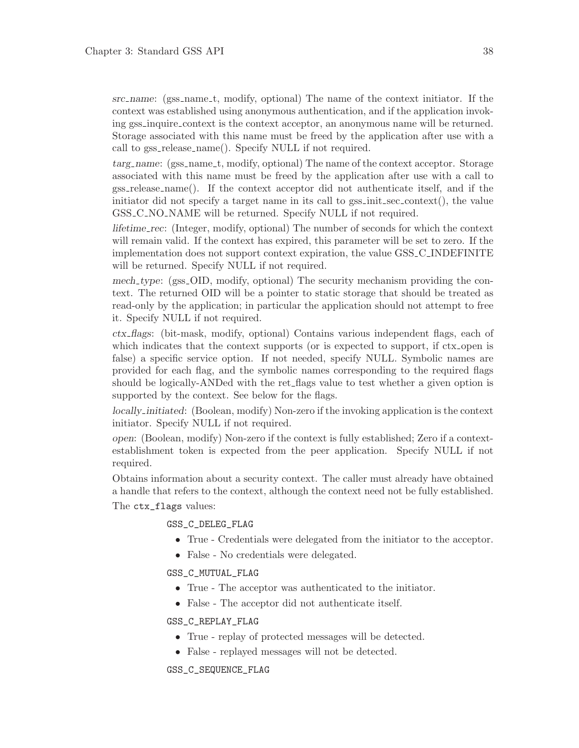src\_name: (gss\_name\_t, modify, optional) The name of the context initiator. If the context was established using anonymous authentication, and if the application invoking gss inquire context is the context acceptor, an anonymous name will be returned. Storage associated with this name must be freed by the application after use with a call to gss release name(). Specify NULL if not required.

targ name: (gss name t, modify, optional) The name of the context acceptor. Storage associated with this name must be freed by the application after use with a call to gss release name(). If the context acceptor did not authenticate itself, and if the initiator did not specify a target name in its call to  $\text{gss}\text{.init}\text{.sec}\text{.context}()$ , the value GSS C NO NAME will be returned. Specify NULL if not required.

lifetime\_rec: (Integer, modify, optional) The number of seconds for which the context will remain valid. If the context has expired, this parameter will be set to zero. If the implementation does not support context expiration, the value GSS C INDEFINITE will be returned. Specify NULL if not required.

mech type: (gss OID, modify, optional) The security mechanism providing the context. The returned OID will be a pointer to static storage that should be treated as read-only by the application; in particular the application should not attempt to free it. Specify NULL if not required.

ctx flags: (bit-mask, modify, optional) Contains various independent flags, each of which indicates that the context supports (or is expected to support, if  $\text{ctx-open}$  is false) a specific service option. If not needed, specify NULL. Symbolic names are provided for each flag, and the symbolic names corresponding to the required flags should be logically-ANDed with the ret flags value to test whether a given option is supported by the context. See below for the flags.

locally initiated: (Boolean, modify) Non-zero if the invoking application is the context initiator. Specify NULL if not required.

open: (Boolean, modify) Non-zero if the context is fully established; Zero if a contextestablishment token is expected from the peer application. Specify NULL if not required.

Obtains information about a security context. The caller must already have obtained a handle that refers to the context, although the context need not be fully established. The ctx\_flags values:

### GSS\_C\_DELEG\_FLAG

- True Credentials were delegated from the initiator to the acceptor.
- False No credentials were delegated.

GSS\_C\_MUTUAL\_FLAG

- True The acceptor was authenticated to the initiator.
- False The acceptor did not authenticate itself.

GSS\_C\_REPLAY\_FLAG

- True replay of protected messages will be detected.
- False replayed messages will not be detected.

GSS\_C\_SEQUENCE\_FLAG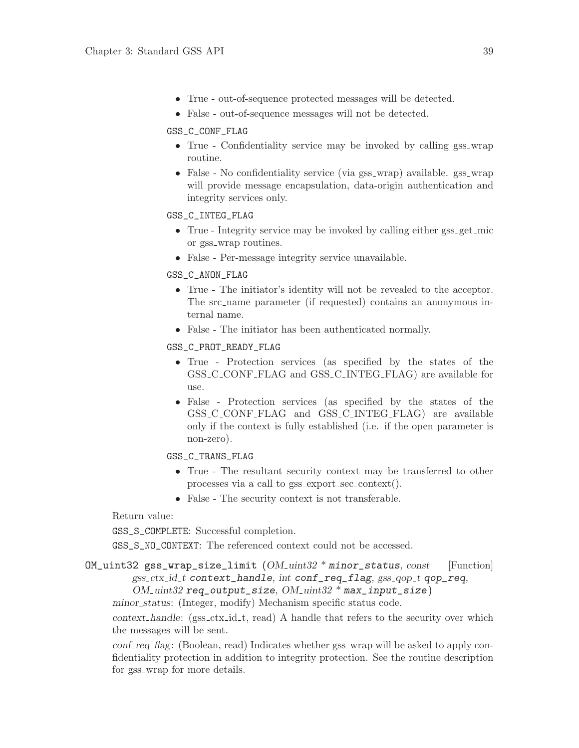- True out-of-sequence protected messages will be detected.
- False out-of-sequence messages will not be detected.

GSS\_C\_CONF\_FLAG

- True Confidentiality service may be invoked by calling gss\_wrap routine.
- False No confidentiality service (via gss\_wrap) available. gss\_wrap will provide message encapsulation, data-origin authentication and integrity services only.

### GSS\_C\_INTEG\_FLAG

- True Integrity service may be invoked by calling either gss\_get\_mic or gss\_wrap routines.
- False Per-message integrity service unavailable.

#### GSS\_C\_ANON\_FLAG

- True The initiator's identity will not be revealed to the acceptor. The src name parameter (if requested) contains an anonymous internal name.
- False The initiator has been authenticated normally.

### GSS\_C\_PROT\_READY\_FLAG

- True Protection services (as specified by the states of the GSS C CONF FLAG and GSS C INTEG FLAG) are available for use.
- False Protection services (as specified by the states of the GSS C CONF FLAG and GSS C INTEG FLAG) are available only if the context is fully established (i.e. if the open parameter is non-zero).
- GSS\_C\_TRANS\_FLAG
	- True The resultant security context may be transferred to other processes via a call to gss export sec context().
	- False The security context is not transferable.

Return value:

GSS\_S\_COMPLETE: Successful completion.

GSS\_S\_NO\_CONTEXT: The referenced context could not be accessed.

### OM\_uint32 gss\_wrap\_size\_limit (OM uint32 \* minor\_status, const [Function] gss\_ctx\_id\_t context\_handle, int conf\_req\_flag, gss\_qop\_t qop\_req,  $OM\_uint32$  req\_output\_size,  $OM\_uint32$  \* max\_input\_size)

minor\_status: (Integer, modify) Mechanism specific status code.

 $context\_handle:$  ( $gss\_ctx\_id\_t$ , read) A handle that refers to the security over which the messages will be sent.

conf req flag: (Boolean, read) Indicates whether gss wrap will be asked to apply confidentiality protection in addition to integrity protection. See the routine description for gss\_wrap for more details.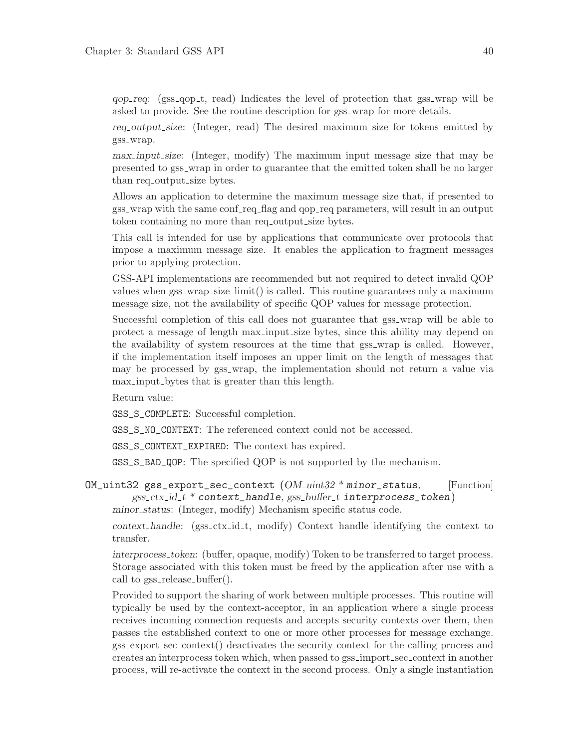qop req: (gss qop t, read) Indicates the level of protection that gss wrap will be asked to provide. See the routine description for gss wrap for more details.

req output size: (Integer, read) The desired maximum size for tokens emitted by gss wrap.

max input size: (Integer, modify) The maximum input message size that may be presented to gss wrap in order to guarantee that the emitted token shall be no larger than req\_output\_size bytes.

Allows an application to determine the maximum message size that, if presented to gss wrap with the same conf req flag and qop req parameters, will result in an output token containing no more than req output size bytes.

This call is intended for use by applications that communicate over protocols that impose a maximum message size. It enables the application to fragment messages prior to applying protection.

GSS-API implementations are recommended but not required to detect invalid QOP values when gss wrap size limit() is called. This routine guarantees only a maximum message size, not the availability of specific QOP values for message protection.

Successful completion of this call does not guarantee that gss wrap will be able to protect a message of length max input size bytes, since this ability may depend on the availability of system resources at the time that gss wrap is called. However, if the implementation itself imposes an upper limit on the length of messages that may be processed by gss wrap, the implementation should not return a value via max input bytes that is greater than this length.

Return value:

GSS\_S\_COMPLETE: Successful completion.

GSS\_S\_NO\_CONTEXT: The referenced context could not be accessed.

GSS\_S\_CONTEXT\_EXPIRED: The context has expired.

GSS\_S\_BAD\_QOP: The specified QOP is not supported by the mechanism.

# $OM\_uint32$  gss\_export\_sec\_context  $(OM\_uint32 * minor\_status,$  [Function]  $gss_c$ ctx<sub>id</sub> t \* context\_handle,  $gss_b$  buffer t interprocess\_token)

minor status: (Integer, modify) Mechanism specific status code.

context handle: (gss ctx id t, modify) Context handle identifying the context to transfer.

interprocess token: (buffer, opaque, modify) Token to be transferred to target process. Storage associated with this token must be freed by the application after use with a call to  $\text{gss-release_buffer}()$ .

Provided to support the sharing of work between multiple processes. This routine will typically be used by the context-acceptor, in an application where a single process receives incoming connection requests and accepts security contexts over them, then passes the established context to one or more other processes for message exchange. gss export sec context() deactivates the security context for the calling process and creates an interprocess token which, when passed to gss import sec context in another process, will re-activate the context in the second process. Only a single instantiation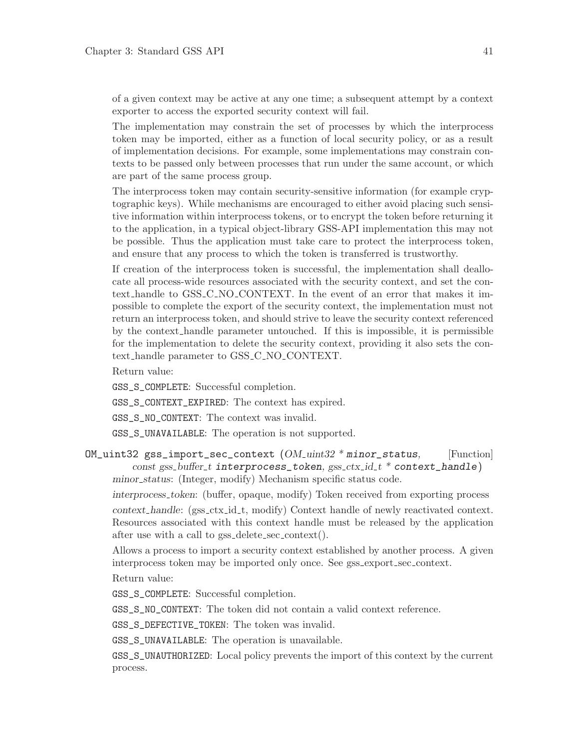of a given context may be active at any one time; a subsequent attempt by a context exporter to access the exported security context will fail.

The implementation may constrain the set of processes by which the interprocess token may be imported, either as a function of local security policy, or as a result of implementation decisions. For example, some implementations may constrain contexts to be passed only between processes that run under the same account, or which are part of the same process group.

The interprocess token may contain security-sensitive information (for example cryptographic keys). While mechanisms are encouraged to either avoid placing such sensitive information within interprocess tokens, or to encrypt the token before returning it to the application, in a typical object-library GSS-API implementation this may not be possible. Thus the application must take care to protect the interprocess token, and ensure that any process to which the token is transferred is trustworthy.

If creation of the interprocess token is successful, the implementation shall deallocate all process-wide resources associated with the security context, and set the context handle to GSS C NO CONTEXT. In the event of an error that makes it impossible to complete the export of the security context, the implementation must not return an interprocess token, and should strive to leave the security context referenced by the context handle parameter untouched. If this is impossible, it is permissible for the implementation to delete the security context, providing it also sets the context handle parameter to GSS C NO CONTEXT.

Return value:

GSS\_S\_COMPLETE: Successful completion.

GSS\_S\_CONTEXT\_EXPIRED: The context has expired.

GSS\_S\_NO\_CONTEXT: The context was invalid.

GSS\_S\_UNAVAILABLE: The operation is not supported.

OM uint32 gss\_import\_sec\_context  $(OM\_uint32 * minor\_status,$  [Function] const gss\_buffer\_t interprocess\_token,  $gss_c$ ctx\_id\_t \* context\_handle) minor status: (Integer, modify) Mechanism specific status code.

interprocess token: (buffer, opaque, modify) Token received from exporting process

context handle: (gss\_ctx\_id\_t, modify) Context handle of newly reactivated context. Resources associated with this context handle must be released by the application after use with a call to gss delete sec context().

Allows a process to import a security context established by another process. A given interprocess token may be imported only once. See gss\_export\_sec\_context.

Return value:

GSS\_S\_COMPLETE: Successful completion.

GSS\_S\_NO\_CONTEXT: The token did not contain a valid context reference.

GSS\_S\_DEFECTIVE\_TOKEN: The token was invalid.

GSS\_S\_UNAVAILABLE: The operation is unavailable.

GSS\_S\_UNAUTHORIZED: Local policy prevents the import of this context by the current process.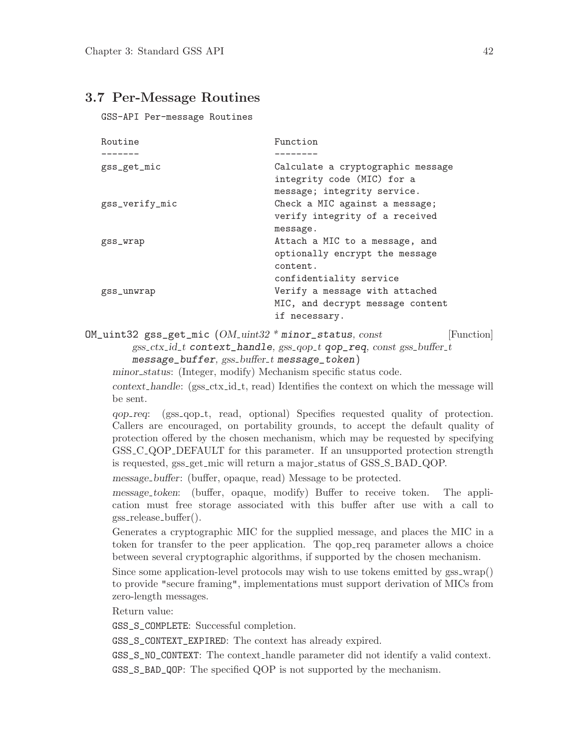# 3.7 Per-Message Routines

GSS-API Per-message Routines

| Routine        | Function                          |
|----------------|-----------------------------------|
|                |                                   |
| gss_get_mic    | Calculate a cryptographic message |
|                | integrity code (MIC) for a        |
|                | message; integrity service.       |
| gss_verify_mic | Check a MIC against a message;    |
|                | verify integrity of a received    |
|                | message.                          |
| gss_wrap       | Attach a MIC to a message, and    |
|                | optionally encrypt the message    |
|                | content.                          |
|                | confidentiality service           |
| gss_unwrap     | Verify a message with attached    |
|                | MIC, and decrypt message content  |
|                | if necessary.                     |
|                |                                   |

OM\_uint32 gss\_get\_mic (OM\_uint32 \* minor\_status, const [Function] gss ctx id t context\_handle, gss qop t qop\_req, const gss buffer t message\_buffer, gss buffer t message\_token)

minor status: (Integer, modify) Mechanism specific status code.

context handle: (gss\_ctx\_id\_t, read) Identifies the context on which the message will be sent.

qop req: (gss qop t, read, optional) Specifies requested quality of protection. Callers are encouraged, on portability grounds, to accept the default quality of protection offered by the chosen mechanism, which may be requested by specifying GSS C QOP DEFAULT for this parameter. If an unsupported protection strength is requested, gss get mic will return a major status of GSS S BAD QOP.

message buffer: (buffer, opaque, read) Message to be protected.

message token: (buffer, opaque, modify) Buffer to receive token. The application must free storage associated with this buffer after use with a call to gss release buffer().

Generates a cryptographic MIC for the supplied message, and places the MIC in a token for transfer to the peer application. The qop req parameter allows a choice between several cryptographic algorithms, if supported by the chosen mechanism.

Since some application-level protocols may wish to use tokens emitted by  $gss_{\text{wtrap}}($ ) to provide "secure framing", implementations must support derivation of MICs from zero-length messages.

Return value:

GSS\_S\_COMPLETE: Successful completion.

GSS\_S\_CONTEXT\_EXPIRED: The context has already expired.

GSS\_S\_NO\_CONTEXT: The context handle parameter did not identify a valid context. GSS\_S\_BAD\_QOP: The specified QOP is not supported by the mechanism.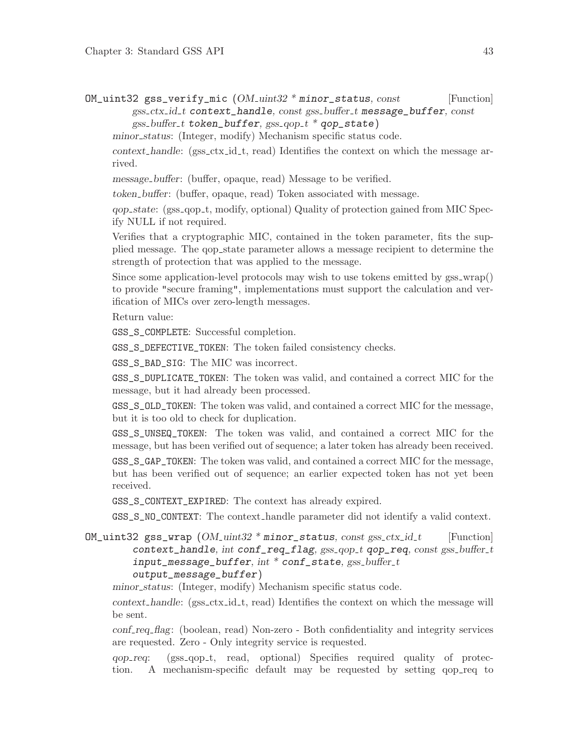OM\_uint32 gss\_verify\_mic  $(OM\_uint32 * minor\_status, const$  [Function] gss ctx id t context\_handle, const gss buffer t message\_buffer, const  $gss_b$  buffer t token\_buffer,  $gss_a$  qop  $t * q$  op state)

minor\_status: (Integer, modify) Mechanism specific status code.

context handle: (gss\_ctx\_id\_t, read) Identifies the context on which the message arrived.

message buffer: (buffer, opaque, read) Message to be verified.

token buffer: (buffer, opaque, read) Token associated with message.

qop state: (gss qop t, modify, optional) Quality of protection gained from MIC Specify NULL if not required.

Verifies that a cryptographic MIC, contained in the token parameter, fits the supplied message. The qop state parameter allows a message recipient to determine the strength of protection that was applied to the message.

Since some application-level protocols may wish to use tokens emitted by  $gss_{\text{wtrap}}($ ) to provide "secure framing", implementations must support the calculation and verification of MICs over zero-length messages.

Return value:

GSS\_S\_COMPLETE: Successful completion.

GSS\_S\_DEFECTIVE\_TOKEN: The token failed consistency checks.

GSS\_S\_BAD\_SIG: The MIC was incorrect.

GSS\_S\_DUPLICATE\_TOKEN: The token was valid, and contained a correct MIC for the message, but it had already been processed.

GSS\_S\_OLD\_TOKEN: The token was valid, and contained a correct MIC for the message, but it is too old to check for duplication.

GSS\_S\_UNSEQ\_TOKEN: The token was valid, and contained a correct MIC for the message, but has been verified out of sequence; a later token has already been received.

GSS\_S\_GAP\_TOKEN: The token was valid, and contained a correct MIC for the message, but has been verified out of sequence; an earlier expected token has not yet been received.

GSS\_S\_CONTEXT\_EXPIRED: The context has already expired.

GSS\_S\_NO\_CONTEXT: The context handle parameter did not identify a valid context.

### $OM\_uint32$  gss\_wrap  $(OM\_uint32 * minor\_status, const$  gss\_ctx\_id\_t [Function]  $context\_handle$ , int  $conf\_req\_flag$ ,  $gss_qop_t qop_req$ ,  $const$   $gss_bwfer_t$  $input\_message\_buffer, int * conf\_state, gss_buffer_t$ output\_message\_buffer)

minor\_status: (Integer, modify) Mechanism specific status code.

context handle: (gss\_ctx\_id\_t, read) Identifies the context on which the message will be sent.

conf req flag: (boolean, read) Non-zero - Both confidentiality and integrity services are requested. Zero - Only integrity service is requested.

qop req: (gss qop t, read, optional) Specifies required quality of protection. A mechanism-specific default may be requested by setting qop req to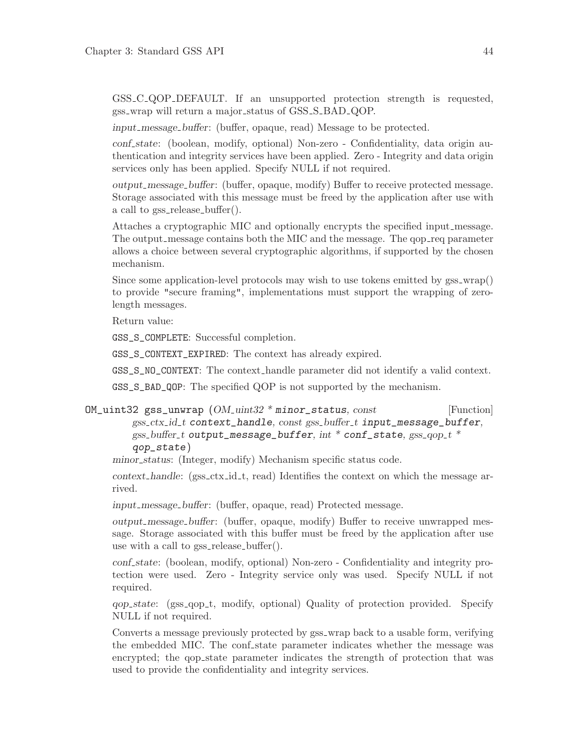GSS C QOP DEFAULT. If an unsupported protection strength is requested, gss wrap will return a major status of GSS S BAD QOP.

input message buffer: (buffer, opaque, read) Message to be protected.

conf state: (boolean, modify, optional) Non-zero - Confidentiality, data origin authentication and integrity services have been applied. Zero - Integrity and data origin services only has been applied. Specify NULL if not required.

output message buffer: (buffer, opaque, modify) Buffer to receive protected message. Storage associated with this message must be freed by the application after use with a call to gss\_release\_buffer().

Attaches a cryptographic MIC and optionally encrypts the specified input message. The output message contains both the MIC and the message. The qop req parameter allows a choice between several cryptographic algorithms, if supported by the chosen mechanism.

Since some application-level protocols may wish to use tokens emitted by  $gss_{w}$  wrap() to provide "secure framing", implementations must support the wrapping of zerolength messages.

Return value:

GSS\_S\_COMPLETE: Successful completion.

GSS\_S\_CONTEXT\_EXPIRED: The context has already expired.

GSS\_S\_NO\_CONTEXT: The context handle parameter did not identify a valid context.

GSS\_S\_BAD\_QOP: The specified QOP is not supported by the mechanism.

OM\_uint32 gss\_unwrap  $(OM\_uint32 * minor\_status, const$  [Function] gss ctx id t context\_handle, const gss buffer t input\_message\_buffer,  $gss\_buffer\_t$  output\_message\_buffer, int \* conf\_state,  $gss\_qop_t$  \* qop\_state)

minor status: (Integer, modify) Mechanism specific status code.

context handle: (gss ctx id t, read) Identifies the context on which the message arrived.

input message buffer: (buffer, opaque, read) Protected message.

output message buffer: (buffer, opaque, modify) Buffer to receive unwrapped message. Storage associated with this buffer must be freed by the application after use use with a call to gss\_release\_buffer().

conf state: (boolean, modify, optional) Non-zero - Confidentiality and integrity protection were used. Zero - Integrity service only was used. Specify NULL if not required.

qop state: (gss qop t, modify, optional) Quality of protection provided. Specify NULL if not required.

Converts a message previously protected by gss wrap back to a usable form, verifying the embedded MIC. The conf-state parameter indicates whether the message was encrypted; the qop state parameter indicates the strength of protection that was used to provide the confidentiality and integrity services.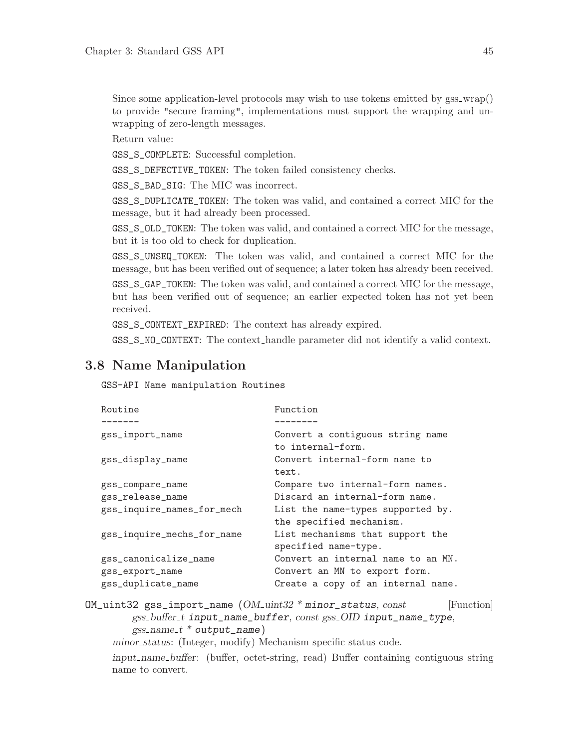Since some application-level protocols may wish to use tokens emitted by  $gss_{\text{wtrap}}($ ) to provide "secure framing", implementations must support the wrapping and unwrapping of zero-length messages.

Return value:

GSS\_S\_COMPLETE: Successful completion.

GSS\_S\_DEFECTIVE\_TOKEN: The token failed consistency checks.

GSS\_S\_BAD\_SIG: The MIC was incorrect.

GSS\_S\_DUPLICATE\_TOKEN: The token was valid, and contained a correct MIC for the message, but it had already been processed.

GSS\_S\_OLD\_TOKEN: The token was valid, and contained a correct MIC for the message, but it is too old to check for duplication.

GSS\_S\_UNSEQ\_TOKEN: The token was valid, and contained a correct MIC for the message, but has been verified out of sequence; a later token has already been received.

GSS\_S\_GAP\_TOKEN: The token was valid, and contained a correct MIC for the message, but has been verified out of sequence; an earlier expected token has not yet been received.

GSS\_S\_CONTEXT\_EXPIRED: The context has already expired.

GSS\_S\_NO\_CONTEXT: The context handle parameter did not identify a valid context.

## 3.8 Name Manipulation

GSS-API Name manipulation Routines

| Routine                    | Function                                                      |
|----------------------------|---------------------------------------------------------------|
|                            |                                                               |
| gss_import_name            | Convert a contiguous string name<br>to internal-form.         |
| gss_display_name           | Convert internal-form name to<br>text.                        |
| gss_compare_name           | Compare two internal-form names.                              |
| gss_release_name           | Discard an internal-form name.                                |
| gss_inquire_names_for_mech | List the name-types supported by.<br>the specified mechanism. |
| gss_inquire_mechs_for_name | List mechanisms that support the<br>specified name-type.      |
| gss_canonicalize_name      | Convert an internal name to an MN.                            |
| gss_export_name            | Convert an MN to export form.                                 |
| gss_duplicate_name         | Create a copy of an internal name.                            |
|                            |                                                               |

 $OM\_uint32$  gss\_import\_name  $(OM\_uint32 * minor\_status, const$  [Function] gss buffer t input\_name\_buffer, const gss OID input\_name\_type,  $gss_name_t * output_name)$ minor\_status: (Integer, modify) Mechanism specific status code.

input name buffer: (buffer, octet-string, read) Buffer containing contiguous string name to convert.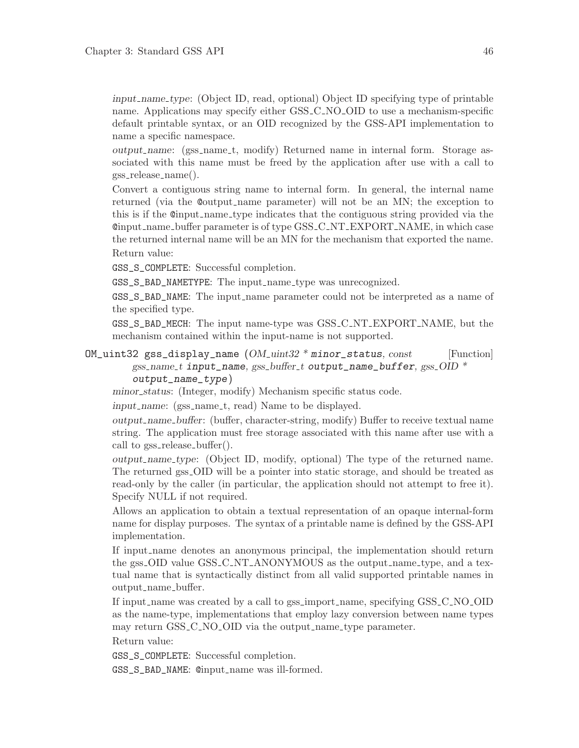input name type: (Object ID, read, optional) Object ID specifying type of printable name. Applications may specify either GSS C NO OID to use a mechanism-specific default printable syntax, or an OID recognized by the GSS-API implementation to name a specific namespace.

output\_name: (gss\_name\_t, modify) Returned name in internal form. Storage associated with this name must be freed by the application after use with a call to gss release name().

Convert a contiguous string name to internal form. In general, the internal name returned (via the @output name parameter) will not be an MN; the exception to this is if the @input name type indicates that the contiguous string provided via the @input name buffer parameter is of type GSS C NT EXPORT NAME, in which case the returned internal name will be an MN for the mechanism that exported the name.

Return value:

GSS\_S\_COMPLETE: Successful completion.

GSS\_S\_BAD\_NAMETYPE: The input name type was unrecognized.

GSS\_S\_BAD\_NAME: The input name parameter could not be interpreted as a name of the specified type.

GSS\_S\_BAD\_MECH: The input name-type was GSS C NT EXPORT NAME, but the mechanism contained within the input-name is not supported.

 $OM\_uint32$  gss\_display\_name  $(OM\_uint32 * minor\_status, const$  [Function]  $gss_name_t$  input\_name,  $gss_buffer_t$  output\_name\_buffer,  $gss_OID$  \* output\_name\_type)

minor-status: (Integer, modify) Mechanism specific status code.

input\_name: (gss\_name\_t, read) Name to be displayed.

output\_name\_buffer: (buffer, character-string, modify) Buffer to receive textual name string. The application must free storage associated with this name after use with a call to gss\_release\_buffer().

output name type: (Object ID, modify, optional) The type of the returned name. The returned gss OID will be a pointer into static storage, and should be treated as read-only by the caller (in particular, the application should not attempt to free it). Specify NULL if not required.

Allows an application to obtain a textual representation of an opaque internal-form name for display purposes. The syntax of a printable name is defined by the GSS-API implementation.

If input name denotes an anonymous principal, the implementation should return the gss OID value GSS C NT ANONYMOUS as the output name type, and a textual name that is syntactically distinct from all valid supported printable names in output name buffer.

If input name was created by a call to gss import name, specifying GSS C NO OID as the name-type, implementations that employ lazy conversion between name types may return GSS\_C\_NO\_OID via the output\_name\_type parameter.

Return value:

GSS\_S\_COMPLETE: Successful completion.

GSS\_S\_BAD\_NAME: @input\_name was ill-formed.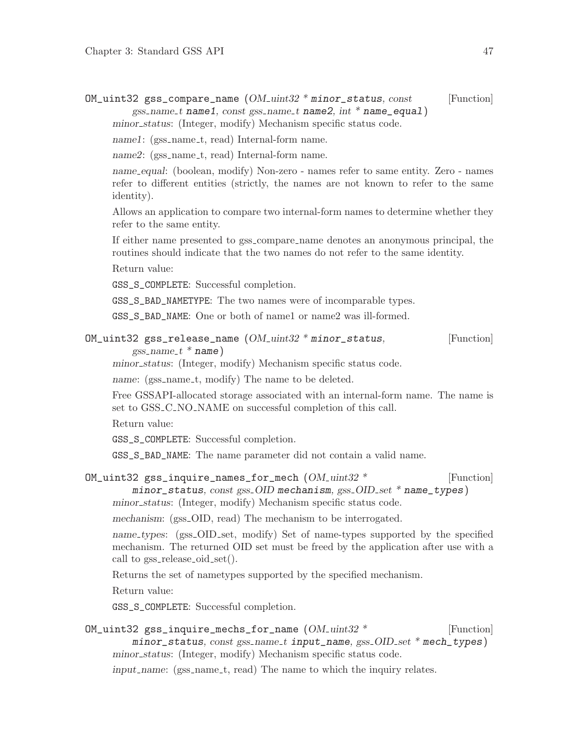$OM\_uint32$  gss\_compare\_name  $(OM\_uint32 * minor\_status, const$  [Function]  $g_{SS\_name\_t}$  name1, const  $g_{SS\_name\_t}$  name2, int  $*$  name\_equal)

minor\_status: (Integer, modify) Mechanism specific status code.

name1: (gss\_name\_t, read) Internal-form name.

name2: (gss\_name\_t, read) Internal-form name.

name equal: (boolean, modify) Non-zero - names refer to same entity. Zero - names refer to different entities (strictly, the names are not known to refer to the same identity).

Allows an application to compare two internal-form names to determine whether they refer to the same entity.

If either name presented to gss compare name denotes an anonymous principal, the routines should indicate that the two names do not refer to the same identity.

Return value:

GSS\_S\_COMPLETE: Successful completion.

GSS\_S\_BAD\_NAMETYPE: The two names were of incomparable types.

GSS\_S\_BAD\_NAME: One or both of name1 or name2 was ill-formed.

```
OM_uint32 gss_release_name (OM\_uint32 * minor\_status, [Function]
```

```
gss_name_t * name)
```
minor\_status: (Integer, modify) Mechanism specific status code.

name: (gss\_name\_t, modify) The name to be deleted.

Free GSSAPI-allocated storage associated with an internal-form name. The name is set to  $GSS\_C$ <sub>NO</sub>\_NAME on successful completion of this call.

Return value:

GSS\_S\_COMPLETE: Successful completion.

GSS\_S\_BAD\_NAME: The name parameter did not contain a valid name.

```
OM\_uint32 gss_inquire_names_for_mech (OM\_uint32 * [Function]
        minor\_status, const gss. OID mechanism, gss. OID set * name_types)
```
minor status: (Integer, modify) Mechanism specific status code.

mechanism: (gss\_OID, read) The mechanism to be interrogated.

name types: (gss\_OID\_set, modify) Set of name-types supported by the specified mechanism. The returned OID set must be freed by the application after use with a call to gss\_release\_oid\_set().

Returns the set of nametypes supported by the specified mechanism.

Return value:

GSS\_S\_COMPLETE: Successful completion.

 $OM\_uint32$  gss\_inquire\_mechs\_for\_name  $(OM\_uint32 *$  [Function]  $minor\_status$ , const gss\_name\_t input\_name, gss\_OID\_set  $*$  mech\_types) minor\_status: (Integer, modify) Mechanism specific status code.

input name: (gss\_name\_t, read) The name to which the inquiry relates.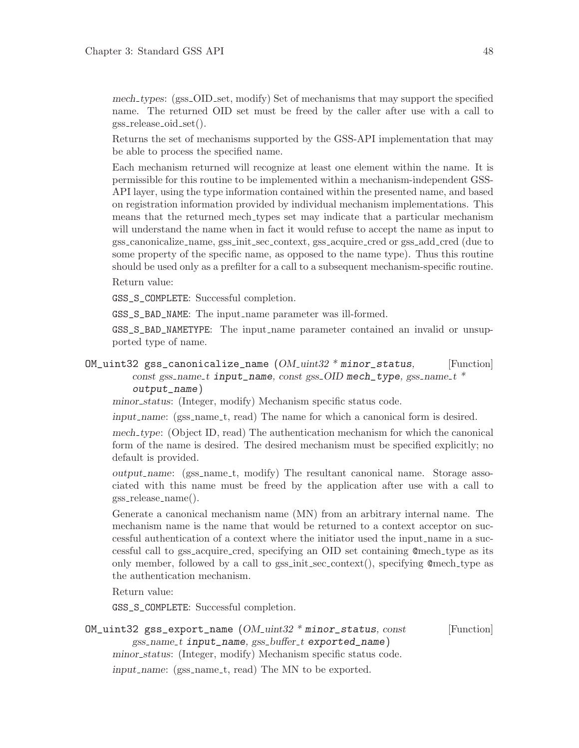mech types: (gss OID set, modify) Set of mechanisms that may support the specified name. The returned OID set must be freed by the caller after use with a call to gss release oid set().

Returns the set of mechanisms supported by the GSS-API implementation that may be able to process the specified name.

Each mechanism returned will recognize at least one element within the name. It is permissible for this routine to be implemented within a mechanism-independent GSS-API layer, using the type information contained within the presented name, and based on registration information provided by individual mechanism implementations. This means that the returned mech types set may indicate that a particular mechanism will understand the name when in fact it would refuse to accept the name as input to gss canonicalize name, gss init sec context, gss acquire cred or gss add cred (due to some property of the specific name, as opposed to the name type). Thus this routine should be used only as a prefilter for a call to a subsequent mechanism-specific routine.

Return value:

GSS\_S\_COMPLETE: Successful completion.

GSS\_S\_BAD\_NAME: The input name parameter was ill-formed.

GSS\_S\_BAD\_NAMETYPE: The input name parameter contained an invalid or unsupported type of name.

```
OM\_uint32 gss_canonicalize_name (OM\_uint32 * minor\_status, [Function]
        const gss_name_t input_name, const gss_OID mech_type, gss_name_t *output_name)
```
minor\_status: (Integer, modify) Mechanism specific status code.

input name: (gss\_name\_t, read) The name for which a canonical form is desired.

mech type: (Object ID, read) The authentication mechanism for which the canonical form of the name is desired. The desired mechanism must be specified explicitly; no default is provided.

output name: (gss\_name\_t, modify) The resultant canonical name. Storage associated with this name must be freed by the application after use with a call to gss release name().

Generate a canonical mechanism name (MN) from an arbitrary internal name. The mechanism name is the name that would be returned to a context acceptor on successful authentication of a context where the initiator used the input name in a successful call to gss acquire cred, specifying an OID set containing @mech type as its only member, followed by a call to  $\text{gss}_\text{min}(\text{sec}_\text{context}(\text{cos}_\text{context}))$ , specifying  $\text{Qmech}_\text{tvpe}$  as the authentication mechanism.

Return value:

GSS\_S\_COMPLETE: Successful completion.

 $OM\_uint32$  gss\_export\_name  $(OM\_uint32 * minor\_status, const$  [Function] gss name t input\_name, gss buffer t exported\_name) minor\_status: (Integer, modify) Mechanism specific status code.

input\_name: (gss\_name\_t, read) The MN to be exported.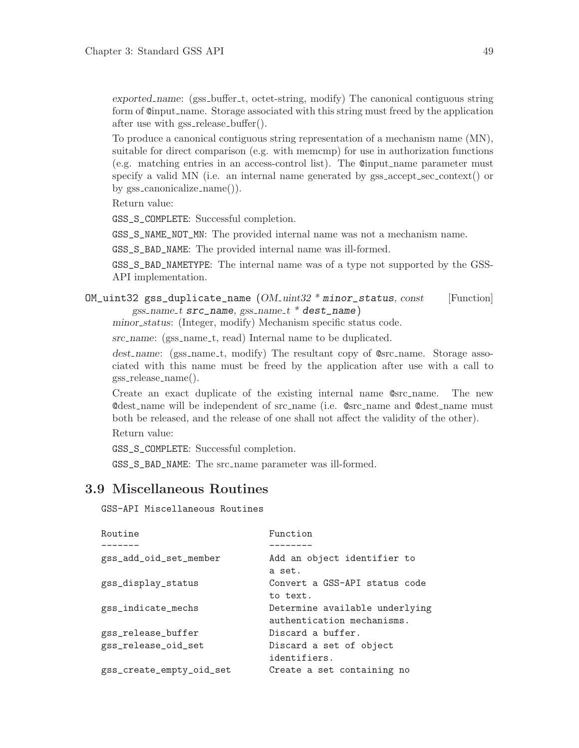exported name: (gss buffer t, octet-string, modify) The canonical contiguous string form of Comput name. Storage associated with this string must freed by the application after use with gss\_release\_buffer().

To produce a canonical contiguous string representation of a mechanism name (MN), suitable for direct comparison (e.g. with memcmp) for use in authorization functions (e.g. matching entries in an access-control list). The @input name parameter must specify a valid MN (i.e. an internal name generated by gss<sub>-</sub>accept-sec-context() or by gss canonicalize name()).

Return value:

GSS\_S\_COMPLETE: Successful completion.

GSS\_S\_NAME\_NOT\_MN: The provided internal name was not a mechanism name.

GSS\_S\_BAD\_NAME: The provided internal name was ill-formed.

GSS\_S\_BAD\_NAMETYPE: The internal name was of a type not supported by the GSS-API implementation.

```
OM_uint32 gss_duplicate_name (OM\_uint32 * minor\_status, const [Function]
        gss_name_t src_name, gss_name_t * dest_name)
```
minor\_status: (Integer, modify) Mechanism specific status code.

src\_name: (gss\_name\_t, read) Internal name to be duplicated.

dest name: (gss\_name\_t, modify) The resultant copy of @src\_name. Storage associated with this name must be freed by the application after use with a call to gss release name().

Create an exact duplicate of the existing internal name @src name. The new @dest name will be independent of src name (i.e. @src name and @dest name must both be released, and the release of one shall not affect the validity of the other).

Return value:

GSS\_S\_COMPLETE: Successful completion.

GSS\_S\_BAD\_NAME: The src name parameter was ill-formed.

# 3.9 Miscellaneous Routines

GSS-API Miscellaneous Routines

| Routine                  | Function                                                     |
|--------------------------|--------------------------------------------------------------|
|                          |                                                              |
| gss_add_oid_set_member   | Add an object identifier to<br>a set.                        |
| gss_display_status       | Convert a GSS-API status code<br>to text.                    |
| gss_indicate_mechs       | Determine available underlying<br>authentication mechanisms. |
| gss_release_buffer       | Discard a buffer.                                            |
| gss_release_oid_set      | Discard a set of object<br>identifiers.                      |
| gss_create_empty_oid_set | Create a set containing no                                   |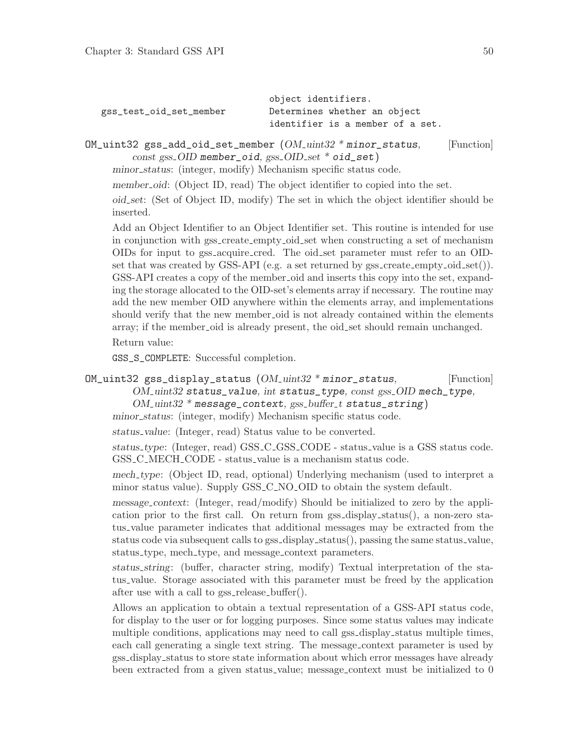|                         | object identifiers.              |
|-------------------------|----------------------------------|
| gss_test_oid_set_member | Determines whether an object     |
|                         | identifier is a member of a set. |

### OM\_uint32 gss\_add\_oid\_set\_member  $(OM\_uint32 * minor\_status,$  [Function] const  $gss_OID$  member\_oid,  $gss_OID\_set * old_set$

minor-status: (integer, modify) Mechanism specific status code.

member oid: (Object ID, read) The object identifier to copied into the set.

oid set: (Set of Object ID, modify) The set in which the object identifier should be inserted.

Add an Object Identifier to an Object Identifier set. This routine is intended for use in conjunction with gss create empty oid set when constructing a set of mechanism OIDs for input to gss acquire cred. The oid set parameter must refer to an OIDset that was created by GSS-API (e.g. a set returned by  $gsscrete$ -empty-oid-set()). GSS-API creates a copy of the member oid and inserts this copy into the set, expanding the storage allocated to the OID-set's elements array if necessary. The routine may add the new member OID anywhere within the elements array, and implementations should verify that the new member-oid is not already contained within the elements array; if the member oid is already present, the oid set should remain unchanged. Return value:

GSS\_S\_COMPLETE: Successful completion.

### $OM\_uint32$  gss\_display\_status  $(OM\_uint32 * minor\_status,$  [Function] OM\_uint32 status\_value, int status\_type, const gss\_OID mech\_type,  $OM\_uint32$  \* message\_context, gss\_buffer\_t status\_string)

minor\_status: (integer, modify) Mechanism specific status code.

status value: (Integer, read) Status value to be converted.

status type: (Integer, read) GSS C GSS CODE - status value is a GSS status code. GSS C MECH CODE - status value is a mechanism status code.

mech type: (Object ID, read, optional) Underlying mechanism (used to interpret a minor status value). Supply GSS\_C\_NO\_OID to obtain the system default.

message context: (Integer, read/modify) Should be initialized to zero by the application prior to the first call. On return from gss display status(), a non-zero status value parameter indicates that additional messages may be extracted from the status code via subsequent calls to gss\_display\_status(), passing the same status\_value, status\_type, mech\_type, and message\_context parameters.

status string: (buffer, character string, modify) Textual interpretation of the status value. Storage associated with this parameter must be freed by the application after use with a call to gss release buffer().

Allows an application to obtain a textual representation of a GSS-API status code, for display to the user or for logging purposes. Since some status values may indicate multiple conditions, applications may need to call gss display status multiple times, each call generating a single text string. The message context parameter is used by gss display status to store state information about which error messages have already been extracted from a given status value; message context must be initialized to 0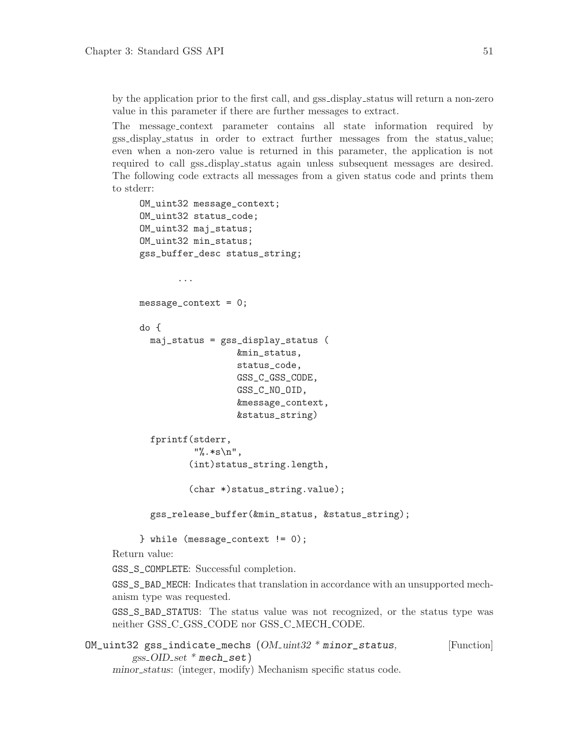by the application prior to the first call, and gss display status will return a non-zero value in this parameter if there are further messages to extract.

The message context parameter contains all state information required by gss display status in order to extract further messages from the status value; even when a non-zero value is returned in this parameter, the application is not required to call gss display status again unless subsequent messages are desired. The following code extracts all messages from a given status code and prints them to stderr:

```
OM_uint32 message_context;
          OM_uint32 status_code;
          OM_uint32 maj_status;
          OM_uint32 min_status;
          gss_buffer_desc status_string;
                 ...
          message_context = 0;
          do {
            maj_status = gss_display_status (
                             &min_status,
                             status_code,
                             GSS_C_GSS_CODE,
                             GSS_C_NO_OID,
                             &message_context,
                             &status_string)
            fprintf(stderr,
                     "%.*s\n",
                    (int)status_string.length,
                    (char *)status_string.value);
            gss_release_buffer(&min_status, &status_string);
          } while (message_context != 0);
     Return value:
     GSS_S_COMPLETE: Successful completion.
     GSS_S_BAD_MECH: Indicates that translation in accordance with an unsupported mech-
     anism type was requested.
     GSS_S_BAD_STATUS: The status value was not recognized, or the status type was
     neither GSS C GSS CODE nor GSS C MECH CODE.
OM uint32 gss_indicate_mechs (OM\_uint32 * minor\_status, [Function]
        gss_OID_set * mech_set)
```
minor\_status: (integer, modify) Mechanism specific status code.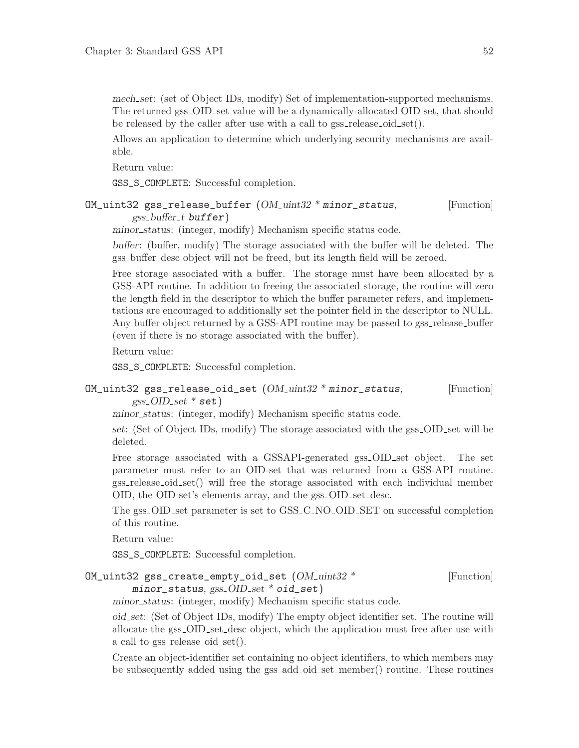mech\_set: (set of Object IDs, modify) Set of implementation-supported mechanisms. The returned gss\_OID\_set value will be a dynamically-allocated OID set, that should be released by the caller after use with a call to gss\_release\_oid\_set().

Allows an application to determine which underlying security mechanisms are available.

Return value:

GSS\_S\_COMPLETE: Successful completion.

### $OM\_uint32$  gss\_release\_buffer  $(OM\_uint32 * minor\_status,$  [Function]  $gss_b$  buffer t buffer)

minor\_status: (integer, modify) Mechanism specific status code.

buffer: (buffer, modify) The storage associated with the buffer will be deleted. The gss buffer desc object will not be freed, but its length field will be zeroed.

Free storage associated with a buffer. The storage must have been allocated by a GSS-API routine. In addition to freeing the associated storage, the routine will zero the length field in the descriptor to which the buffer parameter refers, and implementations are encouraged to additionally set the pointer field in the descriptor to NULL. Any buffer object returned by a GSS-API routine may be passed to gss release buffer (even if there is no storage associated with the buffer).

Return value:

GSS\_S\_COMPLETE: Successful completion.

### OM\_uint32 gss\_release\_oid\_set (OM uint32 \* minor\_status, [Function] gss\_OID\_set  $*$  set)

minor\_status: (integer, modify) Mechanism specific status code.

set: (Set of Object IDs, modify) The storage associated with the gss. OID set will be deleted.

Free storage associated with a GSSAPI-generated gss OID set object. The set parameter must refer to an OID-set that was returned from a GSS-API routine. gss release oid set() will free the storage associated with each individual member OID, the OID set's elements array, and the gss OID set desc.

The gss OID set parameter is set to GSS C NO OID SET on successful completion of this routine.

Return value:

GSS\_S\_COMPLETE: Successful completion.

```
OM_uint32 gss_create_empty_oid_set (OM\_uint32 * [Function]
       minor\_status, gss_OID_set *oid_set)
```
minor\_status: (integer, modify) Mechanism specific status code.

oid\_set: (Set of Object IDs, modify) The empty object identifier set. The routine will allocate the gss OID set desc object, which the application must free after use with a call to gss release oid set().

Create an object-identifier set containing no object identifiers, to which members may be subsequently added using the gss add oid set member() routine. These routines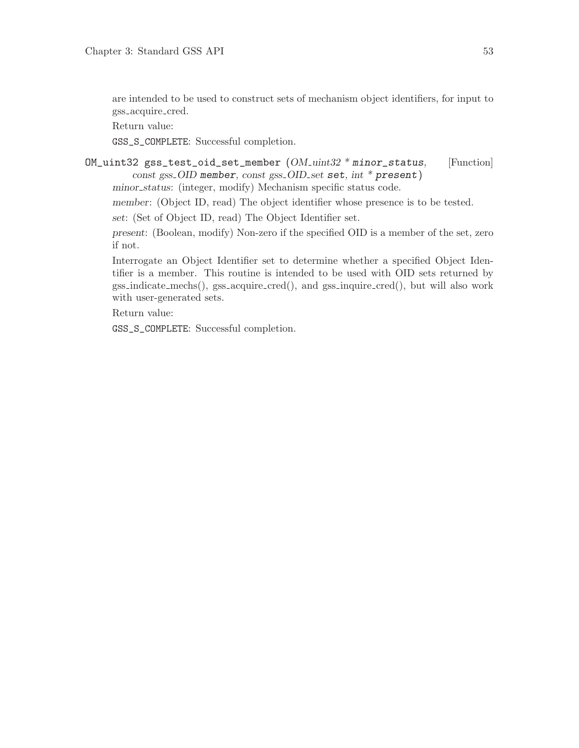are intended to be used to construct sets of mechanism object identifiers, for input to gss acquire cred.

Return value:

GSS\_S\_COMPLETE: Successful completion.

# OM\_uint32 gss\_test\_oid\_set\_member  $(OM\_uint32 * minor\_status,$  [Function] const gss OID member, const gss OID set set, int \* present)

minor\_status: (integer, modify) Mechanism specific status code.

member: (Object ID, read) The object identifier whose presence is to be tested.

set: (Set of Object ID, read) The Object Identifier set.

present: (Boolean, modify) Non-zero if the specified OID is a member of the set, zero if not.

Interrogate an Object Identifier set to determine whether a specified Object Identifier is a member. This routine is intended to be used with OID sets returned by gss indicate mechs(), gss acquire cred(), and gss inquire cred(), but will also work with user-generated sets.

Return value:

GSS\_S\_COMPLETE: Successful completion.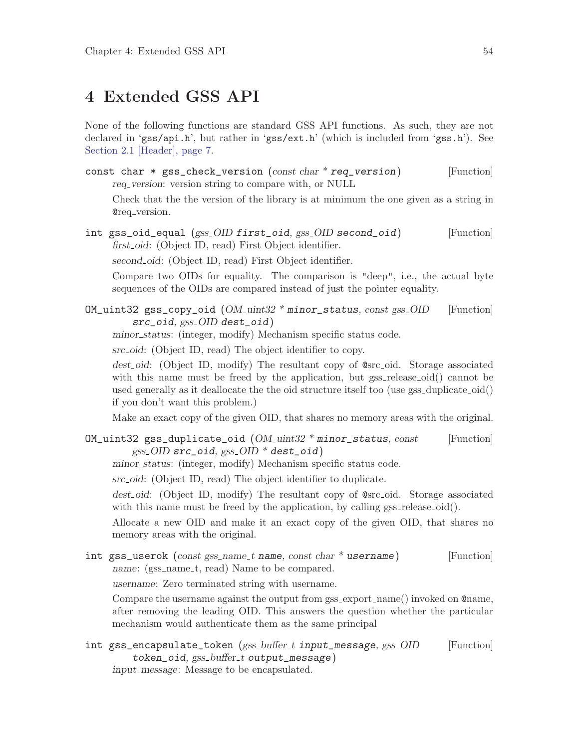# 4 Extended GSS API

None of the following functions are standard GSS API functions. As such, they are not declared in 'gss/api.h', but rather in 'gss/ext.h' (which is included from 'gss.h'). See [Section 2.1 \[Header\], page 7](#page-10-0).

const char  $*$  gss\_check\_version (const char  $*$  req\_version) [Function] req version: version string to compare with, or NULL

Check that the the version of the library is at minimum the one given as a string in @req version.

int  $gss\_oid\_equal$  ( $gss\_OID$  first $\_oid$ ,  $gss\_OID$  second $\_oid$ ) [Function] first oid: (Object ID, read) First Object identifier.

second oid: (Object ID, read) First Object identifier.

Compare two OIDs for equality. The comparison is "deep", i.e., the actual byte sequences of the OIDs are compared instead of just the pointer equality.

OM\_uint32 gss\_copy\_oid (OM\_uint32 \* minor\_status, const gss\_OID [Function]  $src\_oid, gss$ .  $OID$  dest\_oid)

minor\_status: (integer, modify) Mechanism specific status code.

src\_oid: (Object ID, read) The object identifier to copy.

dest oid: (Object ID, modify) The resultant copy of Cosrc oid. Storage associated with this name must be freed by the application, but gss\_release\_oid() cannot be used generally as it deallocate the the oid structure itself too (use gss\_duplicate\_oid() if you don't want this problem.)

Make an exact copy of the given OID, that shares no memory areas with the original.

 $OM\_uint32$  gss\_duplicate\_oid  $(OM\_uint32 * minor\_status, const$  [Function]  $gss_OID$  src\_oid,  $gss_OID * dest_Oid)$ 

minor\_status: (integer, modify) Mechanism specific status code.

src\_oid: (Object ID, read) The object identifier to duplicate.

dest oid: (Object ID, modify) The resultant copy of Cosrc oid. Storage associated with this name must be freed by the application, by calling  $gss$ -release-oid().

Allocate a new OID and make it an exact copy of the given OID, that shares no memory areas with the original.

int  $gss\_userok$  (const  $gss_name_t$  name, const char \* username) [Function] name: (gss\_name\_t, read) Name to be compared.

username: Zero terminated string with username.

Compare the username against the output from gss\_export\_name() invoked on @name, after removing the leading OID. This answers the question whether the particular mechanism would authenticate them as the same principal

int gss\_encapsulate\_token ( $gss_b$  buffer t input\_message,  $gss$  OID [Function]  $token\_oid, gss_buffer_t output\_message)$ input\_message: Message to be encapsulated.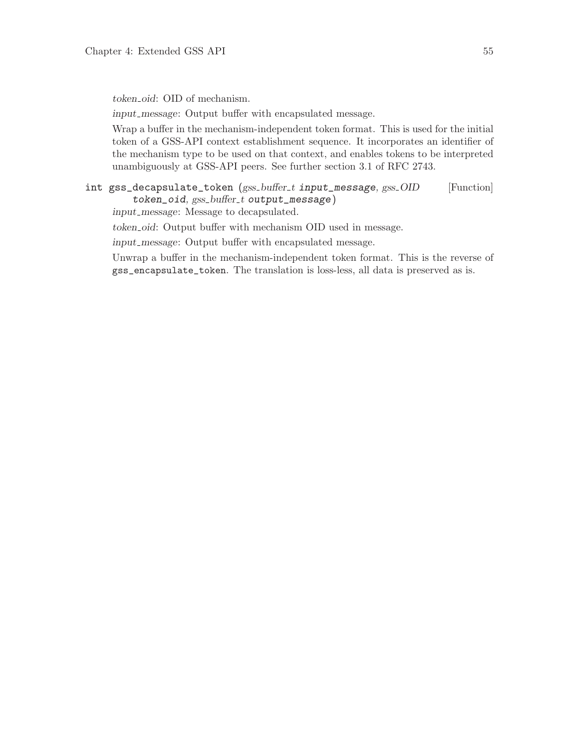token oid: OID of mechanism.

input\_message: Output buffer with encapsulated message.

Wrap a buffer in the mechanism-independent token format. This is used for the initial token of a GSS-API context establishment sequence. It incorporates an identifier of the mechanism type to be used on that context, and enables tokens to be interpreted unambiguously at GSS-API peers. See further section 3.1 of RFC 2743.

int  $gss\_decapsulate\_token(gss_buffer_t input\_message, gss_OID$  [Function] token\_oid, gss\_buffer\_t output\_message)

input message: Message to decapsulated.

token oid: Output buffer with mechanism OID used in message.

input\_message: Output buffer with encapsulated message.

Unwrap a buffer in the mechanism-independent token format. This is the reverse of gss\_encapsulate\_token. The translation is loss-less, all data is preserved as is.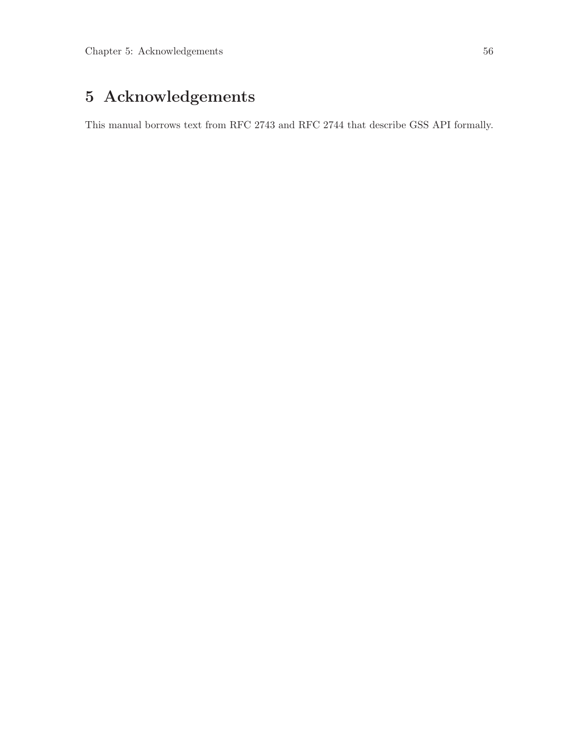# 5 Acknowledgements

This manual borrows text from RFC 2743 and RFC 2744 that describe GSS API formally.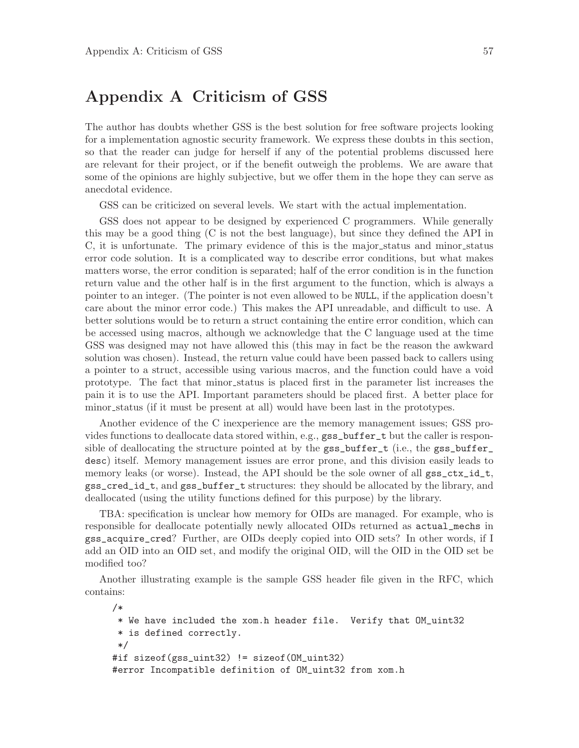# Appendix A Criticism of GSS

The author has doubts whether GSS is the best solution for free software projects looking for a implementation agnostic security framework. We express these doubts in this section, so that the reader can judge for herself if any of the potential problems discussed here are relevant for their project, or if the benefit outweigh the problems. We are aware that some of the opinions are highly subjective, but we offer them in the hope they can serve as anecdotal evidence.

GSS can be criticized on several levels. We start with the actual implementation.

GSS does not appear to be designed by experienced C programmers. While generally this may be a good thing (C is not the best language), but since they defined the API in C, it is unfortunate. The primary evidence of this is the major\_status and minor\_status error code solution. It is a complicated way to describe error conditions, but what makes matters worse, the error condition is separated; half of the error condition is in the function return value and the other half is in the first argument to the function, which is always a pointer to an integer. (The pointer is not even allowed to be NULL, if the application doesn't care about the minor error code.) This makes the API unreadable, and difficult to use. A better solutions would be to return a struct containing the entire error condition, which can be accessed using macros, although we acknowledge that the C language used at the time GSS was designed may not have allowed this (this may in fact be the reason the awkward solution was chosen). Instead, the return value could have been passed back to callers using a pointer to a struct, accessible using various macros, and the function could have a void prototype. The fact that minor status is placed first in the parameter list increases the pain it is to use the API. Important parameters should be placed first. A better place for minor status (if it must be present at all) would have been last in the prototypes.

Another evidence of the C inexperience are the memory management issues; GSS provides functions to deallocate data stored within, e.g., gss\_buffer\_t but the caller is responsible of deallocating the structure pointed at by the gss\_buffer\_t (i.e., the gss\_buffer\_ desc) itself. Memory management issues are error prone, and this division easily leads to memory leaks (or worse). Instead, the API should be the sole owner of all  $\texttt{gss\_ctx_id_t}$ , gss\_cred\_id\_t, and gss\_buffer\_t structures: they should be allocated by the library, and deallocated (using the utility functions defined for this purpose) by the library.

TBA: specification is unclear how memory for OIDs are managed. For example, who is responsible for deallocate potentially newly allocated OIDs returned as actual\_mechs in gss\_acquire\_cred? Further, are OIDs deeply copied into OID sets? In other words, if I add an OID into an OID set, and modify the original OID, will the OID in the OID set be modified too?

Another illustrating example is the sample GSS header file given in the RFC, which contains:

```
/*
 * We have included the xom.h header file. Verify that OM_uint32
 * is defined correctly.
 */
#if sizeof(gss_uint32) != sizeof(OM_uint32)
#error Incompatible definition of OM_uint32 from xom.h
```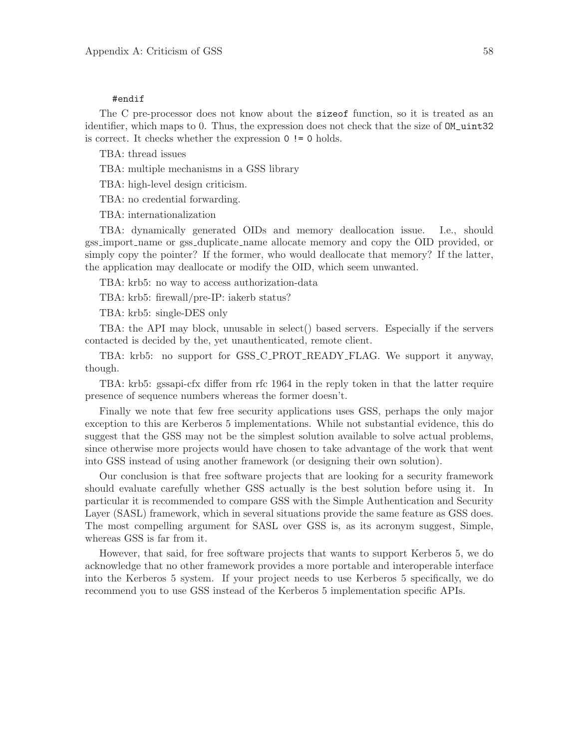#### #endif

The C pre-processor does not know about the sizeof function, so it is treated as an identifier, which maps to 0. Thus, the expression does not check that the size of OM\_uint32 is correct. It checks whether the expression 0 != 0 holds.

TBA: thread issues

TBA: multiple mechanisms in a GSS library

TBA: high-level design criticism.

TBA: no credential forwarding.

TBA: internationalization

TBA: dynamically generated OIDs and memory deallocation issue. I.e., should gss import name or gss duplicate name allocate memory and copy the OID provided, or simply copy the pointer? If the former, who would deallocate that memory? If the latter, the application may deallocate or modify the OID, which seem unwanted.

TBA: krb5: no way to access authorization-data

TBA: krb5: firewall/pre-IP: iakerb status?

TBA: krb5: single-DES only

TBA: the API may block, unusable in select() based servers. Especially if the servers contacted is decided by the, yet unauthenticated, remote client.

TBA: krb5: no support for GSS C PROT READY FLAG. We support it anyway, though.

TBA: krb5: gssapi-cfx differ from rfc 1964 in the reply token in that the latter require presence of sequence numbers whereas the former doesn't.

Finally we note that few free security applications uses GSS, perhaps the only major exception to this are Kerberos 5 implementations. While not substantial evidence, this do suggest that the GSS may not be the simplest solution available to solve actual problems, since otherwise more projects would have chosen to take advantage of the work that went into GSS instead of using another framework (or designing their own solution).

Our conclusion is that free software projects that are looking for a security framework should evaluate carefully whether GSS actually is the best solution before using it. In particular it is recommended to compare GSS with the Simple Authentication and Security Layer (SASL) framework, which in several situations provide the same feature as GSS does. The most compelling argument for SASL over GSS is, as its acronym suggest, Simple, whereas GSS is far from it.

However, that said, for free software projects that wants to support Kerberos 5, we do acknowledge that no other framework provides a more portable and interoperable interface into the Kerberos 5 system. If your project needs to use Kerberos 5 specifically, we do recommend you to use GSS instead of the Kerberos 5 implementation specific APIs.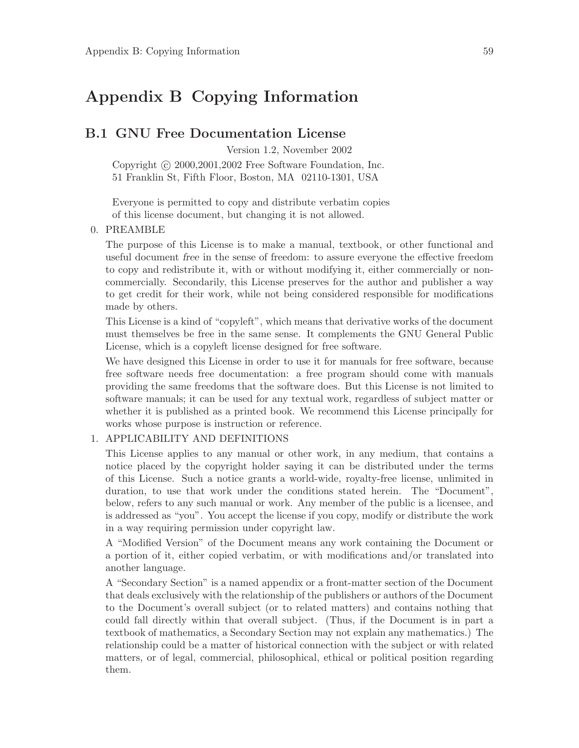# Appendix B Copying Information

# B.1 GNU Free Documentation License

Version 1.2, November 2002

Copyright  $\odot$  2000, 2001, 2002 Free Software Foundation, Inc. 51 Franklin St, Fifth Floor, Boston, MA 02110-1301, USA

Everyone is permitted to copy and distribute verbatim copies of this license document, but changing it is not allowed.

### 0. PREAMBLE

The purpose of this License is to make a manual, textbook, or other functional and useful document free in the sense of freedom: to assure everyone the effective freedom to copy and redistribute it, with or without modifying it, either commercially or noncommercially. Secondarily, this License preserves for the author and publisher a way to get credit for their work, while not being considered responsible for modifications made by others.

This License is a kind of "copyleft", which means that derivative works of the document must themselves be free in the same sense. It complements the GNU General Public License, which is a copyleft license designed for free software.

We have designed this License in order to use it for manuals for free software, because free software needs free documentation: a free program should come with manuals providing the same freedoms that the software does. But this License is not limited to software manuals; it can be used for any textual work, regardless of subject matter or whether it is published as a printed book. We recommend this License principally for works whose purpose is instruction or reference.

### 1. APPLICABILITY AND DEFINITIONS

This License applies to any manual or other work, in any medium, that contains a notice placed by the copyright holder saying it can be distributed under the terms of this License. Such a notice grants a world-wide, royalty-free license, unlimited in duration, to use that work under the conditions stated herein. The "Document", below, refers to any such manual or work. Any member of the public is a licensee, and is addressed as "you". You accept the license if you copy, modify or distribute the work in a way requiring permission under copyright law.

A "Modified Version" of the Document means any work containing the Document or a portion of it, either copied verbatim, or with modifications and/or translated into another language.

A "Secondary Section" is a named appendix or a front-matter section of the Document that deals exclusively with the relationship of the publishers or authors of the Document to the Document's overall subject (or to related matters) and contains nothing that could fall directly within that overall subject. (Thus, if the Document is in part a textbook of mathematics, a Secondary Section may not explain any mathematics.) The relationship could be a matter of historical connection with the subject or with related matters, or of legal, commercial, philosophical, ethical or political position regarding them.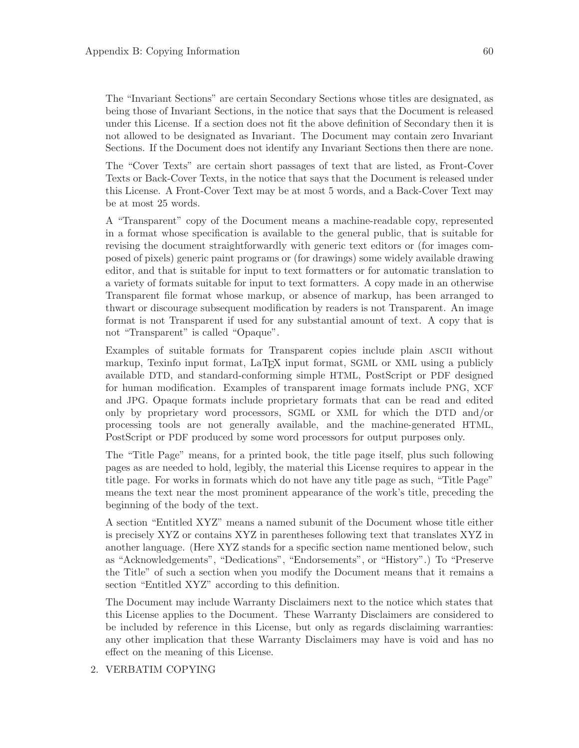The "Invariant Sections" are certain Secondary Sections whose titles are designated, as being those of Invariant Sections, in the notice that says that the Document is released under this License. If a section does not fit the above definition of Secondary then it is not allowed to be designated as Invariant. The Document may contain zero Invariant Sections. If the Document does not identify any Invariant Sections then there are none.

The "Cover Texts" are certain short passages of text that are listed, as Front-Cover Texts or Back-Cover Texts, in the notice that says that the Document is released under this License. A Front-Cover Text may be at most 5 words, and a Back-Cover Text may be at most 25 words.

A "Transparent" copy of the Document means a machine-readable copy, represented in a format whose specification is available to the general public, that is suitable for revising the document straightforwardly with generic text editors or (for images composed of pixels) generic paint programs or (for drawings) some widely available drawing editor, and that is suitable for input to text formatters or for automatic translation to a variety of formats suitable for input to text formatters. A copy made in an otherwise Transparent file format whose markup, or absence of markup, has been arranged to thwart or discourage subsequent modification by readers is not Transparent. An image format is not Transparent if used for any substantial amount of text. A copy that is not "Transparent" is called "Opaque".

Examples of suitable formats for Transparent copies include plain ascii without markup, Texinfo input format, LaT<sub>EX</sub> input format, SGML or XML using a publicly available DTD, and standard-conforming simple HTML, PostScript or PDF designed for human modification. Examples of transparent image formats include PNG, XCF and JPG. Opaque formats include proprietary formats that can be read and edited only by proprietary word processors, SGML or XML for which the DTD and/or processing tools are not generally available, and the machine-generated HTML, PostScript or PDF produced by some word processors for output purposes only.

The "Title Page" means, for a printed book, the title page itself, plus such following pages as are needed to hold, legibly, the material this License requires to appear in the title page. For works in formats which do not have any title page as such, "Title Page" means the text near the most prominent appearance of the work's title, preceding the beginning of the body of the text.

A section "Entitled XYZ" means a named subunit of the Document whose title either is precisely XYZ or contains XYZ in parentheses following text that translates XYZ in another language. (Here XYZ stands for a specific section name mentioned below, such as "Acknowledgements", "Dedications", "Endorsements", or "History".) To "Preserve the Title" of such a section when you modify the Document means that it remains a section "Entitled XYZ" according to this definition.

The Document may include Warranty Disclaimers next to the notice which states that this License applies to the Document. These Warranty Disclaimers are considered to be included by reference in this License, but only as regards disclaiming warranties: any other implication that these Warranty Disclaimers may have is void and has no effect on the meaning of this License.

### 2. VERBATIM COPYING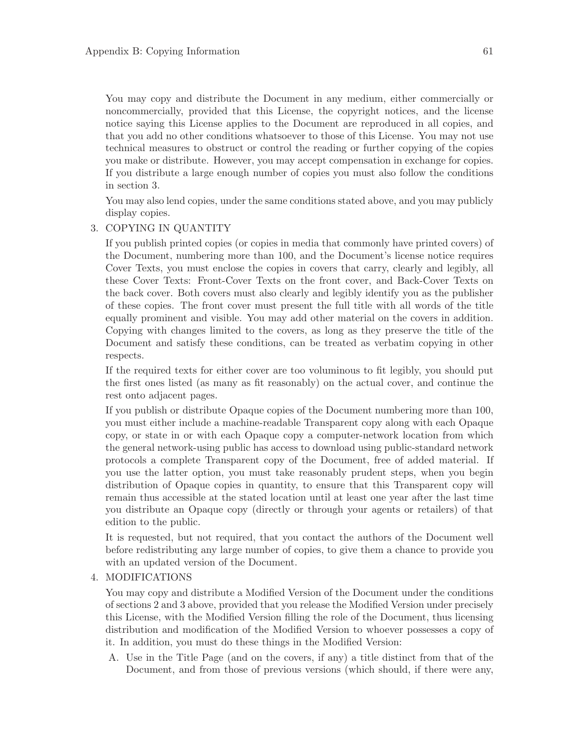You may copy and distribute the Document in any medium, either commercially or noncommercially, provided that this License, the copyright notices, and the license notice saying this License applies to the Document are reproduced in all copies, and that you add no other conditions whatsoever to those of this License. You may not use technical measures to obstruct or control the reading or further copying of the copies you make or distribute. However, you may accept compensation in exchange for copies. If you distribute a large enough number of copies you must also follow the conditions in section 3.

You may also lend copies, under the same conditions stated above, and you may publicly display copies.

### 3. COPYING IN QUANTITY

If you publish printed copies (or copies in media that commonly have printed covers) of the Document, numbering more than 100, and the Document's license notice requires Cover Texts, you must enclose the copies in covers that carry, clearly and legibly, all these Cover Texts: Front-Cover Texts on the front cover, and Back-Cover Texts on the back cover. Both covers must also clearly and legibly identify you as the publisher of these copies. The front cover must present the full title with all words of the title equally prominent and visible. You may add other material on the covers in addition. Copying with changes limited to the covers, as long as they preserve the title of the Document and satisfy these conditions, can be treated as verbatim copying in other respects.

If the required texts for either cover are too voluminous to fit legibly, you should put the first ones listed (as many as fit reasonably) on the actual cover, and continue the rest onto adjacent pages.

If you publish or distribute Opaque copies of the Document numbering more than 100, you must either include a machine-readable Transparent copy along with each Opaque copy, or state in or with each Opaque copy a computer-network location from which the general network-using public has access to download using public-standard network protocols a complete Transparent copy of the Document, free of added material. If you use the latter option, you must take reasonably prudent steps, when you begin distribution of Opaque copies in quantity, to ensure that this Transparent copy will remain thus accessible at the stated location until at least one year after the last time you distribute an Opaque copy (directly or through your agents or retailers) of that edition to the public.

It is requested, but not required, that you contact the authors of the Document well before redistributing any large number of copies, to give them a chance to provide you with an updated version of the Document.

### 4. MODIFICATIONS

You may copy and distribute a Modified Version of the Document under the conditions of sections 2 and 3 above, provided that you release the Modified Version under precisely this License, with the Modified Version filling the role of the Document, thus licensing distribution and modification of the Modified Version to whoever possesses a copy of it. In addition, you must do these things in the Modified Version:

A. Use in the Title Page (and on the covers, if any) a title distinct from that of the Document, and from those of previous versions (which should, if there were any,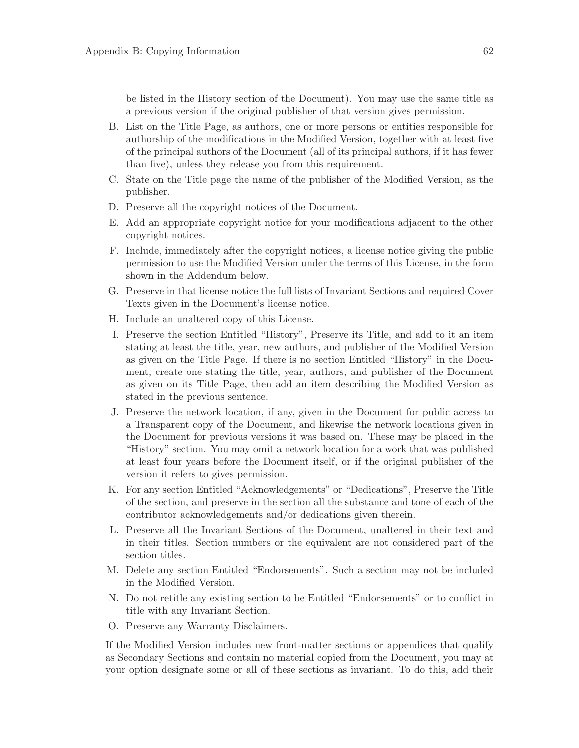be listed in the History section of the Document). You may use the same title as a previous version if the original publisher of that version gives permission.

- B. List on the Title Page, as authors, one or more persons or entities responsible for authorship of the modifications in the Modified Version, together with at least five of the principal authors of the Document (all of its principal authors, if it has fewer than five), unless they release you from this requirement.
- C. State on the Title page the name of the publisher of the Modified Version, as the publisher.
- D. Preserve all the copyright notices of the Document.
- E. Add an appropriate copyright notice for your modifications adjacent to the other copyright notices.
- F. Include, immediately after the copyright notices, a license notice giving the public permission to use the Modified Version under the terms of this License, in the form shown in the Addendum below.
- G. Preserve in that license notice the full lists of Invariant Sections and required Cover Texts given in the Document's license notice.
- H. Include an unaltered copy of this License.
- I. Preserve the section Entitled "History", Preserve its Title, and add to it an item stating at least the title, year, new authors, and publisher of the Modified Version as given on the Title Page. If there is no section Entitled "History" in the Document, create one stating the title, year, authors, and publisher of the Document as given on its Title Page, then add an item describing the Modified Version as stated in the previous sentence.
- J. Preserve the network location, if any, given in the Document for public access to a Transparent copy of the Document, and likewise the network locations given in the Document for previous versions it was based on. These may be placed in the "History" section. You may omit a network location for a work that was published at least four years before the Document itself, or if the original publisher of the version it refers to gives permission.
- K. For any section Entitled "Acknowledgements" or "Dedications", Preserve the Title of the section, and preserve in the section all the substance and tone of each of the contributor acknowledgements and/or dedications given therein.
- L. Preserve all the Invariant Sections of the Document, unaltered in their text and in their titles. Section numbers or the equivalent are not considered part of the section titles.
- M. Delete any section Entitled "Endorsements". Such a section may not be included in the Modified Version.
- N. Do not retitle any existing section to be Entitled "Endorsements" or to conflict in title with any Invariant Section.
- O. Preserve any Warranty Disclaimers.

If the Modified Version includes new front-matter sections or appendices that qualify as Secondary Sections and contain no material copied from the Document, you may at your option designate some or all of these sections as invariant. To do this, add their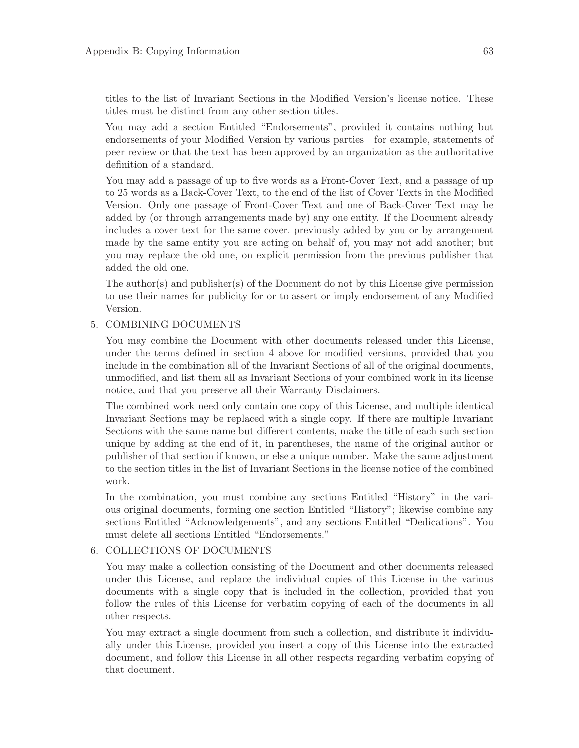titles to the list of Invariant Sections in the Modified Version's license notice. These titles must be distinct from any other section titles.

You may add a section Entitled "Endorsements", provided it contains nothing but endorsements of your Modified Version by various parties—for example, statements of peer review or that the text has been approved by an organization as the authoritative definition of a standard.

You may add a passage of up to five words as a Front-Cover Text, and a passage of up to 25 words as a Back-Cover Text, to the end of the list of Cover Texts in the Modified Version. Only one passage of Front-Cover Text and one of Back-Cover Text may be added by (or through arrangements made by) any one entity. If the Document already includes a cover text for the same cover, previously added by you or by arrangement made by the same entity you are acting on behalf of, you may not add another; but you may replace the old one, on explicit permission from the previous publisher that added the old one.

The author(s) and publisher(s) of the Document do not by this License give permission to use their names for publicity for or to assert or imply endorsement of any Modified Version.

### 5. COMBINING DOCUMENTS

You may combine the Document with other documents released under this License, under the terms defined in section 4 above for modified versions, provided that you include in the combination all of the Invariant Sections of all of the original documents, unmodified, and list them all as Invariant Sections of your combined work in its license notice, and that you preserve all their Warranty Disclaimers.

The combined work need only contain one copy of this License, and multiple identical Invariant Sections may be replaced with a single copy. If there are multiple Invariant Sections with the same name but different contents, make the title of each such section unique by adding at the end of it, in parentheses, the name of the original author or publisher of that section if known, or else a unique number. Make the same adjustment to the section titles in the list of Invariant Sections in the license notice of the combined work.

In the combination, you must combine any sections Entitled "History" in the various original documents, forming one section Entitled "History"; likewise combine any sections Entitled "Acknowledgements", and any sections Entitled "Dedications". You must delete all sections Entitled "Endorsements."

### 6. COLLECTIONS OF DOCUMENTS

You may make a collection consisting of the Document and other documents released under this License, and replace the individual copies of this License in the various documents with a single copy that is included in the collection, provided that you follow the rules of this License for verbatim copying of each of the documents in all other respects.

You may extract a single document from such a collection, and distribute it individually under this License, provided you insert a copy of this License into the extracted document, and follow this License in all other respects regarding verbatim copying of that document.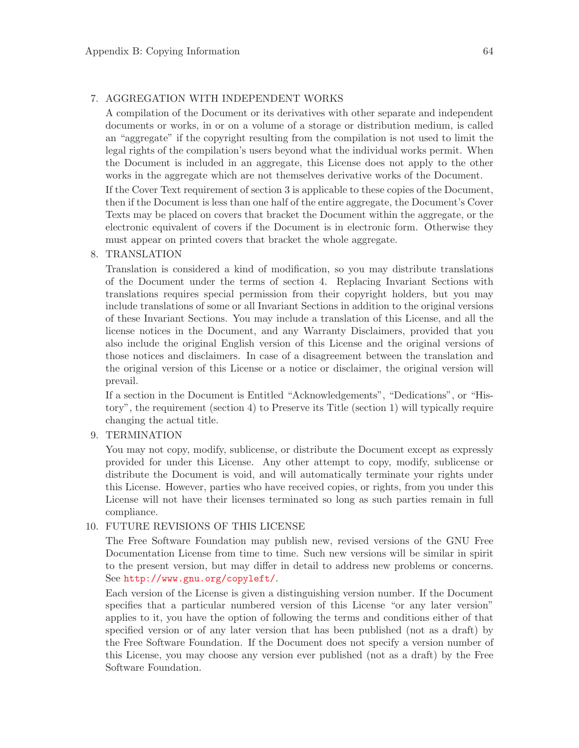### 7. AGGREGATION WITH INDEPENDENT WORKS

A compilation of the Document or its derivatives with other separate and independent documents or works, in or on a volume of a storage or distribution medium, is called an "aggregate" if the copyright resulting from the compilation is not used to limit the legal rights of the compilation's users beyond what the individual works permit. When the Document is included in an aggregate, this License does not apply to the other works in the aggregate which are not themselves derivative works of the Document.

If the Cover Text requirement of section 3 is applicable to these copies of the Document, then if the Document is less than one half of the entire aggregate, the Document's Cover Texts may be placed on covers that bracket the Document within the aggregate, or the electronic equivalent of covers if the Document is in electronic form. Otherwise they must appear on printed covers that bracket the whole aggregate.

### 8. TRANSLATION

Translation is considered a kind of modification, so you may distribute translations of the Document under the terms of section 4. Replacing Invariant Sections with translations requires special permission from their copyright holders, but you may include translations of some or all Invariant Sections in addition to the original versions of these Invariant Sections. You may include a translation of this License, and all the license notices in the Document, and any Warranty Disclaimers, provided that you also include the original English version of this License and the original versions of those notices and disclaimers. In case of a disagreement between the translation and the original version of this License or a notice or disclaimer, the original version will prevail.

If a section in the Document is Entitled "Acknowledgements", "Dedications", or "History", the requirement (section 4) to Preserve its Title (section 1) will typically require changing the actual title.

### 9. TERMINATION

You may not copy, modify, sublicense, or distribute the Document except as expressly provided for under this License. Any other attempt to copy, modify, sublicense or distribute the Document is void, and will automatically terminate your rights under this License. However, parties who have received copies, or rights, from you under this License will not have their licenses terminated so long as such parties remain in full compliance.

### 10. FUTURE REVISIONS OF THIS LICENSE

The Free Software Foundation may publish new, revised versions of the GNU Free Documentation License from time to time. Such new versions will be similar in spirit to the present version, but may differ in detail to address new problems or concerns. See <http://www.gnu.org/copyleft/>.

Each version of the License is given a distinguishing version number. If the Document specifies that a particular numbered version of this License "or any later version" applies to it, you have the option of following the terms and conditions either of that specified version or of any later version that has been published (not as a draft) by the Free Software Foundation. If the Document does not specify a version number of this License, you may choose any version ever published (not as a draft) by the Free Software Foundation.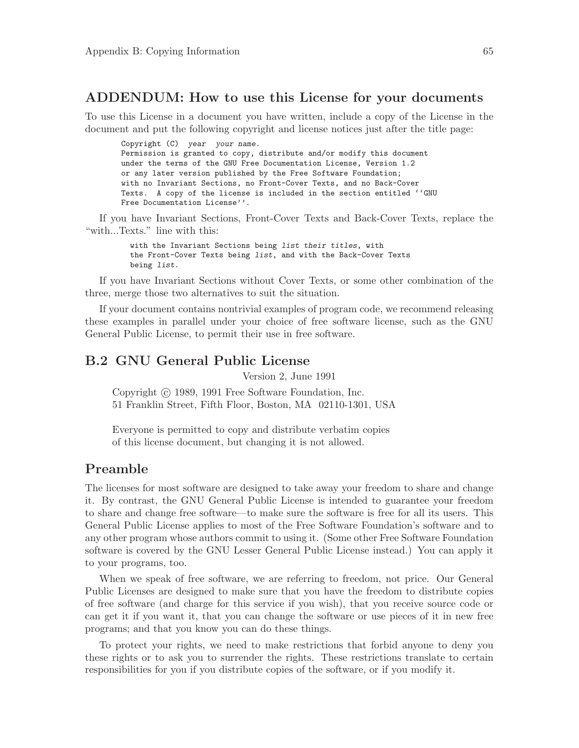## ADDENDUM: How to use this License for your documents

To use this License in a document you have written, include a copy of the License in the document and put the following copyright and license notices just after the title page:

Copyright (C) year your name. Permission is granted to copy, distribute and/or modify this document under the terms of the GNU Free Documentation License, Version 1.2 or any later version published by the Free Software Foundation; with no Invariant Sections, no Front-Cover Texts, and no Back-Cover Texts. A copy of the license is included in the section entitled ''GNU Free Documentation License''.

If you have Invariant Sections, Front-Cover Texts and Back-Cover Texts, replace the "with...Texts." line with this:

> with the Invariant Sections being list their titles, with the Front-Cover Texts being list, and with the Back-Cover Texts being list.

If you have Invariant Sections without Cover Texts, or some other combination of the three, merge those two alternatives to suit the situation.

If your document contains nontrivial examples of program code, we recommend releasing these examples in parallel under your choice of free software license, such as the GNU General Public License, to permit their use in free software.

## B.2 GNU General Public License

Version 2, June 1991

Copyright (c) 1989, 1991 Free Software Foundation, Inc. 51 Franklin Street, Fifth Floor, Boston, MA 02110-1301, USA

Everyone is permitted to copy and distribute verbatim copies of this license document, but changing it is not allowed.

# Preamble

The licenses for most software are designed to take away your freedom to share and change it. By contrast, the GNU General Public License is intended to guarantee your freedom to share and change free software—to make sure the software is free for all its users. This General Public License applies to most of the Free Software Foundation's software and to any other program whose authors commit to using it. (Some other Free Software Foundation software is covered by the GNU Lesser General Public License instead.) You can apply it to your programs, too.

When we speak of free software, we are referring to freedom, not price. Our General Public Licenses are designed to make sure that you have the freedom to distribute copies of free software (and charge for this service if you wish), that you receive source code or can get it if you want it, that you can change the software or use pieces of it in new free programs; and that you know you can do these things.

To protect your rights, we need to make restrictions that forbid anyone to deny you these rights or to ask you to surrender the rights. These restrictions translate to certain responsibilities for you if you distribute copies of the software, or if you modify it.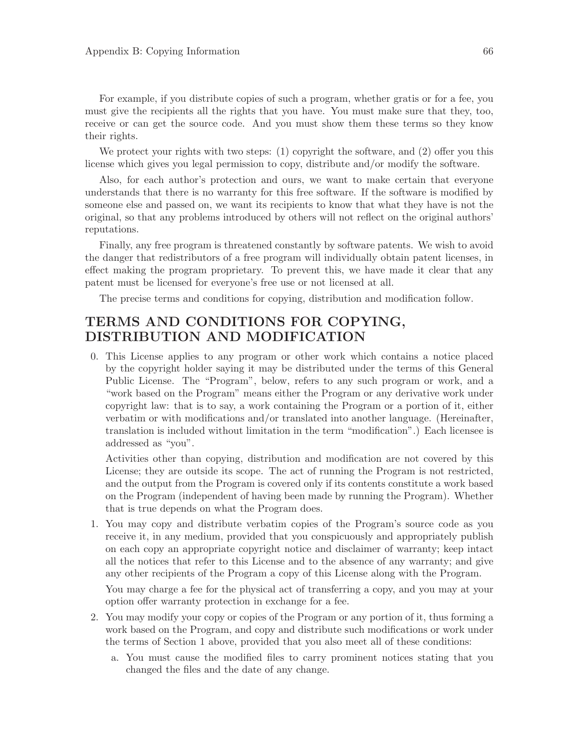For example, if you distribute copies of such a program, whether gratis or for a fee, you must give the recipients all the rights that you have. You must make sure that they, too, receive or can get the source code. And you must show them these terms so they know their rights.

We protect your rights with two steps: (1) copyright the software, and (2) offer you this license which gives you legal permission to copy, distribute and/or modify the software.

Also, for each author's protection and ours, we want to make certain that everyone understands that there is no warranty for this free software. If the software is modified by someone else and passed on, we want its recipients to know that what they have is not the original, so that any problems introduced by others will not reflect on the original authors' reputations.

Finally, any free program is threatened constantly by software patents. We wish to avoid the danger that redistributors of a free program will individually obtain patent licenses, in effect making the program proprietary. To prevent this, we have made it clear that any patent must be licensed for everyone's free use or not licensed at all.

The precise terms and conditions for copying, distribution and modification follow.

# TERMS AND CONDITIONS FOR COPYING, DISTRIBUTION AND MODIFICATION

0. This License applies to any program or other work which contains a notice placed by the copyright holder saying it may be distributed under the terms of this General Public License. The "Program", below, refers to any such program or work, and a "work based on the Program" means either the Program or any derivative work under copyright law: that is to say, a work containing the Program or a portion of it, either verbatim or with modifications and/or translated into another language. (Hereinafter, translation is included without limitation in the term "modification".) Each licensee is addressed as "you".

Activities other than copying, distribution and modification are not covered by this License; they are outside its scope. The act of running the Program is not restricted, and the output from the Program is covered only if its contents constitute a work based on the Program (independent of having been made by running the Program). Whether that is true depends on what the Program does.

1. You may copy and distribute verbatim copies of the Program's source code as you receive it, in any medium, provided that you conspicuously and appropriately publish on each copy an appropriate copyright notice and disclaimer of warranty; keep intact all the notices that refer to this License and to the absence of any warranty; and give any other recipients of the Program a copy of this License along with the Program.

You may charge a fee for the physical act of transferring a copy, and you may at your option offer warranty protection in exchange for a fee.

- 2. You may modify your copy or copies of the Program or any portion of it, thus forming a work based on the Program, and copy and distribute such modifications or work under the terms of Section 1 above, provided that you also meet all of these conditions:
	- a. You must cause the modified files to carry prominent notices stating that you changed the files and the date of any change.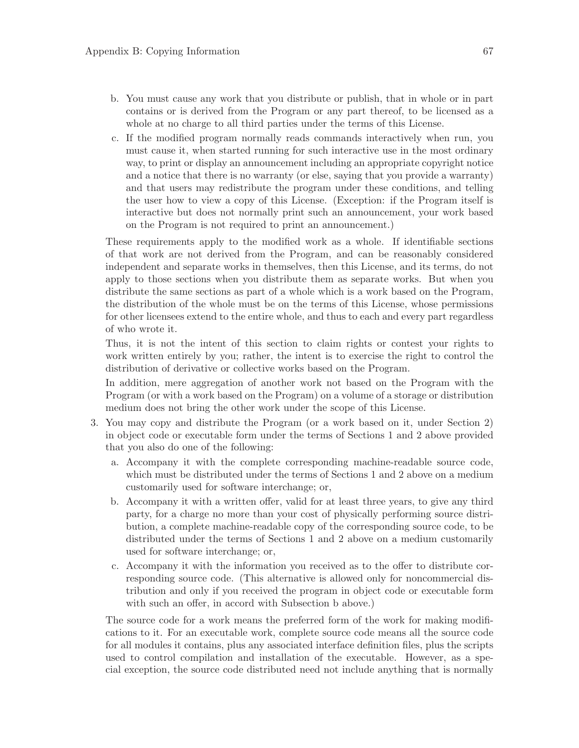- b. You must cause any work that you distribute or publish, that in whole or in part contains or is derived from the Program or any part thereof, to be licensed as a whole at no charge to all third parties under the terms of this License.
- c. If the modified program normally reads commands interactively when run, you must cause it, when started running for such interactive use in the most ordinary way, to print or display an announcement including an appropriate copyright notice and a notice that there is no warranty (or else, saying that you provide a warranty) and that users may redistribute the program under these conditions, and telling the user how to view a copy of this License. (Exception: if the Program itself is interactive but does not normally print such an announcement, your work based on the Program is not required to print an announcement.)

These requirements apply to the modified work as a whole. If identifiable sections of that work are not derived from the Program, and can be reasonably considered independent and separate works in themselves, then this License, and its terms, do not apply to those sections when you distribute them as separate works. But when you distribute the same sections as part of a whole which is a work based on the Program, the distribution of the whole must be on the terms of this License, whose permissions for other licensees extend to the entire whole, and thus to each and every part regardless of who wrote it.

Thus, it is not the intent of this section to claim rights or contest your rights to work written entirely by you; rather, the intent is to exercise the right to control the distribution of derivative or collective works based on the Program.

In addition, mere aggregation of another work not based on the Program with the Program (or with a work based on the Program) on a volume of a storage or distribution medium does not bring the other work under the scope of this License.

- 3. You may copy and distribute the Program (or a work based on it, under Section 2) in object code or executable form under the terms of Sections 1 and 2 above provided that you also do one of the following:
	- a. Accompany it with the complete corresponding machine-readable source code, which must be distributed under the terms of Sections 1 and 2 above on a medium customarily used for software interchange; or,
	- b. Accompany it with a written offer, valid for at least three years, to give any third party, for a charge no more than your cost of physically performing source distribution, a complete machine-readable copy of the corresponding source code, to be distributed under the terms of Sections 1 and 2 above on a medium customarily used for software interchange; or,
	- c. Accompany it with the information you received as to the offer to distribute corresponding source code. (This alternative is allowed only for noncommercial distribution and only if you received the program in object code or executable form with such an offer, in accord with Subsection b above.)

The source code for a work means the preferred form of the work for making modifications to it. For an executable work, complete source code means all the source code for all modules it contains, plus any associated interface definition files, plus the scripts used to control compilation and installation of the executable. However, as a special exception, the source code distributed need not include anything that is normally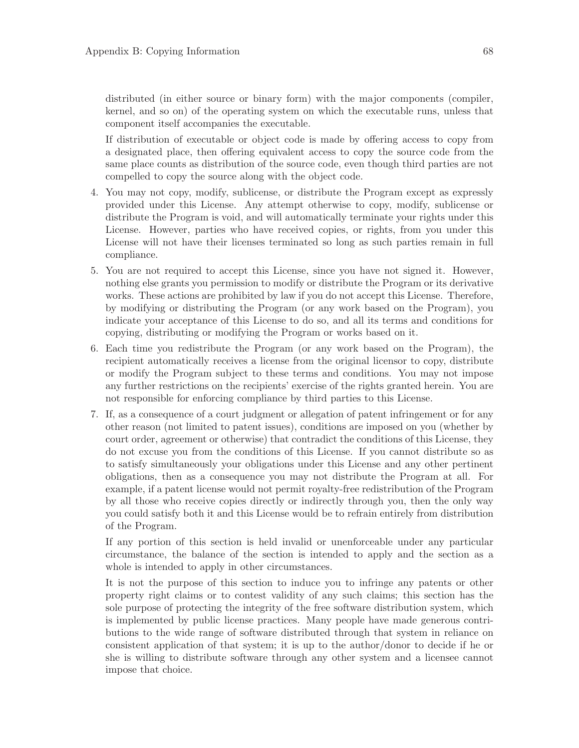distributed (in either source or binary form) with the major components (compiler, kernel, and so on) of the operating system on which the executable runs, unless that component itself accompanies the executable.

If distribution of executable or object code is made by offering access to copy from a designated place, then offering equivalent access to copy the source code from the same place counts as distribution of the source code, even though third parties are not compelled to copy the source along with the object code.

- 4. You may not copy, modify, sublicense, or distribute the Program except as expressly provided under this License. Any attempt otherwise to copy, modify, sublicense or distribute the Program is void, and will automatically terminate your rights under this License. However, parties who have received copies, or rights, from you under this License will not have their licenses terminated so long as such parties remain in full compliance.
- 5. You are not required to accept this License, since you have not signed it. However, nothing else grants you permission to modify or distribute the Program or its derivative works. These actions are prohibited by law if you do not accept this License. Therefore, by modifying or distributing the Program (or any work based on the Program), you indicate your acceptance of this License to do so, and all its terms and conditions for copying, distributing or modifying the Program or works based on it.
- 6. Each time you redistribute the Program (or any work based on the Program), the recipient automatically receives a license from the original licensor to copy, distribute or modify the Program subject to these terms and conditions. You may not impose any further restrictions on the recipients' exercise of the rights granted herein. You are not responsible for enforcing compliance by third parties to this License.
- 7. If, as a consequence of a court judgment or allegation of patent infringement or for any other reason (not limited to patent issues), conditions are imposed on you (whether by court order, agreement or otherwise) that contradict the conditions of this License, they do not excuse you from the conditions of this License. If you cannot distribute so as to satisfy simultaneously your obligations under this License and any other pertinent obligations, then as a consequence you may not distribute the Program at all. For example, if a patent license would not permit royalty-free redistribution of the Program by all those who receive copies directly or indirectly through you, then the only way you could satisfy both it and this License would be to refrain entirely from distribution of the Program.

If any portion of this section is held invalid or unenforceable under any particular circumstance, the balance of the section is intended to apply and the section as a whole is intended to apply in other circumstances.

It is not the purpose of this section to induce you to infringe any patents or other property right claims or to contest validity of any such claims; this section has the sole purpose of protecting the integrity of the free software distribution system, which is implemented by public license practices. Many people have made generous contributions to the wide range of software distributed through that system in reliance on consistent application of that system; it is up to the author/donor to decide if he or she is willing to distribute software through any other system and a licensee cannot impose that choice.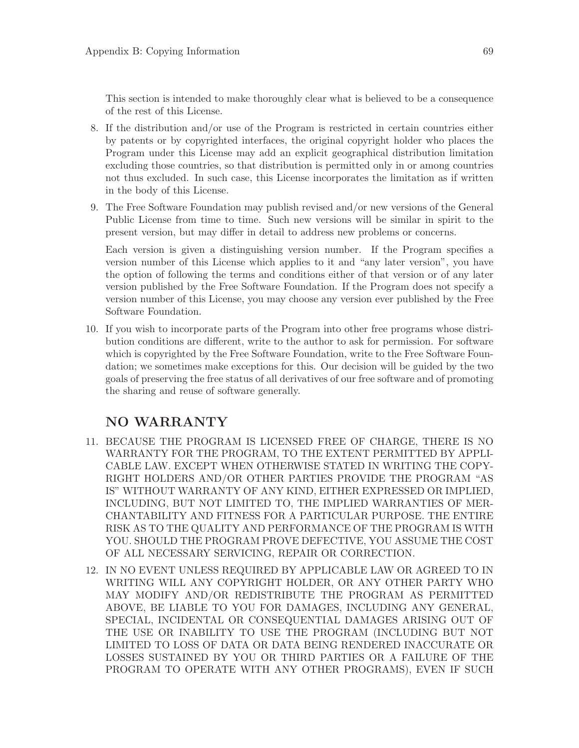This section is intended to make thoroughly clear what is believed to be a consequence of the rest of this License.

- 8. If the distribution and/or use of the Program is restricted in certain countries either by patents or by copyrighted interfaces, the original copyright holder who places the Program under this License may add an explicit geographical distribution limitation excluding those countries, so that distribution is permitted only in or among countries not thus excluded. In such case, this License incorporates the limitation as if written in the body of this License.
- 9. The Free Software Foundation may publish revised and/or new versions of the General Public License from time to time. Such new versions will be similar in spirit to the present version, but may differ in detail to address new problems or concerns.

Each version is given a distinguishing version number. If the Program specifies a version number of this License which applies to it and "any later version", you have the option of following the terms and conditions either of that version or of any later version published by the Free Software Foundation. If the Program does not specify a version number of this License, you may choose any version ever published by the Free Software Foundation.

10. If you wish to incorporate parts of the Program into other free programs whose distribution conditions are different, write to the author to ask for permission. For software which is copyrighted by the Free Software Foundation, write to the Free Software Foundation; we sometimes make exceptions for this. Our decision will be guided by the two goals of preserving the free status of all derivatives of our free software and of promoting the sharing and reuse of software generally.

#### NO WARRANTY

- 11. BECAUSE THE PROGRAM IS LICENSED FREE OF CHARGE, THERE IS NO WARRANTY FOR THE PROGRAM, TO THE EXTENT PERMITTED BY APPLI-CABLE LAW. EXCEPT WHEN OTHERWISE STATED IN WRITING THE COPY-RIGHT HOLDERS AND/OR OTHER PARTIES PROVIDE THE PROGRAM "AS IS" WITHOUT WARRANTY OF ANY KIND, EITHER EXPRESSED OR IMPLIED, INCLUDING, BUT NOT LIMITED TO, THE IMPLIED WARRANTIES OF MER-CHANTABILITY AND FITNESS FOR A PARTICULAR PURPOSE. THE ENTIRE RISK AS TO THE QUALITY AND PERFORMANCE OF THE PROGRAM IS WITH YOU. SHOULD THE PROGRAM PROVE DEFECTIVE, YOU ASSUME THE COST OF ALL NECESSARY SERVICING, REPAIR OR CORRECTION.
- 12. IN NO EVENT UNLESS REQUIRED BY APPLICABLE LAW OR AGREED TO IN WRITING WILL ANY COPYRIGHT HOLDER, OR ANY OTHER PARTY WHO MAY MODIFY AND/OR REDISTRIBUTE THE PROGRAM AS PERMITTED ABOVE, BE LIABLE TO YOU FOR DAMAGES, INCLUDING ANY GENERAL, SPECIAL, INCIDENTAL OR CONSEQUENTIAL DAMAGES ARISING OUT OF THE USE OR INABILITY TO USE THE PROGRAM (INCLUDING BUT NOT LIMITED TO LOSS OF DATA OR DATA BEING RENDERED INACCURATE OR LOSSES SUSTAINED BY YOU OR THIRD PARTIES OR A FAILURE OF THE PROGRAM TO OPERATE WITH ANY OTHER PROGRAMS), EVEN IF SUCH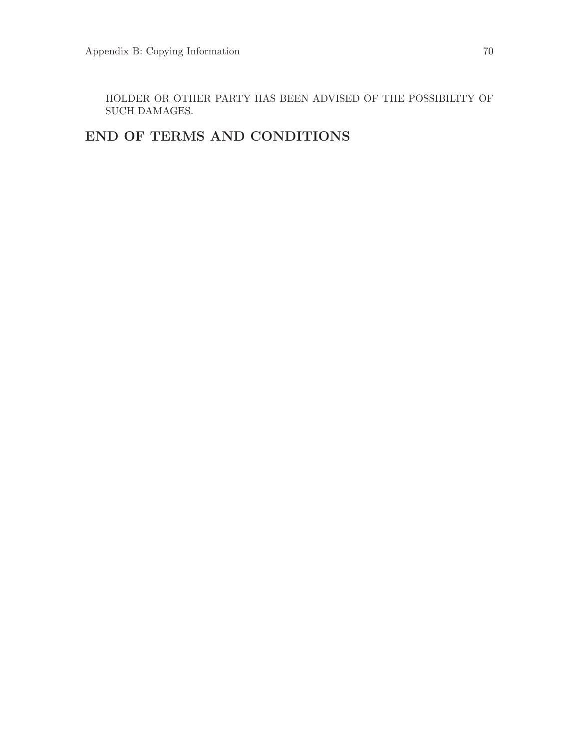HOLDER OR OTHER PARTY HAS BEEN ADVISED OF THE POSSIBILITY OF SUCH DAMAGES.

#### END OF TERMS AND CONDITIONS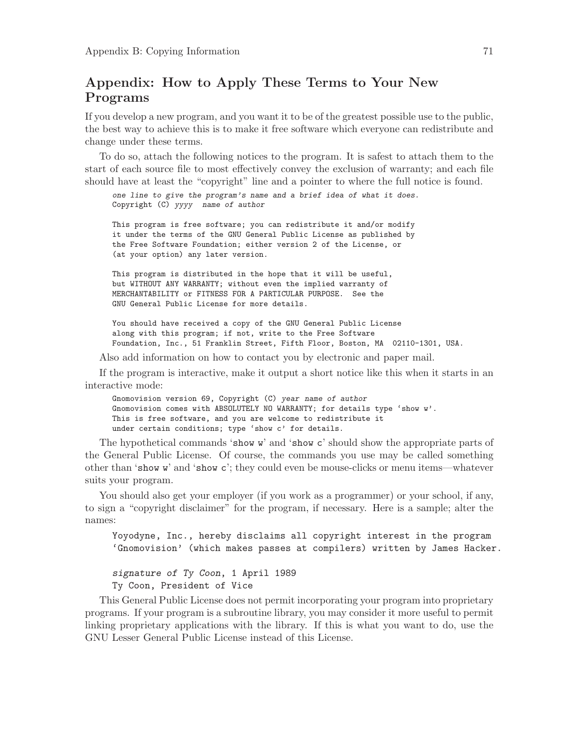#### Appendix: How to Apply These Terms to Your New Programs

If you develop a new program, and you want it to be of the greatest possible use to the public, the best way to achieve this is to make it free software which everyone can redistribute and change under these terms.

To do so, attach the following notices to the program. It is safest to attach them to the start of each source file to most effectively convey the exclusion of warranty; and each file should have at least the "copyright" line and a pointer to where the full notice is found.

one line to give the program's name and a brief idea of what it does. Copyright (C) yyyy name of author

This program is free software; you can redistribute it and/or modify it under the terms of the GNU General Public License as published by the Free Software Foundation; either version 2 of the License, or (at your option) any later version.

This program is distributed in the hope that it will be useful, but WITHOUT ANY WARRANTY; without even the implied warranty of MERCHANTABILITY or FITNESS FOR A PARTICULAR PURPOSE. See the GNU General Public License for more details.

You should have received a copy of the GNU General Public License along with this program; if not, write to the Free Software Foundation, Inc., 51 Franklin Street, Fifth Floor, Boston, MA 02110-1301, USA.

Also add information on how to contact you by electronic and paper mail.

If the program is interactive, make it output a short notice like this when it starts in an interactive mode:

Gnomovision version 69, Copyright (C) year name of author Gnomovision comes with ABSOLUTELY NO WARRANTY; for details type 'show w'. This is free software, and you are welcome to redistribute it under certain conditions; type 'show c' for details.

The hypothetical commands 'show w' and 'show c' should show the appropriate parts of the General Public License. Of course, the commands you use may be called something other than 'show w' and 'show c'; they could even be mouse-clicks or menu items—whatever suits your program.

You should also get your employer (if you work as a programmer) or your school, if any, to sign a "copyright disclaimer" for the program, if necessary. Here is a sample; alter the names:

Yoyodyne, Inc., hereby disclaims all copyright interest in the program 'Gnomovision' (which makes passes at compilers) written by James Hacker.

signature of Ty Coon, 1 April 1989 Ty Coon, President of Vice

This General Public License does not permit incorporating your program into proprietary programs. If your program is a subroutine library, you may consider it more useful to permit linking proprietary applications with the library. If this is what you want to do, use the GNU Lesser General Public License instead of this License.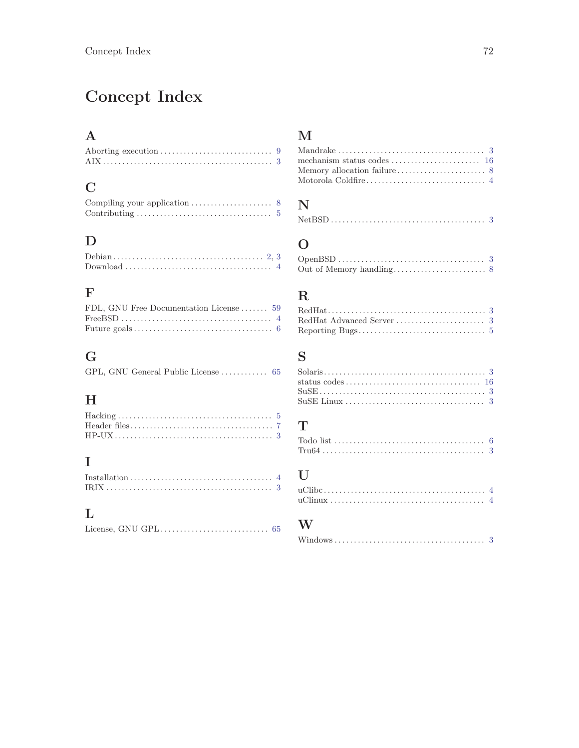# Concept Index

## $\mathbf A$

## $\mathbf C$

#### $\label{eq:1} \mathbf{D}$

#### $\mathbf F$

| FDL, GNU Free Documentation License  59 |  |
|-----------------------------------------|--|
|                                         |  |
|                                         |  |

#### ${\bf G}$

|--|--|--|--|--|--|--|--|--|

#### $\mathbf H$

| $HP-UX \ldots \ldots \ldots \ldots \ldots \ldots \ldots \ldots \ldots \ldots \ldots \ldots \ldots 3$ |  |
|------------------------------------------------------------------------------------------------------|--|

#### $\mathbf I$

#### $\mathbf L$

|--|--|

#### $\mathbf M$

## $\mathbf N$

## $\overline{O}$

#### $\mathbf R$

| $RedHat \dots \dots \dots \dots \dots \dots \dots \dots \dots \dots \dots \dots 3$ |  |
|------------------------------------------------------------------------------------|--|
|                                                                                    |  |
|                                                                                    |  |

#### $\mathbf S$

#### $\mathbf T$

#### $\mathbf U$

#### W

|--|